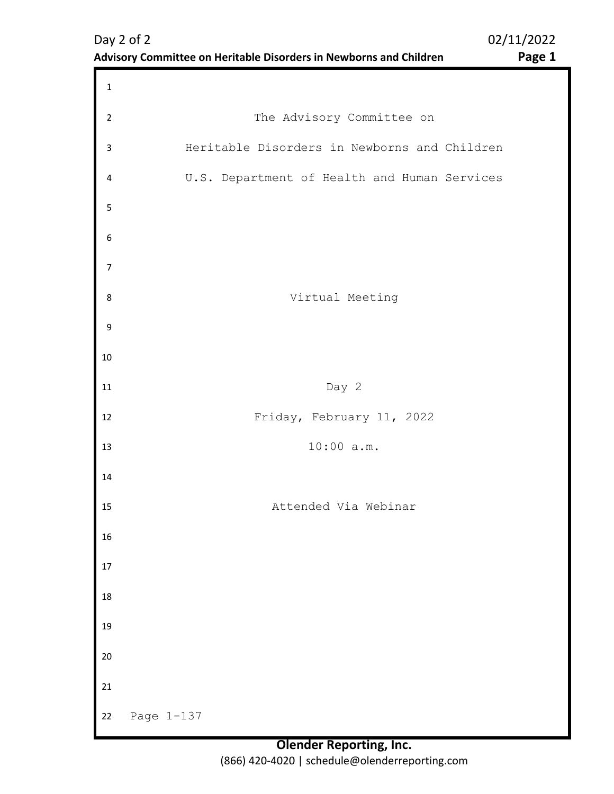| $\mathbf 1$      |                                              |
|------------------|----------------------------------------------|
| $\overline{2}$   | The Advisory Committee on                    |
| $\mathsf{3}$     | Heritable Disorders in Newborns and Children |
| 4                | U.S. Department of Health and Human Services |
| 5                |                                              |
| $\boldsymbol{6}$ |                                              |
| $\overline{7}$   |                                              |
| 8                | Virtual Meeting                              |
| 9                |                                              |
| $10\,$           |                                              |
| $11\,$           | Day 2                                        |
| 12               | Friday, February 11, 2022                    |
| 13               | 10:00 a.m.                                   |
| 14               |                                              |
| 15               | Attended Via Webinar                         |
| 16               |                                              |
| $17\,$           |                                              |
| 18               |                                              |
| 19               |                                              |
| 20               |                                              |
| 21               |                                              |
| 22               | Page 1-137                                   |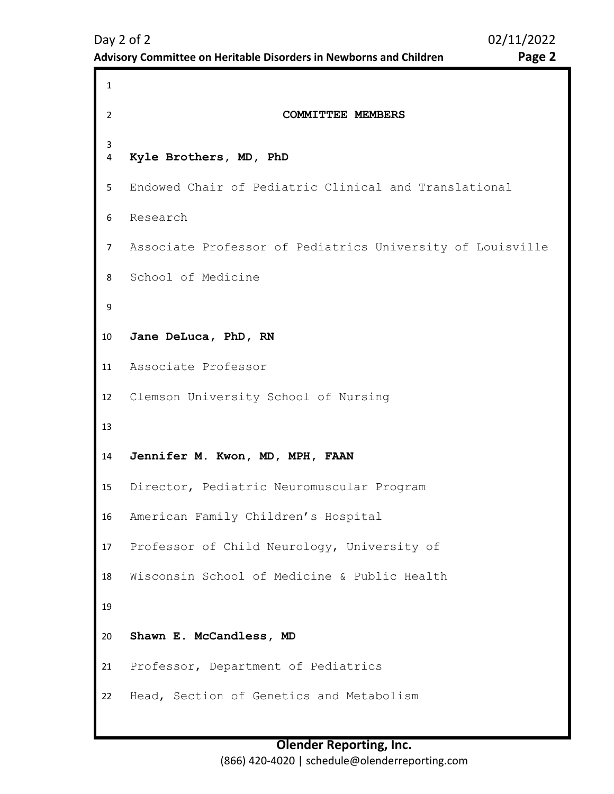```
1 
2 COMMITTEE MEMBERS 
3 
4 
5 
6 
7 
8 
9 
10
11
12
13
14
15
16
17
18
19
20
21
22
    Kyle Brothers, MD, PhD
    Endowed Chair of Pediatric Clinical and Translational 
    Research 
    Associate Professor of Pediatrics University of Louisville 
    School of Medicine 
    Jane DeLuca, PhD, RN 
    Associate Professor 
    Clemson University School of Nursing 
    Jennifer M. Kwon, MD, MPH, FAAN
    Director, Pediatric Neuromuscular Program 
    American Family Children's Hospital 
    Professor of Child Neurology, University of 
    Wisconsin School of Medicine & Public Health 
    Shawn E. McCandless, MD 
    Professor, Department of Pediatrics 
    Head, Section of Genetics and Metabolism
```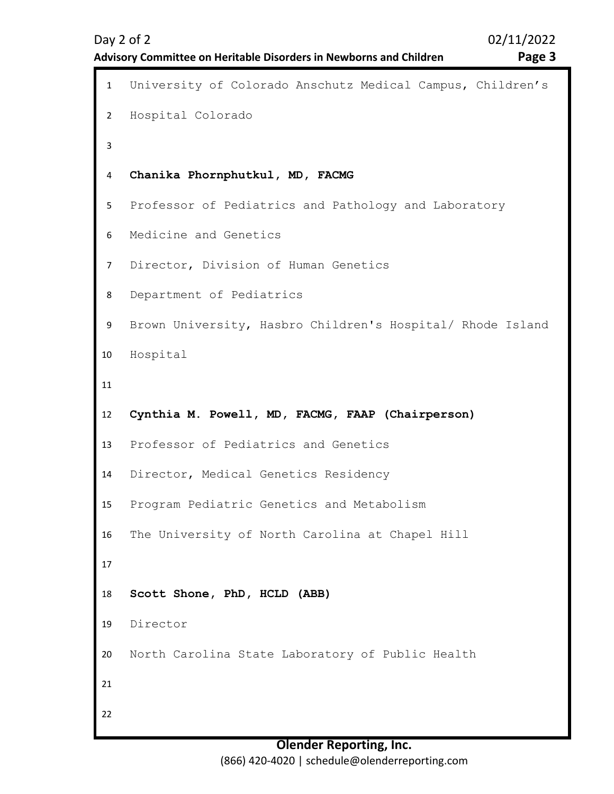2

3

4

5

6

7

8

9

10

11

12

13

14

15

16

17

18

19

20

21

22

```
1 University of Colorado Anschutz Medical Campus, Children's 
   Hospital Colorado 
   Chanika Phornphutkul, MD, FACMG 
   Professor of Pediatrics and Pathology and Laboratory 
   Medicine and Genetics 
   Director, Division of Human Genetics 
   Department of Pediatrics 
   Brown University, Hasbro Children's Hospital/ Rhode Island 
   Hospital 
   Cynthia M. Powell, MD, FACMG, FAAP (Chairperson)
   Professor of Pediatrics and Genetics 
   Director, Medical Genetics Residency 
   Program Pediatric Genetics and Metabolism 
   The University of North Carolina at Chapel Hill 
   Scott Shone, PhD, HCLD (ABB) 
   Director 
   North Carolina State Laboratory of Public Health
```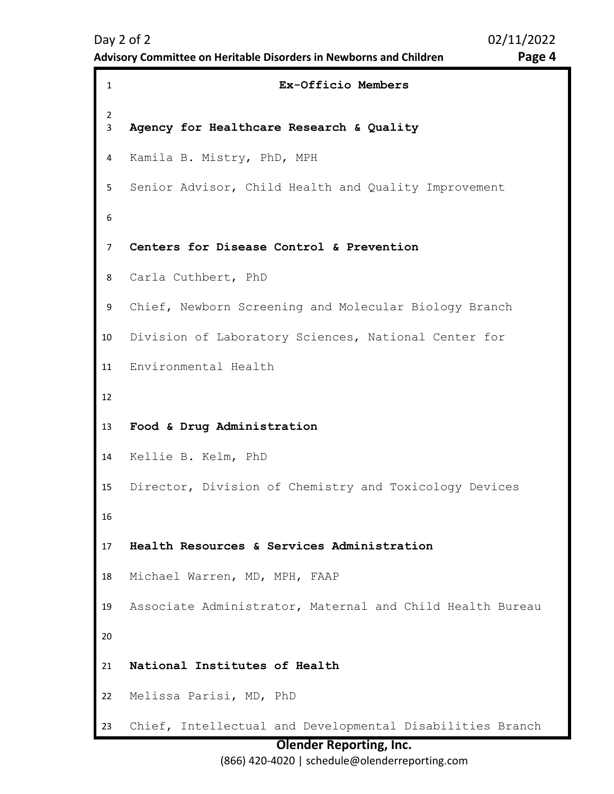```
1 Ex-Officio Members 
2 
3 
4 
5 
6 
7 
8 
9 
10
11
12
13
14
15
16
17
18
19
20
21
22
23
    Agency for Healthcare Research & Quality
    Kamila B. Mistry, PhD, MPH 
    Senior Advisor, Child Health and Quality Improvement 
    Centers for Disease Control & Prevention 
    Carla Cuthbert, PhD 
    Chief, Newborn Screening and Molecular Biology Branch 
    Division of Laboratory Sciences, National Center for 
    Environmental Health 
    Food & Drug Administration
    Kellie B. Kelm, PhD 
    Director, Division of Chemistry and Toxicology Devices 
    Health Resources & Services Administration 
    Michael Warren, MD, MPH, FAAP 
    Associate Administrator, Maternal and Child Health Bureau 
    National Institutes of Health
    Melissa Parisi, MD, PhD 
    Chief, Intellectual and Developmental Disabilities Branch
```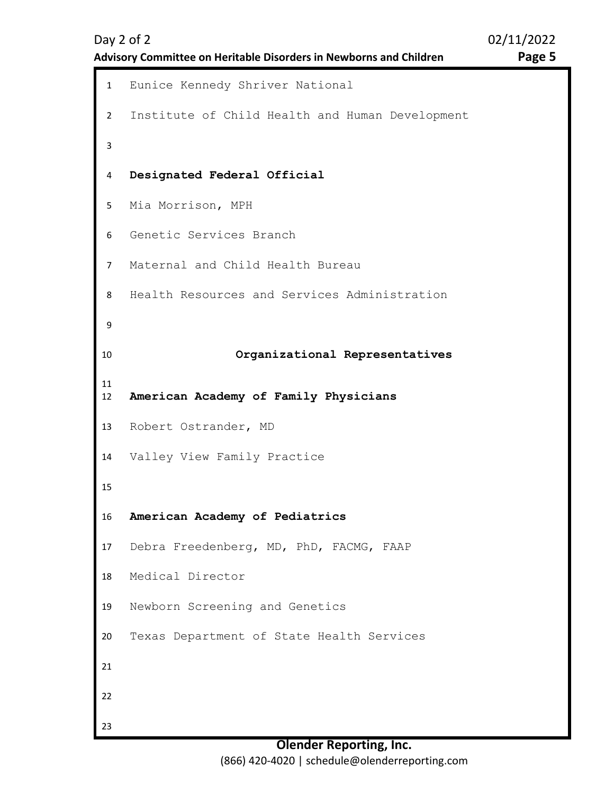**Advisory Committee on Heritable Disorders in Newborns and Children Page 5** 

<span id="page-4-0"></span>1 Eunice Kennedy Shriver National 2 3 4 5 6 7 8 9 10 11 12 13 14 15 16 17 18 19 20 21 22 23 Institute of Child Health and Human Development **Designated Federal Official** Mia Morrison, MPH Genetic Services Branch Maternal and Child Health Bureau Health Resources and Services Administration **Organizational Representatives American Academy of Family Physicians** Robert Ostrander, MD Valley View Family Practice **American Academy of Pediatrics** Debra Freedenberg, MD, PhD, FACMG, FAAP Medical Director Newborn Screening and Genetics Texas Department of State Health Services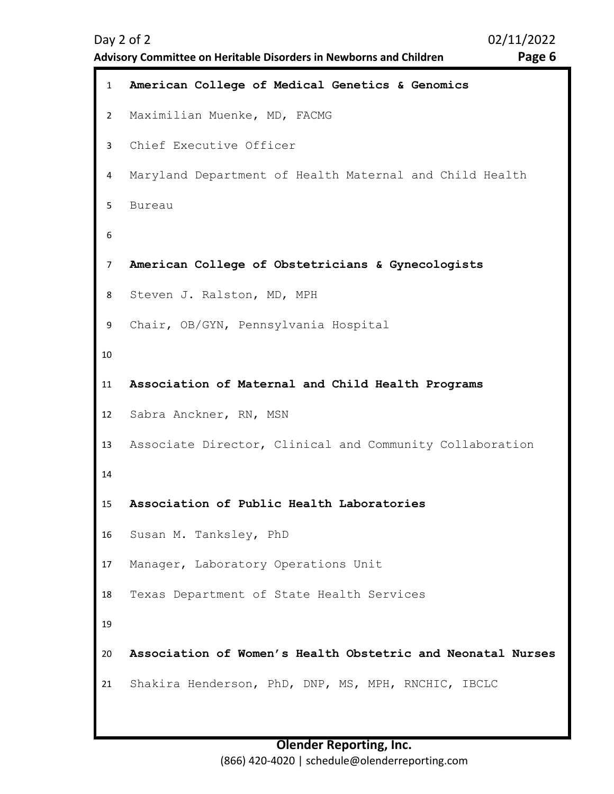**Advisory Committee on Heritable Disorders in Newborns and Children Page 6** 

```
1 American College of Medical Genetics & Genomics
2 
3 
4 
5 
6 
7 
8 
9 
10
11
12
13
14
15
16
17
18
19
20
21
    Maximilian Muenke, MD, FACMG 
    Chief Executive Officer 
    Maryland Department of Health Maternal and Child Health 
    Bureau 
    American College of Obstetricians & Gynecologists
    Steven J. Ralston, MD, MPH 
    Chair, OB/GYN, Pennsylvania Hospital 
    Association of Maternal and Child Health Programs
    Sabra Anckner, RN, MSN 
    Associate Director, Clinical and Community Collaboration 
    Association of Public Health Laboratories
    Susan M. Tanksley, PhD 
    Manager, Laboratory Operations Unit 
    Texas Department of State Health Services 
    Association of Women's Health Obstetric and Neonatal Nurses
    Shakira Henderson, PhD, DNP, MS, MPH, RNCHIC, IBCLC
```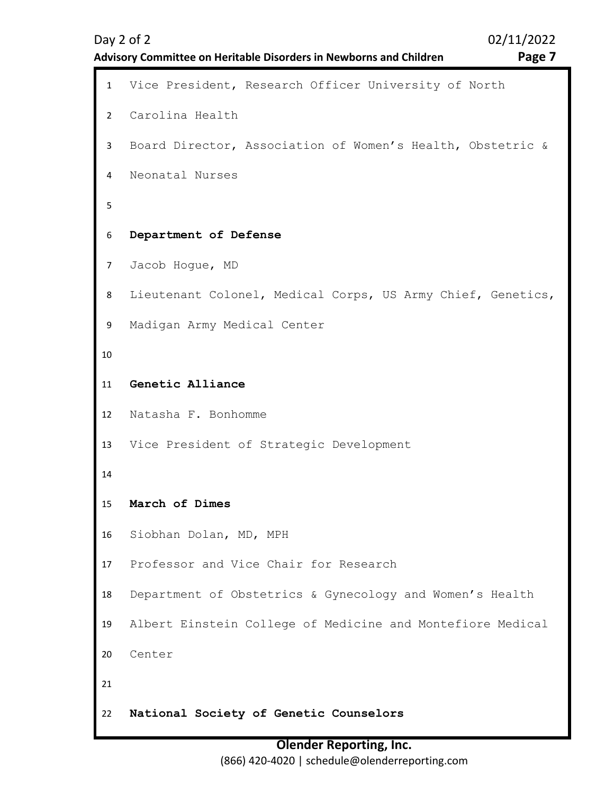```
1 Vice President, Research Officer University of North 
2 
3 
4 
5 
6 
7 
8 
9 
10
11
12
13
14
15
16
17
18
19
20
21
22
    Carolina Health 
    Board Director, Association of Women's Health, Obstetric & 
    Neonatal Nurses 
    Department of Defense
    Jacob Hogue, MD 
    Lieutenant Colonel, Medical Corps, US Army Chief, Genetics, 
    Madigan Army Medical Center 
    Genetic Alliance
    Natasha F. Bonhomme 
    Vice President of Strategic Development 
    March of Dimes
    Siobhan Dolan, MD, MPH 
    Professor and Vice Chair for Research 
    Department of Obstetrics & Gynecology and Women's Health 
    Albert Einstein College of Medicine and Montefiore Medical 
    Center 
    National Society of Genetic Counselors
```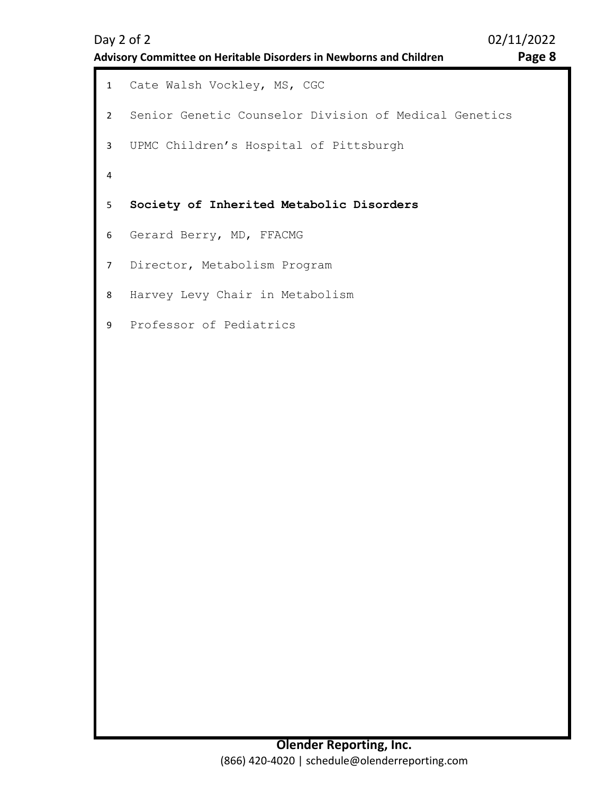```
1 Cate Walsh Vockley, MS, CGC 
2 
3 
4 
5 
6 
7 
8 
9 
   Senior Genetic Counselor Division of Medical Genetics 
   UPMC Children's Hospital of Pittsburgh 
   Society of Inherited Metabolic Disorders
   Gerard Berry, MD, FFACMG 
   Director, Metabolism Program 
   Harvey Levy Chair in Metabolism 
  Professor of Pediatrics
```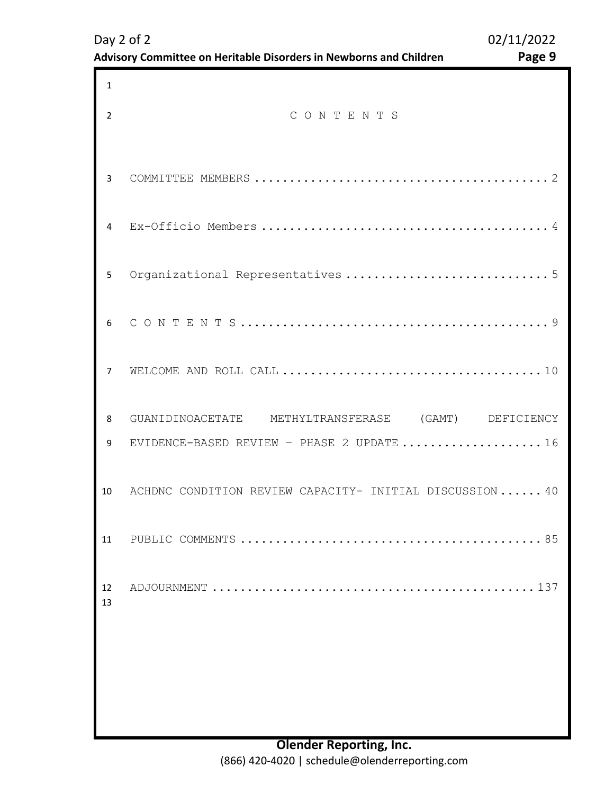<span id="page-8-0"></span>

| 1        |                                                          |
|----------|----------------------------------------------------------|
| 2        | CONTENTS                                                 |
| 3        |                                                          |
| 4        |                                                          |
| 5        |                                                          |
| 6        |                                                          |
| 7        |                                                          |
| 8        | GUANIDINOACETATE METHYLTRANSFERASE (GAMT) DEFICIENCY     |
| 9        | EVIDENCE-BASED REVIEW - PHASE 2 UPDATE  16               |
| 10       | ACHDNC CONDITION REVIEW CAPACITY- INITIAL DISCUSSION  40 |
| 11       |                                                          |
| 12<br>13 |                                                          |
|          |                                                          |
|          |                                                          |
|          |                                                          |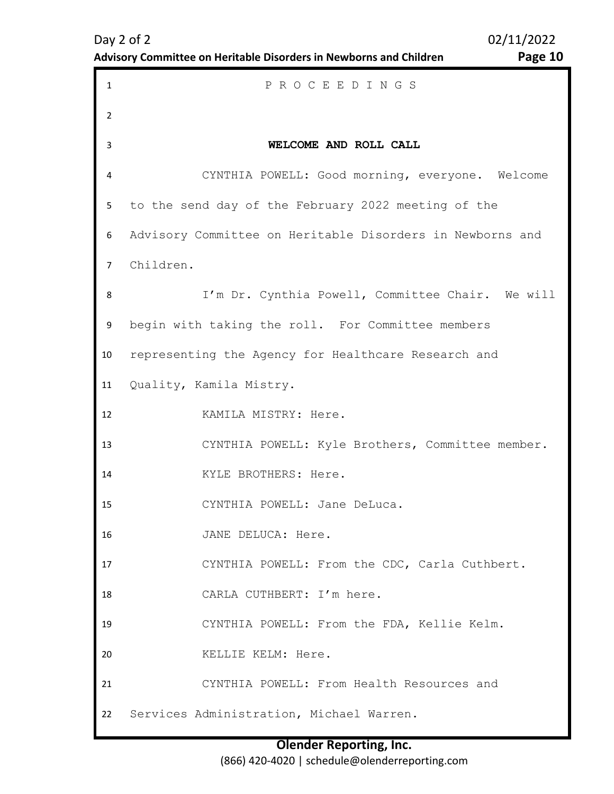| Day $2$ of $2$                                                     | 02/11/2022 |
|--------------------------------------------------------------------|------------|
| Advisory Committee on Heritable Disorders in Newborns and Children | Page 1     |

**Advisory Committee Disorders in New Page 10** 

<span id="page-9-0"></span>

| $\mathbf{1}$ | PROCEEDINGS                                               |
|--------------|-----------------------------------------------------------|
| 2            |                                                           |
| 3            | WELCOME AND ROLL CALL                                     |
| 4            | CYNTHIA POWELL: Good morning, everyone. Welcome           |
| 5            | to the send day of the February 2022 meeting of the       |
| 6            | Advisory Committee on Heritable Disorders in Newborns and |
| $7^{\circ}$  | Children.                                                 |
| 8            | I'm Dr. Cynthia Powell, Committee Chair. We will          |
| 9            | begin with taking the roll. For Committee members         |
| 10           | representing the Agency for Healthcare Research and       |
| 11           | Quality, Kamila Mistry.                                   |
| 12           | KAMILA MISTRY: Here.                                      |
| 13           | CYNTHIA POWELL: Kyle Brothers, Committee member.          |
| 14           | KYLE BROTHERS: Here.                                      |
| 15           | CYNTHIA POWELL: Jane DeLuca.                              |
| 16           | JANE DELUCA: Here.                                        |
| 17           | CYNTHIA POWELL: From the CDC, Carla Cuthbert.             |
| 18           | CARLA CUTHBERT: I'm here.                                 |
| 19           | CYNTHIA POWELL: From the FDA, Kellie Kelm.                |
| 20           | KELLIE KELM: Here.                                        |
| 21           | CYNTHIA POWELL: From Health Resources and                 |
| 22           | Services Administration, Michael Warren.                  |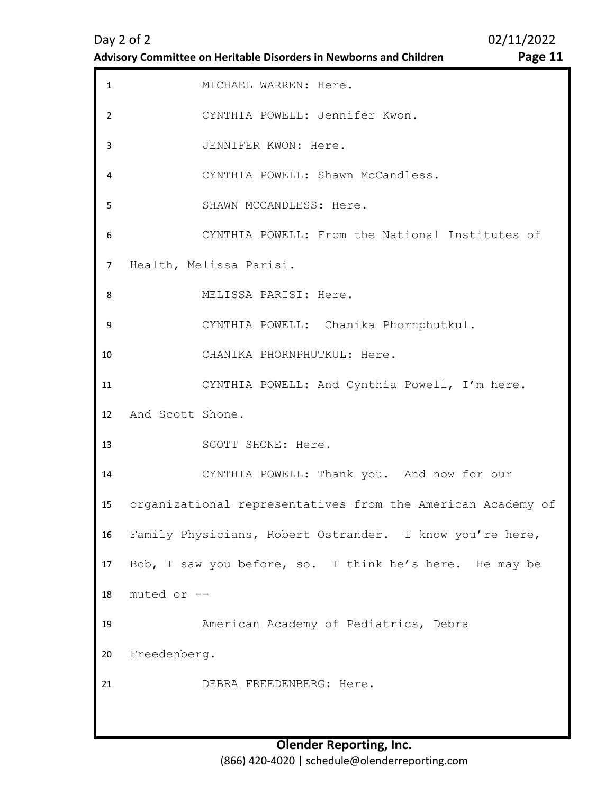| <b>Advisory Committee on Heritable Disorders in Newborns and Children</b> |  |
|---------------------------------------------------------------------------|--|
|---------------------------------------------------------------------------|--|

Page 11

| $\mathbf{1}$   | MICHAEL WARREN: Here.                                       |
|----------------|-------------------------------------------------------------|
| $\overline{2}$ | CYNTHIA POWELL: Jennifer Kwon.                              |
| 3              | JENNIFER KWON: Here.                                        |
| 4              | CYNTHIA POWELL: Shawn McCandless.                           |
| 5              | SHAWN MCCANDLESS: Here.                                     |
| 6              | CYNTHIA POWELL: From the National Institutes of             |
| $\overline{7}$ | Health, Melissa Parisi.                                     |
| 8              | MELISSA PARISI: Here.                                       |
| 9              | CYNTHIA POWELL: Chanika Phornphutkul.                       |
| 10             | CHANIKA PHORNPHUTKUL: Here.                                 |
| 11             | CYNTHIA POWELL: And Cynthia Powell, I'm here.               |
| 12             | And Scott Shone.                                            |
| 13             | SCOTT SHONE: Here.                                          |
| 14             | CYNTHIA POWELL: Thank you. And now for our                  |
| 15             | organizational representatives from the American Academy of |
| 16             | Family Physicians, Robert Ostrander. I know you're here,    |
| 17             | Bob, I saw you before, so. I think he's here. He may be     |
| 18             | muted or --                                                 |
| 19             | American Academy of Pediatrics, Debra                       |
| 20             | Freedenberg.                                                |
| 21             | DEBRA FREEDENBERG: Here.                                    |
|                |                                                             |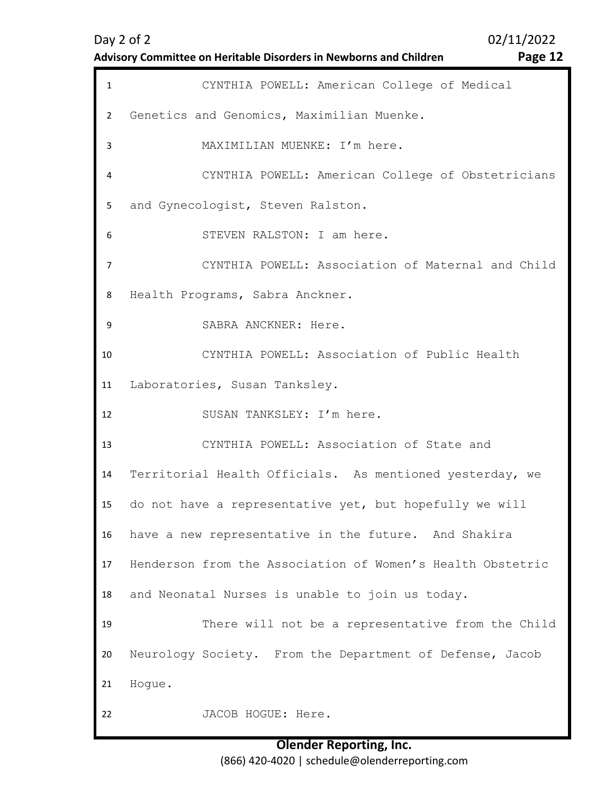| Advisory Committee on Heritable Disorders in Newborns and Children | Page 12 |
|--------------------------------------------------------------------|---------|
|                                                                    |         |

| <b>Page</b> |  |  |
|-------------|--|--|

| $\mathbf{1}$   | CYNTHIA POWELL: American College of Medical                |
|----------------|------------------------------------------------------------|
| $\overline{2}$ | Genetics and Genomics, Maximilian Muenke.                  |
| 3              | MAXIMILIAN MUENKE: I'm here.                               |
| 4              | CYNTHIA POWELL: American College of Obstetricians          |
| 5              | and Gynecologist, Steven Ralston.                          |
| 6              | STEVEN RALSTON: I am here.                                 |
| $\overline{7}$ | CYNTHIA POWELL: Association of Maternal and Child          |
| 8              | Health Programs, Sabra Anckner.                            |
| 9              | SABRA ANCKNER: Here.                                       |
| 10             | CYNTHIA POWELL: Association of Public Health               |
| 11             | Laboratories, Susan Tanksley.                              |
| 12             | SUSAN TANKSLEY: I'm here.                                  |
| 13             | CYNTHIA POWELL: Association of State and                   |
| 14             | Territorial Health Officials. As mentioned yesterday, we   |
| 15             | do not have a representative yet, but hopefully we will    |
| 16             | have a new representative in the future. And Shakira       |
| 17             | Henderson from the Association of Women's Health Obstetric |
| 18             | and Neonatal Nurses is unable to join us today.            |
| 19             | There will not be a representative from the Child          |
| 20             | Neurology Society. From the Department of Defense, Jacob   |
| 21             | Hogue.                                                     |
| 22             | JACOB HOGUE: Here.                                         |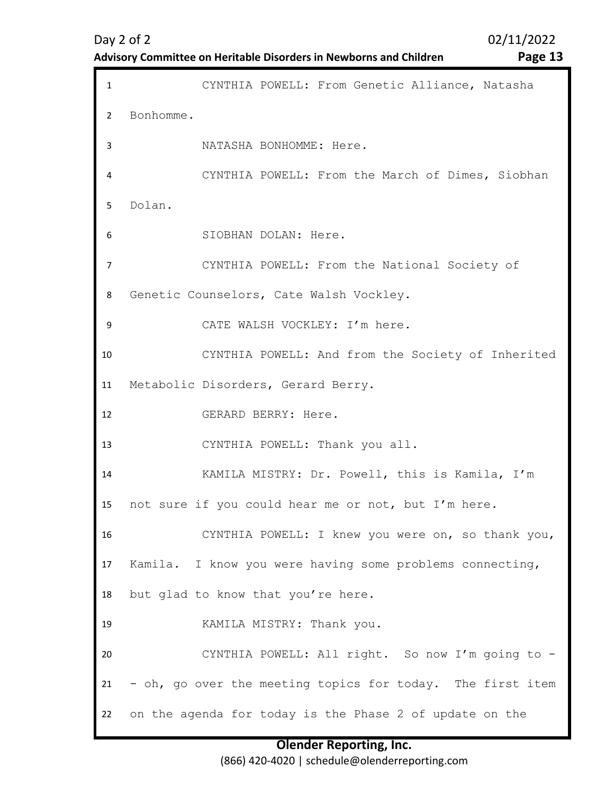| <b>Advisory Committee on Heritable Disorders in Newborns and Children</b> |  |
|---------------------------------------------------------------------------|--|
|---------------------------------------------------------------------------|--|

Page 13

| $\mathbf{1}$   | CYNTHIA POWELL: From Genetic Alliance, Natasha             |
|----------------|------------------------------------------------------------|
| $\overline{2}$ | Bonhomme.                                                  |
| 3              | NATASHA BONHOMME: Here.                                    |
| 4              | CYNTHIA POWELL: From the March of Dimes, Siobhan           |
| 5.             | Dolan.                                                     |
| 6              | SIOBHAN DOLAN: Here.                                       |
| 7              | CYNTHIA POWELL: From the National Society of               |
| 8              | Genetic Counselors, Cate Walsh Vockley.                    |
| 9              | CATE WALSH VOCKLEY: I'm here.                              |
| 10             | CYNTHIA POWELL: And from the Society of Inherited          |
| 11             | Metabolic Disorders, Gerard Berry.                         |
| 12             | GERARD BERRY: Here.                                        |
| 13             | CYNTHIA POWELL: Thank you all.                             |
| 14             | KAMILA MISTRY: Dr. Powell, this is Kamila, I'm             |
| 15             | not sure if you could hear me or not, but I'm here.        |
| 16             | CYNTHIA POWELL: I knew you were on, so thank you,          |
| 17             | Kamila. I know you were having some problems connecting,   |
| 18             | but glad to know that you're here.                         |
| 19             | KAMILA MISTRY: Thank you.                                  |
| 20             | CYNTHIA POWELL: All right. So now I'm going to -           |
| 21             | - oh, go over the meeting topics for today. The first item |
| 22             | on the agenda for today is the Phase 2 of update on the    |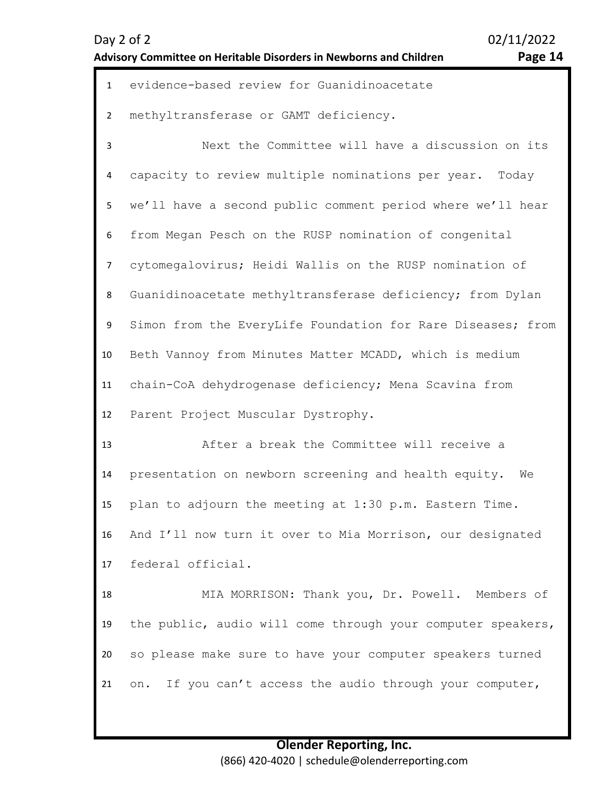| Day 2 of 2                                                         | 02/11/2022 |
|--------------------------------------------------------------------|------------|
| Advisory Committee on Heritable Disorders in Newborns and Children | Page 14    |

02/11/2022

| -<br>۵ρ<br>∍<br>., | л. |
|--------------------|----|
|--------------------|----|

| $\mathbf{1}$   | evidence-based review for Guanidinoacetate                  |
|----------------|-------------------------------------------------------------|
| $\overline{2}$ | methyltransferase or GAMT deficiency.                       |
| 3              | Next the Committee will have a discussion on its            |
| 4              | capacity to review multiple nominations per year. Today     |
| 5              | we'll have a second public comment period where we'll hear  |
| 6              | from Megan Pesch on the RUSP nomination of congenital       |
| $\overline{7}$ | cytomegalovirus; Heidi Wallis on the RUSP nomination of     |
| 8              | Guanidinoacetate methyltransferase deficiency; from Dylan   |
| 9              | Simon from the EveryLife Foundation for Rare Diseases; from |
| 10             | Beth Vannoy from Minutes Matter MCADD, which is medium      |
| 11             | chain-CoA dehydrogenase deficiency; Mena Scavina from       |
| 12             | Parent Project Muscular Dystrophy.                          |
| 13             | After a break the Committee will receive a                  |
| 14             | presentation on newborn screening and health equity.<br>We  |
| 15             | plan to adjourn the meeting at 1:30 p.m. Eastern Time.      |
| 16             | And I'll now turn it over to Mia Morrison, our designated   |
| 17             | federal official.                                           |
| 18             | MIA MORRISON: Thank you, Dr. Powell. Members of             |
| 19             | the public, audio will come through your computer speakers, |
| 20             | so please make sure to have your computer speakers turned   |
| 21             | If you can't access the audio through your computer,<br>on. |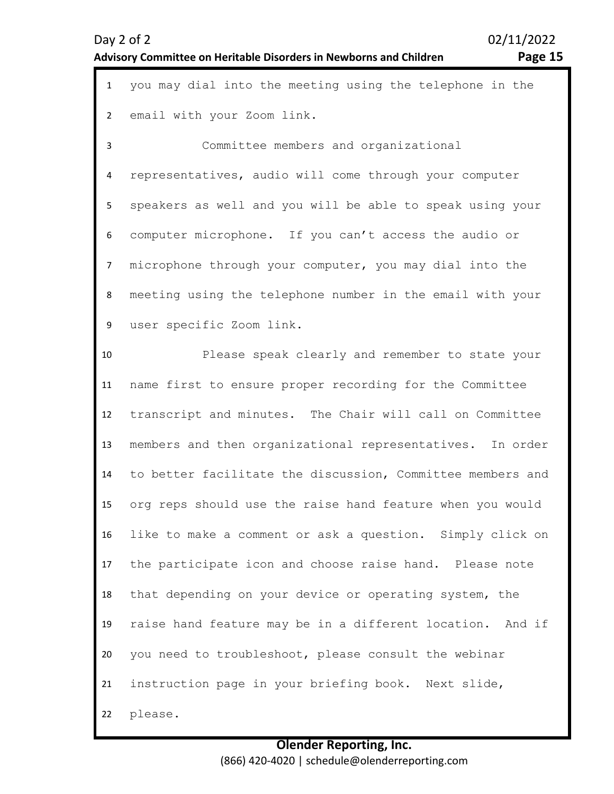| $\mathbf{1}$   | you may dial into the meeting using the telephone in the   |
|----------------|------------------------------------------------------------|
| $\overline{2}$ | email with your Zoom link.                                 |
| 3              | Committee members and organizational                       |
| 4              | representatives, audio will come through your computer     |
| 5              | speakers as well and you will be able to speak using your  |
| 6              | computer microphone. If you can't access the audio or      |
| $\overline{7}$ | microphone through your computer, you may dial into the    |
| 8              | meeting using the telephone number in the email with your  |
| 9              | user specific Zoom link.                                   |
| 10             | Please speak clearly and remember to state your            |
| 11             | name first to ensure proper recording for the Committee    |
| 12             | transcript and minutes. The Chair will call on Committee   |
| 13             | members and then organizational representatives. In order  |
| 14             | to better facilitate the discussion, Committee members and |
| 15             | org reps should use the raise hand feature when you would  |
| 16             | like to make a comment or ask a question. Simply click on  |
| 17             | the participate icon and choose raise hand. Please note    |
| 18             | that depending on your device or operating system, the     |
| 19             | raise hand feature may be in a different location. And if  |
| 20             | you need to troubleshoot, please consult the webinar       |
| 21             | instruction page in your briefing book. Next slide,        |
| 22             | please.                                                    |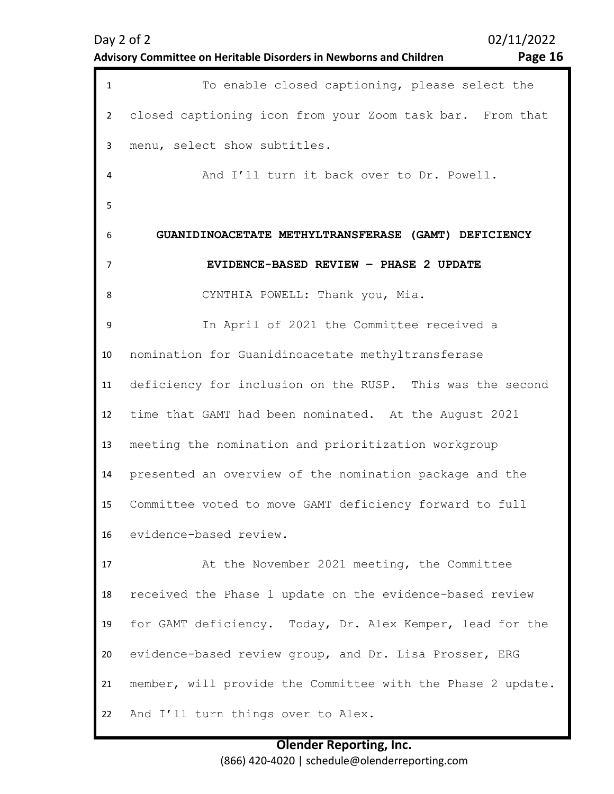| Advisory Committee on Heritable Disorders in Newborns and Children | Page 16 |
|--------------------------------------------------------------------|---------|

<span id="page-15-0"></span>

| $\mathbf{1}$   | To enable closed captioning, please select the              |
|----------------|-------------------------------------------------------------|
| $\overline{2}$ | closed captioning icon from your Zoom task bar. From that   |
| 3              | menu, select show subtitles.                                |
| 4              | And I'll turn it back over to Dr. Powell.                   |
| 5              |                                                             |
| 6              | GUANIDINOACETATE METHYLTRANSFERASE (GAMT) DEFICIENCY        |
| 7              | EVIDENCE-BASED REVIEW - PHASE 2 UPDATE                      |
| 8              | CYNTHIA POWELL: Thank you, Mia.                             |
| 9              | In April of 2021 the Committee received a                   |
| 10             | nomination for Guanidinoacetate methyltransferase           |
| 11             | deficiency for inclusion on the RUSP. This was the second   |
| 12             | time that GAMT had been nominated. At the August 2021       |
| 13             | meeting the nomination and prioritization workgroup         |
| 14             | presented an overview of the nomination package and the     |
| 15             | Committee voted to move GAMT deficiency forward to full     |
| 16             | evidence-based review.                                      |
| 17             | At the November 2021 meeting, the Committee                 |
| 18             | received the Phase 1 update on the evidence-based review    |
| 19             | for GAMT deficiency. Today, Dr. Alex Kemper, lead for the   |
| 20             | evidence-based review group, and Dr. Lisa Prosser, ERG      |
| 21             | member, will provide the Committee with the Phase 2 update. |
| 22             | And I'll turn things over to Alex.                          |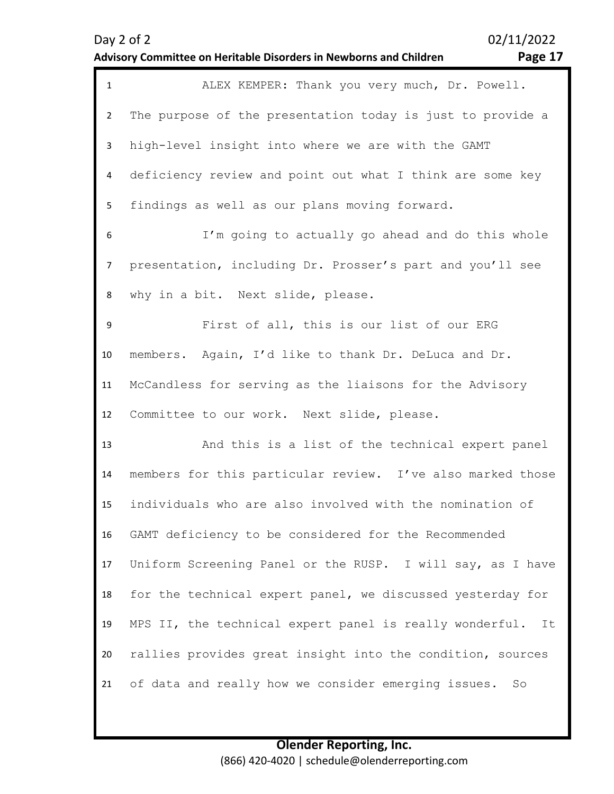| .o<br>-<br>-<br>. . |  |
|---------------------|--|
|---------------------|--|

| $\mathbf{1}$   | ALEX KEMPER: Thank you very much, Dr. Powell.                 |
|----------------|---------------------------------------------------------------|
| $\overline{2}$ | The purpose of the presentation today is just to provide a    |
| 3              | high-level insight into where we are with the GAMT            |
| 4              | deficiency review and point out what I think are some key     |
| 5              | findings as well as our plans moving forward.                 |
| 6              | I'm going to actually go ahead and do this whole              |
| $\overline{7}$ | presentation, including Dr. Prosser's part and you'll see     |
| 8              | why in a bit. Next slide, please.                             |
| 9              | First of all, this is our list of our ERG                     |
| 10             | members. Again, I'd like to thank Dr. DeLuca and Dr.          |
| 11             | McCandless for serving as the liaisons for the Advisory       |
| 12             | Committee to our work. Next slide, please.                    |
| 13             | And this is a list of the technical expert panel              |
| 14             | members for this particular review. I've also marked those    |
| 15             | individuals who are also involved with the nomination of      |
| 16             | GAMT deficiency to be considered for the Recommended          |
| 17             | Uniform Screening Panel or the RUSP. I will say, as I have    |
| 18             | for the technical expert panel, we discussed yesterday for    |
| 19             | MPS II, the technical expert panel is really wonderful.<br>It |
| 20             | rallies provides great insight into the condition, sources    |
| 21             | of data and really how we consider emerging issues.<br>So     |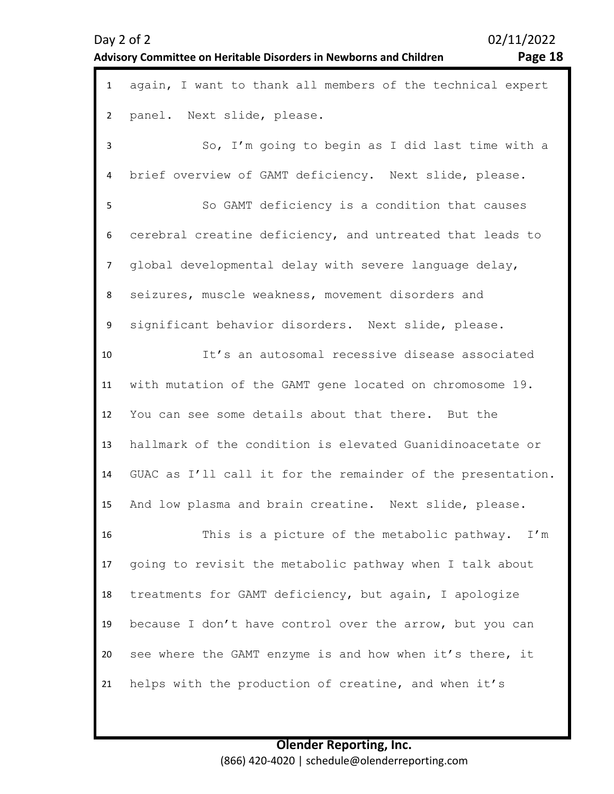|                | Advisory Committee on Heritable Disorders in Newborns and Children<br>Page 18 |
|----------------|-------------------------------------------------------------------------------|
| $\mathbf{1}$   | again, I want to thank all members of the technical expert                    |
| $\overline{2}$ | panel. Next slide, please.                                                    |
| $\overline{3}$ | So, I'm going to begin as I did last time with a                              |
| 4              | brief overview of GAMT deficiency. Next slide, please.                        |
| 5              | So GAMT deficiency is a condition that causes                                 |
| 6              | cerebral creatine deficiency, and untreated that leads to                     |
| $\overline{7}$ | global developmental delay with severe language delay,                        |
| 8              | seizures, muscle weakness, movement disorders and                             |
| 9              | significant behavior disorders. Next slide, please.                           |
| 10             | It's an autosomal recessive disease associated                                |
| 11             | with mutation of the GAMT gene located on chromosome 19.                      |
| 12             | You can see some details about that there. But the                            |
| 13             | hallmark of the condition is elevated Guanidinoacetate or                     |
| 14             | GUAC as I'll call it for the remainder of the presentation.                   |
| 15             | And low plasma and brain creatine. Next slide, please.                        |
| 16             | This is a picture of the metabolic pathway. I'm                               |
| 17             | going to revisit the metabolic pathway when I talk about                      |
| 18             | treatments for GAMT deficiency, but again, I apologize                        |
| 19             | because I don't have control over the arrow, but you can                      |
| 20             | see where the GAMT enzyme is and how when it's there, it                      |
| 21             | helps with the production of creatine, and when it's                          |
|                |                                                                               |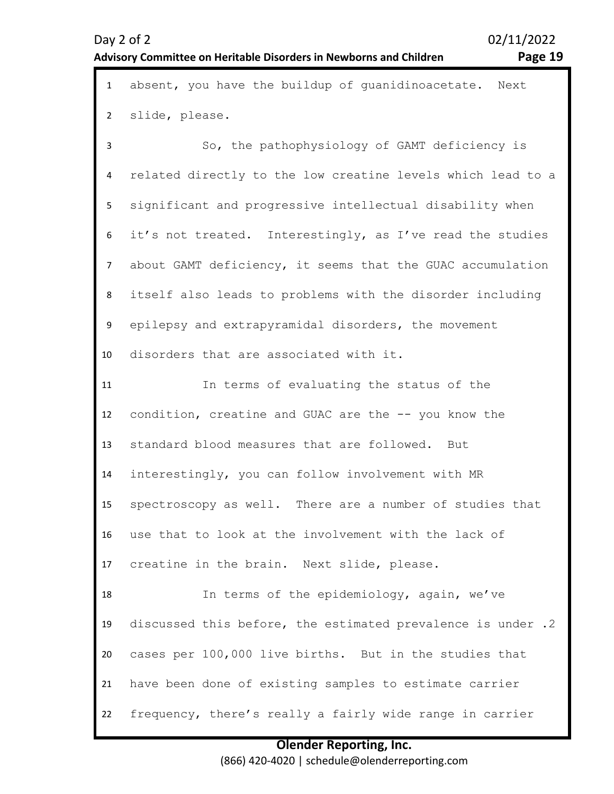| $\mathbf{1}$   | absent, you have the buildup of guanidinoacetate. Next      |
|----------------|-------------------------------------------------------------|
| $\overline{2}$ | slide, please.                                              |
| $\mathbf{3}$   | So, the pathophysiology of GAMT deficiency is               |
| 4              | related directly to the low creatine levels which lead to a |
| 5              | significant and progressive intellectual disability when    |
| 6              | it's not treated. Interestingly, as I've read the studies   |
| $\overline{7}$ | about GAMT deficiency, it seems that the GUAC accumulation  |
| 8              | itself also leads to problems with the disorder including   |
| 9              | epilepsy and extrapyramidal disorders, the movement         |
| 10             | disorders that are associated with it.                      |
| 11             | In terms of evaluating the status of the                    |
| 12             | condition, creatine and GUAC are the -- you know the        |
| 13             | standard blood measures that are followed. But              |
| 14             | interestingly, you can follow involvement with MR           |
| 15             | spectroscopy as well. There are a number of studies that    |
| 16             | use that to look at the involvement with the lack of        |
| 17             | creatine in the brain. Next slide, please.                  |
| 18             | In terms of the epidemiology, again, we've                  |
| 19             | discussed this before, the estimated prevalence is under .2 |
| 20             | cases per 100,000 live births. But in the studies that      |
| 21             | have been done of existing samples to estimate carrier      |
| 22             | frequency, there's really a fairly wide range in carrier    |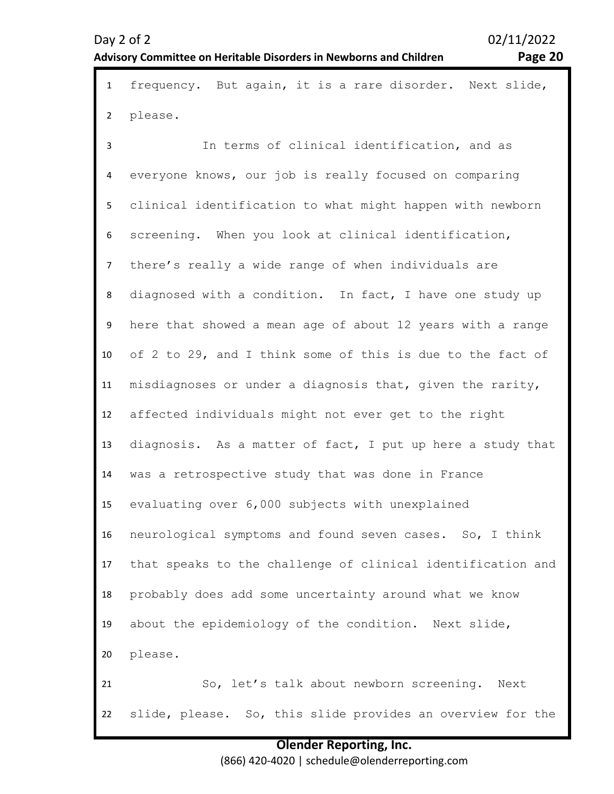## **Advisory Committee on Heritable Disorders in Newborns and Children Page 20**

| $\mathbf{1}$   | frequency. But again, it is a rare disorder. Next slide,    |
|----------------|-------------------------------------------------------------|
| $\overline{2}$ | please.                                                     |
| 3              | In terms of clinical identification, and as                 |
| 4              | everyone knows, our job is really focused on comparing      |
| 5              | clinical identification to what might happen with newborn   |
| 6              | screening. When you look at clinical identification,        |
| $\overline{7}$ | there's really a wide range of when individuals are         |
| 8              | diagnosed with a condition. In fact, I have one study up    |
| 9              | here that showed a mean age of about 12 years with a range  |
| 10             | of 2 to 29, and I think some of this is due to the fact of  |
| 11             | misdiagnoses or under a diagnosis that, given the rarity,   |
| 12             | affected individuals might not ever get to the right        |
| 13             | diagnosis. As a matter of fact, I put up here a study that  |
| 14             | was a retrospective study that was done in France           |
| 15             | evaluating over 6,000 subjects with unexplained             |
| 16             | neurological symptoms and found seven cases. So, I think    |
| 17             | that speaks to the challenge of clinical identification and |
| 18             | probably does add some uncertainty around what we know      |
| 19             | about the epidemiology of the condition. Next slide,        |
| 20             | please.                                                     |
| 21             | So, let's talk about newborn screening.<br>Next             |
| 22             | slide, please. So, this slide provides an overview for the  |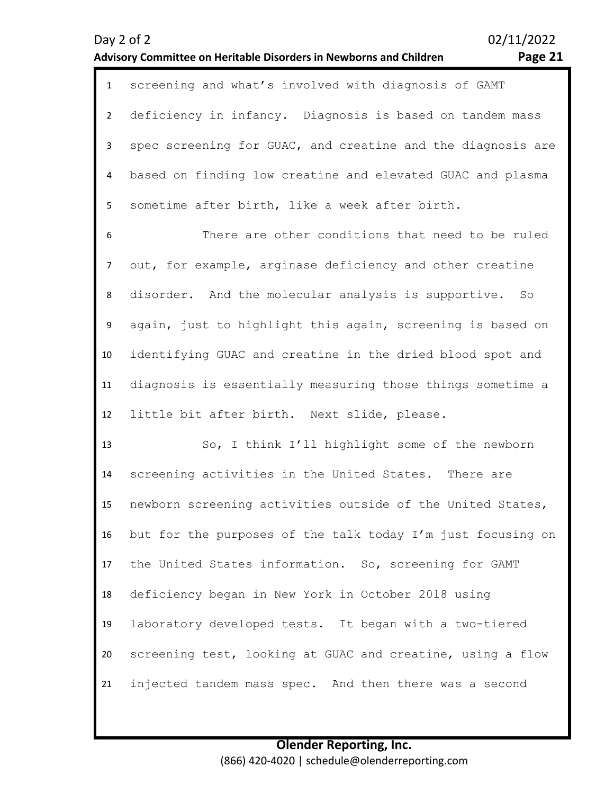| 1  | screening and what's involved with diagnosis of GAMT         |
|----|--------------------------------------------------------------|
|    | 2 deficiency in infancy. Diagnosis is based on tandem mass   |
|    | spec screening for GUAC, and creatine and the diagnosis are  |
|    | 4 based on finding low creatine and elevated GUAC and plasma |
| 5. | sometime after birth, like a week after birth.               |

6 7 8 9 10 11 12 There are other conditions that need to be ruled out, for example, arginase deficiency and other creatine disorder. And the molecular analysis is supportive. So again, just to highlight this again, screening is based on identifying GUAC and creatine in the dried blood spot and diagnosis is essentially measuring those things sometime a little bit after birth. Next slide, please.

13 14 15 16 17 18 19 20 21 So, I think I'll highlight some of the newborn screening activities in the United States. There are newborn screening activities outside of the United States, but for the purposes of the talk today I'm just focusing on the United States information. So, screening for GAMT deficiency began in New York in October 2018 using laboratory developed tests. It began with a two-tiered screening test, looking at GUAC and creatine, using a flow injected tandem mass spec. And then there was a second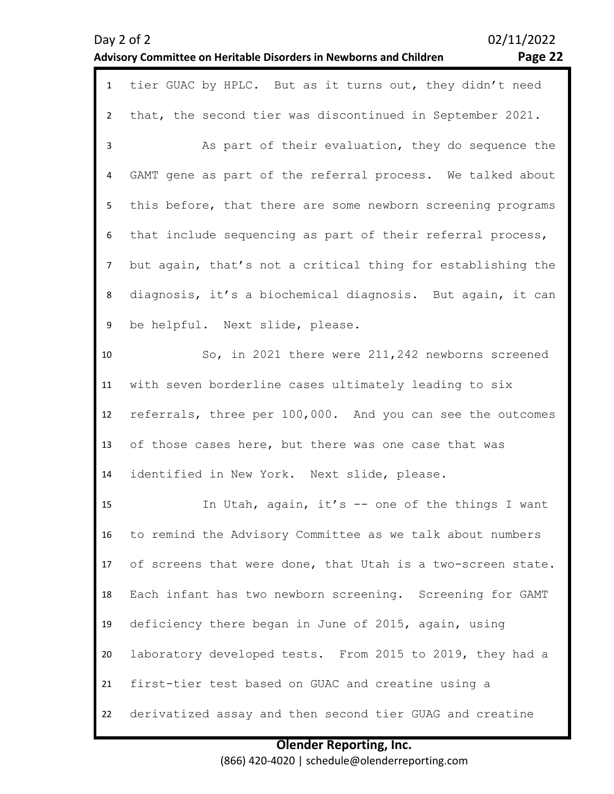|                  | 02/11/2022<br>Day 2 of 2<br>Page 22<br>Advisory Committee on Heritable Disorders in Newborns and Children |
|------------------|-----------------------------------------------------------------------------------------------------------|
| $\mathbf{1}$     | tier GUAC by HPLC. But as it turns out, they didn't need                                                  |
| $\overline{2}$   | that, the second tier was discontinued in September 2021.                                                 |
| $\mathbf{3}$     | As part of their evaluation, they do sequence the                                                         |
| $\overline{4}$   | GAMT gene as part of the referral process. We talked about                                                |
| 5                | this before, that there are some newborn screening programs                                               |
| $\boldsymbol{6}$ | that include sequencing as part of their referral process,                                                |
| $\overline{7}$   | but again, that's not a critical thing for establishing the                                               |
| 8                | diagnosis, it's a biochemical diagnosis. But again, it can                                                |
| 9                | be helpful. Next slide, please.                                                                           |
| 10               | So, in 2021 there were 211, 242 newborns screened                                                         |
| 11               | with seven borderline cases ultimately leading to six                                                     |
| 12               | referrals, three per 100,000. And you can see the outcomes                                                |
| 13               | of those cases here, but there was one case that was                                                      |
| 14               | identified in New York. Next slide, please.                                                               |
| 15               | In Utah, again, it's -- one of the things I want                                                          |
| 16               | to remind the Advisory Committee as we talk about numbers                                                 |
| 17               | of screens that were done, that Utah is a two-screen state.                                               |
| 18               | Each infant has two newborn screening. Screening for GAMT                                                 |
| 19               | deficiency there began in June of 2015, again, using                                                      |
| 20               | laboratory developed tests. From 2015 to 2019, they had a                                                 |
| 21               | first-tier test based on GUAC and creatine using a                                                        |
| 22               | derivatized assay and then second tier GUAG and creatine                                                  |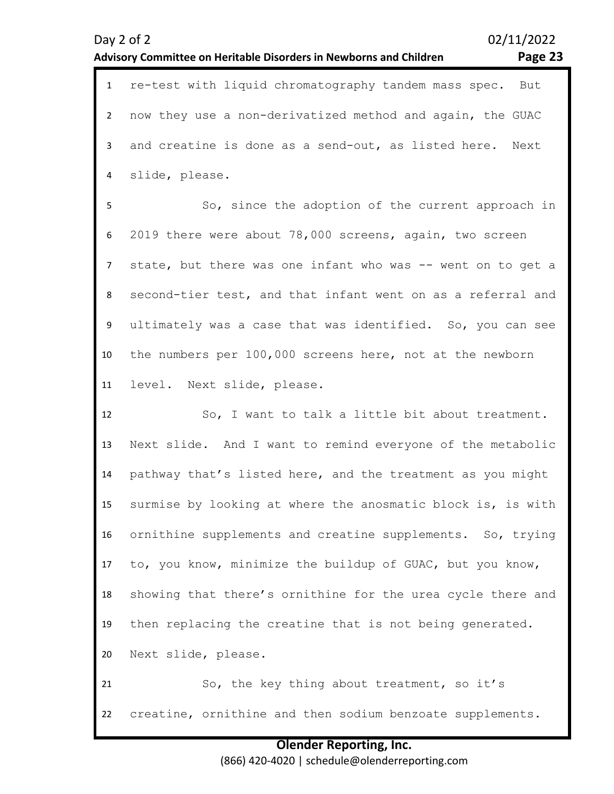| $\mathbf{1}$   | re-test with liquid chromatography tandem mass spec. But    |
|----------------|-------------------------------------------------------------|
| $\overline{2}$ | now they use a non-derivatized method and again, the GUAC   |
| 3              | and creatine is done as a send-out, as listed here. Next    |
| 4              | slide, please.                                              |
| 5              | So, since the adoption of the current approach in           |
| 6              | 2019 there were about 78,000 screens, again, two screen     |
| $\overline{7}$ | state, but there was one infant who was -- went on to get a |
| 8              | second-tier test, and that infant went on as a referral and |
| 9              | ultimately was a case that was identified. So, you can see  |
| 10             | the numbers per 100,000 screens here, not at the newborn    |
| 11             | level. Next slide, please.                                  |
| 12             | So, I want to talk a little bit about treatment.            |
| 13             |                                                             |
|                | Next slide. And I want to remind everyone of the metabolic  |
| 14             | pathway that's listed here, and the treatment as you might  |
| 15             | surmise by looking at where the anosmatic block is, is with |
| 16             | ornithine supplements and creatine supplements. So, trying  |
| 17             | to, you know, minimize the buildup of GUAC, but you know,   |
| 18             | showing that there's ornithine for the urea cycle there and |
| 19             | then replacing the creatine that is not being generated.    |

21 22 So, the key thing about treatment, so it's creatine, ornithine and then sodium benzoate supplements.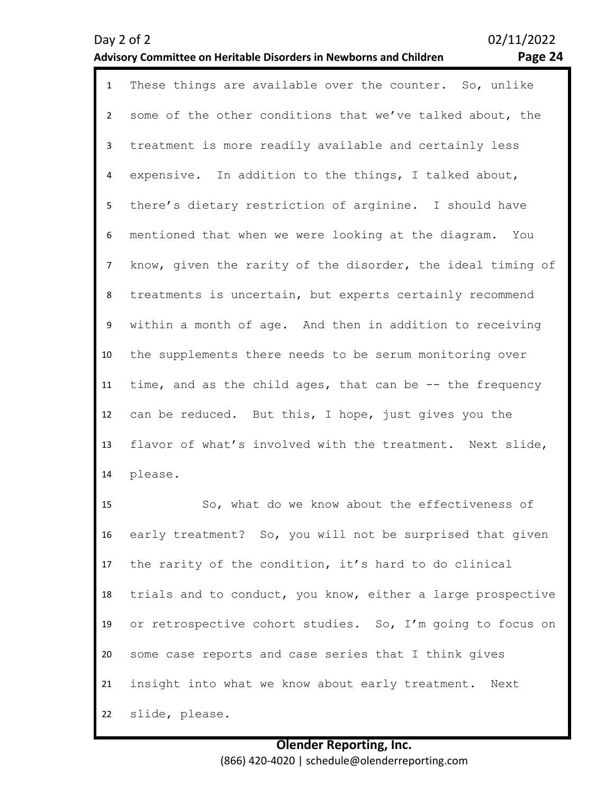### **Advisory Committee on Heritable Disorders in Newborns and Children Page 24**

| $\mathbf{1}$   | These things are available over the counter. So, unlike     |
|----------------|-------------------------------------------------------------|
| $2^{\circ}$    | some of the other conditions that we've talked about, the   |
| $\mathbf{3}$   | treatment is more readily available and certainly less      |
| 4              | expensive. In addition to the things, I talked about,       |
| 5              | there's dietary restriction of arginine. I should have      |
| 6              | mentioned that when we were looking at the diagram. You     |
| $\overline{7}$ | know, given the rarity of the disorder, the ideal timing of |
| 8              | treatments is uncertain, but experts certainly recommend    |
| 9              | within a month of age. And then in addition to receiving    |
| 10             | the supplements there needs to be serum monitoring over     |
| 11             | time, and as the child ages, that can be -- the frequency   |
| 12             | can be reduced. But this, I hope, just gives you the        |
| 13             | flavor of what's involved with the treatment. Next slide,   |
| 14             | please.                                                     |

15 16 17 18 19 20 21 22 So, what do we know about the effectiveness of early treatment? So, you will not be surprised that given the rarity of the condition, it's hard to do clinical trials and to conduct, you know, either a large prospective or retrospective cohort studies. So, I'm going to focus on some case reports and case series that I think gives insight into what we know about early treatment. Next slide, please.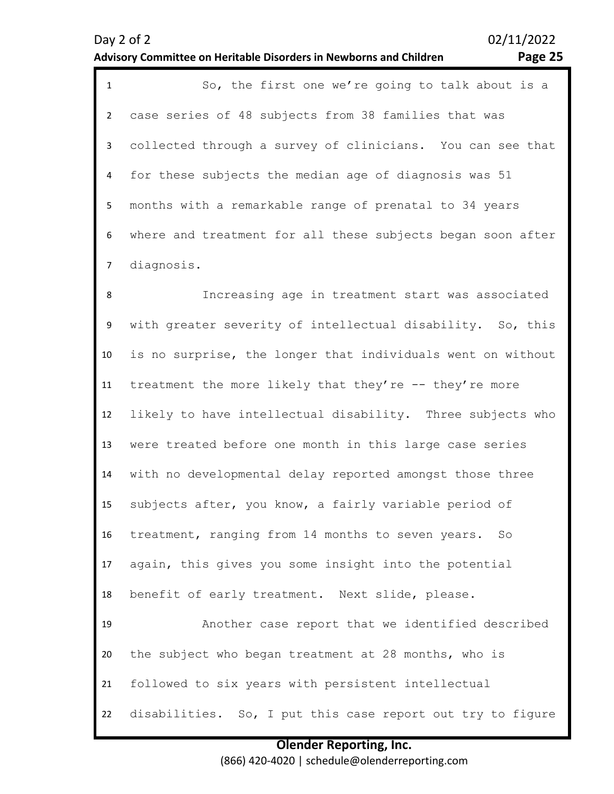# **Olender Reporting, Inc.**

(866) 420-4020 | schedule@olenderreporting.com

| Day 2 of 2                                                         | 02/11/2022 |
|--------------------------------------------------------------------|------------|
| Advisory Committee on Heritable Disorders in Newborns and Children | Page 25    |

1 So, the first one we're going to talk about is a 2 3 4 5 6 7 case series of 48 subjects from 38 families that was collected through a survey of clinicians. You can see that for these subjects the median age of diagnosis was 51 months with a remarkable range of prenatal to 34 years where and treatment for all these subjects began soon after diagnosis.

8 9 10 11 12 13 14 15 16 17 18 19 20 21 22 Increasing age in treatment start was associated with greater severity of intellectual disability. So, this is no surprise, the longer that individuals went on without treatment the more likely that they're -- they're more likely to have intellectual disability. Three subjects who were treated before one month in this large case series with no developmental delay reported amongst those three subjects after, you know, a fairly variable period of treatment, ranging from 14 months to seven years. So again, this gives you some insight into the potential benefit of early treatment. Next slide, please. Another case report that we identified described the subject who began treatment at 28 months, who is followed to six years with persistent intellectual disabilities. So, I put this case report out try to figure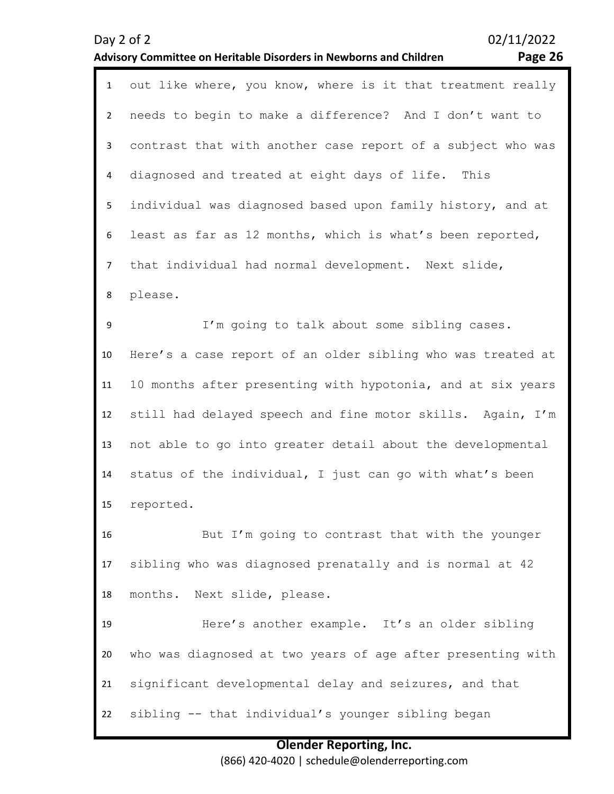## **Advisory Committee on Heritable Disorders in Newborns and Children Page 26**

| $\mathbf{1}$   | out like where, you know, where is it that treatment really |
|----------------|-------------------------------------------------------------|
| $\overline{2}$ | needs to begin to make a difference? And I don't want to    |
| 3              | contrast that with another case report of a subject who was |
| 4              | diagnosed and treated at eight days of life. This           |
| 5              | individual was diagnosed based upon family history, and at  |
| 6              | least as far as 12 months, which is what's been reported,   |
| $\overline{7}$ | that individual had normal development. Next slide,         |
| 8              | please.                                                     |
| 9              | I'm going to talk about some sibling cases.                 |
| 10             | Here's a case report of an older sibling who was treated at |
| 11             | 10 months after presenting with hypotonia, and at six years |
| 12             | still had delayed speech and fine motor skills. Again, I'm  |
| 13             | not able to go into greater detail about the developmental  |
| 14             | status of the individual, I just can go with what's been    |
| 15             | reported.                                                   |
| 16             | But I'm going to contrast that with the younger             |
| 17             | sibling who was diagnosed prenatally and is normal at 42    |
| 18             | months. Next slide, please.                                 |
| 19             | Here's another example. It's an older sibling               |
| 20             | who was diagnosed at two years of age after presenting with |
| 21             | significant developmental delay and seizures, and that      |
| 22             | sibling -- that individual's younger sibling began          |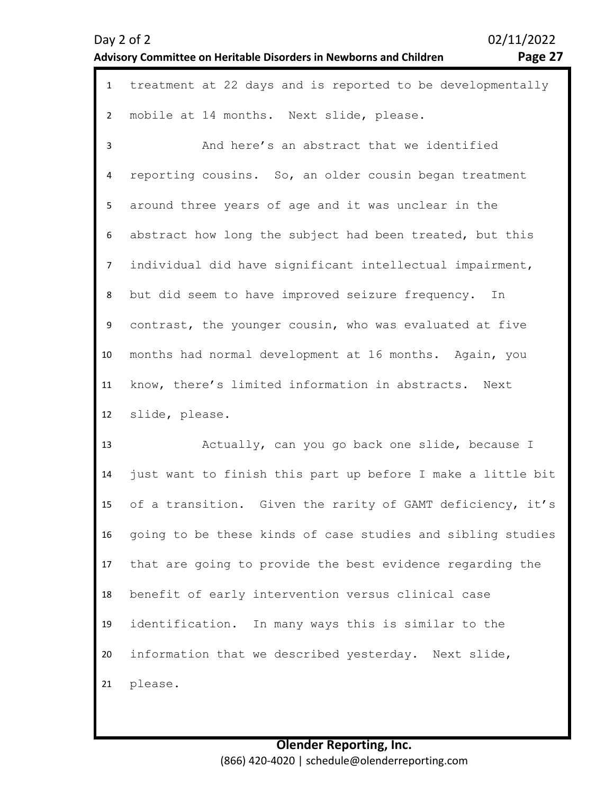| $\mathbf{1}$   | treatment at 22 days and is reported to be developmentally  |
|----------------|-------------------------------------------------------------|
| $\overline{2}$ | mobile at 14 months. Next slide, please.                    |
| $\overline{3}$ | And here's an abstract that we identified                   |
| 4              | reporting cousins. So, an older cousin began treatment      |
| 5              | around three years of age and it was unclear in the         |
| 6              | abstract how long the subject had been treated, but this    |
| 7 <sup>7</sup> | individual did have significant intellectual impairment,    |
| 8              | but did seem to have improved seizure frequency. In         |
| 9              | contrast, the younger cousin, who was evaluated at five     |
| 10             | months had normal development at 16 months. Again, you      |
| 11             | know, there's limited information in abstracts. Next        |
| 12             | slide, please.                                              |
| 13             | Actually, can you go back one slide, because I              |
| 14             | just want to finish this part up before I make a little bit |
| 15             | of a transition. Given the rarity of GAMT deficiency, it's  |
| 16             | going to be these kinds of case studies and sibling studies |
| 17             | that are going to provide the best evidence regarding the   |
| 18             | benefit of early intervention versus clinical case          |
| 19             | identification. In many ways this is similar to the         |
| 20             | information that we described yesterday. Next slide,        |
| 21             | please.                                                     |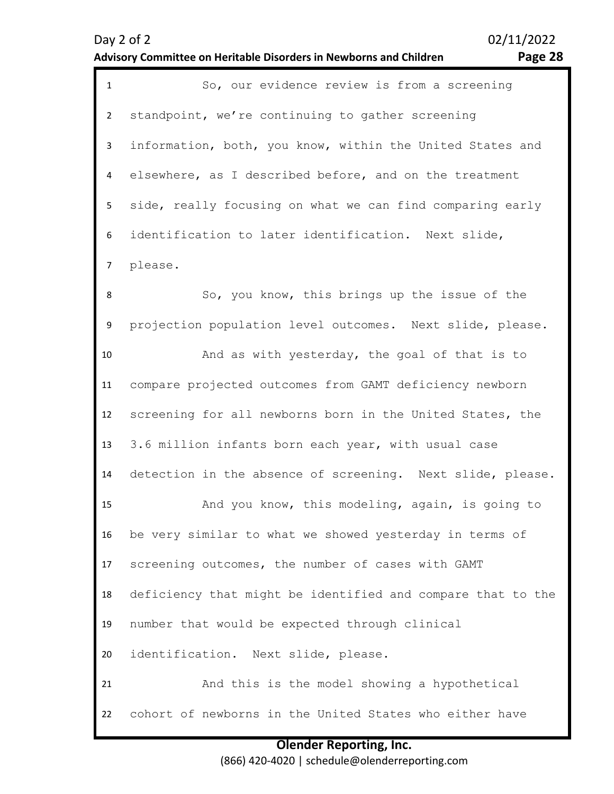1 So, our evidence review is from a screening 2 3 4 5 6 7 8 9 10 11 standpoint, we're continuing to gather screening information, both, you know, within the United States and elsewhere, as I described before, and on the treatment side, really focusing on what we can find comparing early identification to later identification. Next slide, please. So, you know, this brings up the issue of the projection population level outcomes. Next slide, please. And as with yesterday, the goal of that is to compare projected outcomes from GAMT deficiency newborn

12 13 screening for all newborns born in the United States, the 3.6 million infants born each year, with usual case

14 detection in the absence of screening. Next slide, please.

15 16 17 18 19 20 And you know, this modeling, again, is going to be very similar to what we showed yesterday in terms of screening outcomes, the number of cases with GAMT deficiency that might be identified and compare that to the number that would be expected through clinical identification. Next slide, please.

21 22 And this is the model showing a hypothetical cohort of newborns in the United States who either have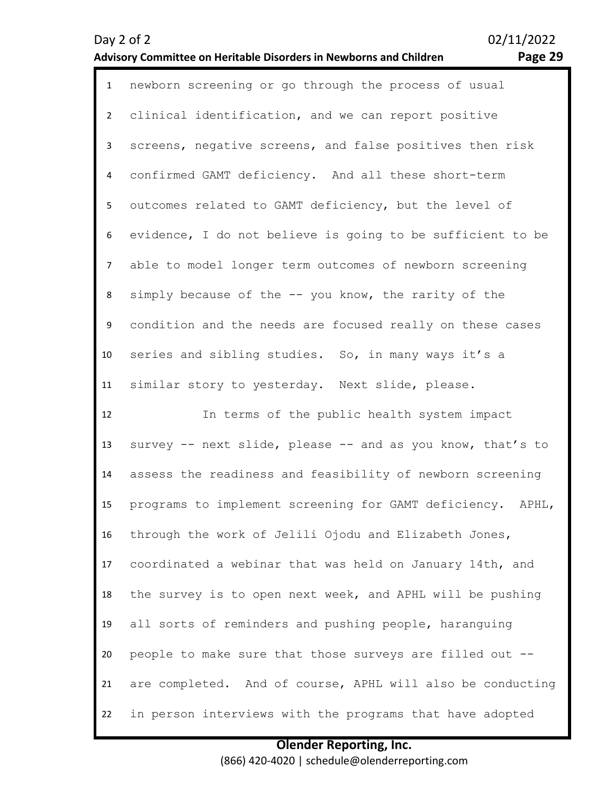| $\mathbf{1}$    | newborn screening or go through the process of usual       |
|-----------------|------------------------------------------------------------|
| $2^{\circ}$     | clinical identification, and we can report positive        |
| 3               | screens, negative screens, and false positives then risk   |
| 4               | confirmed GAMT deficiency. And all these short-term        |
| 5               | outcomes related to GAMT deficiency, but the level of      |
| 6               | evidence, I do not believe is going to be sufficient to be |
| $\overline{7}$  | able to model longer term outcomes of newborn screening    |
| 8               | simply because of the -- you know, the rarity of the       |
| 9               | condition and the needs are focused really on these cases  |
| 10 <sup>°</sup> | series and sibling studies. So, in many ways it's a        |
| 11              | similar story to yesterday. Next slide, please.            |
|                 |                                                            |
| 12              | In terms of the public health system impact                |
| 13              | survey -- next slide, please -- and as you know, that's to |
| 14              | assess the readiness and feasibility of newborn screening  |
| 15              | programs to implement screening for GAMT deficiency. APHL, |
| 16              | through the work of Jelili Ojodu and Elizabeth Jones,      |
| 17              | coordinated a webinar that was held on January 14th, and   |
| 18              | the survey is to open next week, and APHL will be pushing  |
| 19              | all sorts of reminders and pushing people, haranguing      |
| 20              | people to make sure that those surveys are filled out --   |
| 21              | are completed. And of course, APHL will also be conducting |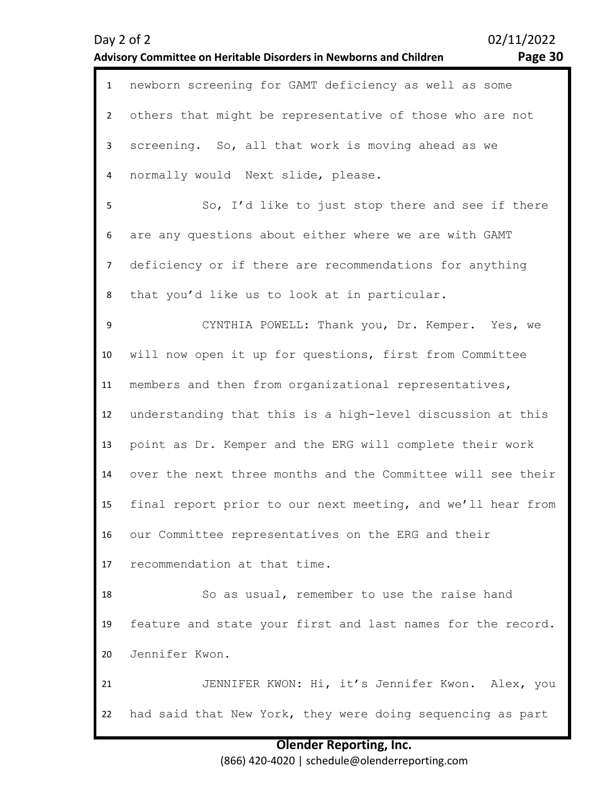### Day 2 of 2 02/11/2022 **Advisory Committee on Heritable Disorders in Newborns and Children Page 30** 1 newborn screening for GAMT deficiency as well as some  $\overline{\phantom{a}}$ 3 4 5 6 7 8 9 10 11 12 13 14 15 16 17 18 19 20 21 22 others that might be representative of those who are not screening. So, all that work is moving ahead as we normally would Next slide, please. So, I'd like to just stop there and see if there are any questions about either where we are with GAMT deficiency or if there are recommendations for anything that you'd like us to look at in particular. CYNTHIA POWELL: Thank you, Dr. Kemper. Yes, we will now open it up for questions, first from Committee members and then from organizational representatives, understanding that this is a high-level discussion at this point as Dr. Kemper and the ERG will complete their work over the next three months and the Committee will see their final report prior to our next meeting, and we'll hear from our Committee representatives on the ERG and their recommendation at that time. So as usual, remember to use the raise hand feature and state your first and last names for the record. Jennifer Kwon. JENNIFER KWON: Hi, it's Jennifer Kwon. Alex, you had said that New York, they were doing sequencing as part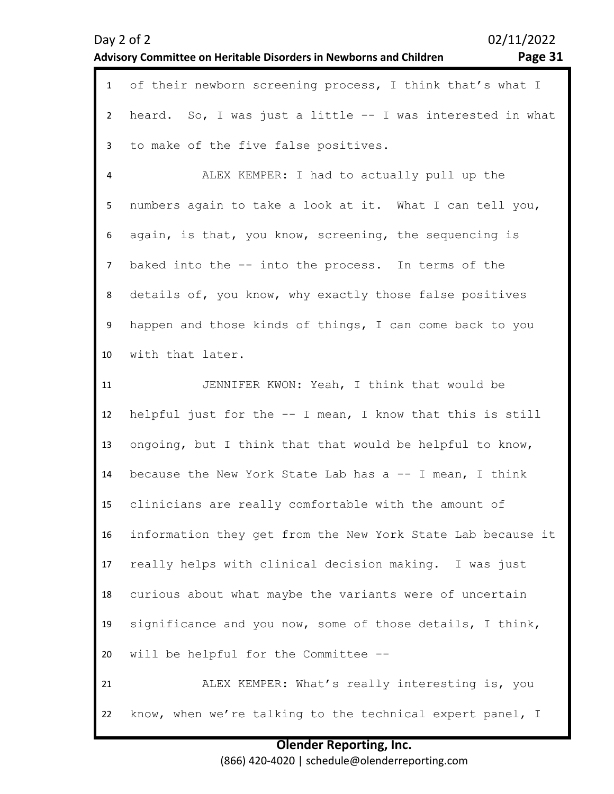| $\mathbf{1}$   | of their newborn screening process, I think that's what I   |
|----------------|-------------------------------------------------------------|
| $\mathbf{2}$   | heard. So, I was just a little -- I was interested in what  |
| $\mathbf{3}$   | to make of the five false positives.                        |
| 4              | ALEX KEMPER: I had to actually pull up the                  |
| 5 <sub>1</sub> | numbers again to take a look at it. What I can tell you,    |
| 6              | again, is that, you know, screening, the sequencing is      |
| $\overline{7}$ | baked into the -- into the process. In terms of the         |
| 8              | details of, you know, why exactly those false positives     |
| 9              | happen and those kinds of things, I can come back to you    |
| 10             | with that later.                                            |
| 11             | JENNIFER KWON: Yeah, I think that would be                  |
| 12             | helpful just for the -- I mean, I know that this is still   |
| 13             | ongoing, but I think that that would be helpful to know,    |
| 14             | because the New York State Lab has a -- I mean, I think     |
| 15             | clinicians are really comfortable with the amount of        |
| 16             | information they get from the New York State Lab because it |
| 17             | really helps with clinical decision making. I was just      |
| 18             | curious about what maybe the variants were of uncertain     |
| 19             | significance and you now, some of those details, I think,   |
| 20             | will be helpful for the Committee --                        |
| 21             | ALEX KEMPER: What's really interesting is, you              |
| 22             | know, when we're talking to the technical expert panel, I   |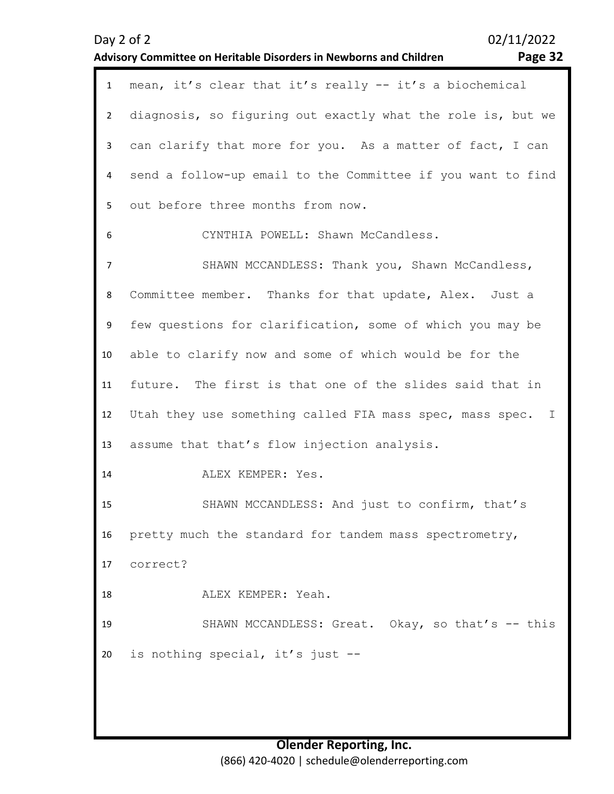|                | Page 32<br>Advisory Committee on Heritable Disorders in Newborns and Children |
|----------------|-------------------------------------------------------------------------------|
| $\mathbf{1}$   | mean, it's clear that it's really -- it's a biochemical                       |
| $\overline{2}$ | diagnosis, so figuring out exactly what the role is, but we                   |
| 3              | can clarify that more for you. As a matter of fact, I can                     |
| 4              | send a follow-up email to the Committee if you want to find                   |
| 5              | out before three months from now.                                             |
| 6              | CYNTHIA POWELL: Shawn McCandless.                                             |
| $\overline{7}$ | SHAWN MCCANDLESS: Thank you, Shawn McCandless,                                |
| 8              | Committee member. Thanks for that update, Alex.<br>Just a                     |
| 9              | few questions for clarification, some of which you may be                     |
| 10             | able to clarify now and some of which would be for the                        |
| 11             | future. The first is that one of the slides said that in                      |
| 12             | Utah they use something called FIA mass spec, mass spec.<br>$\mathbb{I}$      |
| 13             | assume that that's flow injection analysis.                                   |
| 14             | ALEX KEMPER: Yes.                                                             |
| 15             | SHAWN MCCANDLESS: And just to confirm, that's                                 |

16 pretty much the standard for tandem mass spectrometry,

17 correct?

18 ALEX KEMPER: Yeah.

19 20 SHAWN MCCANDLESS: Great. Okay, so that's -- this is nothing special, it's just --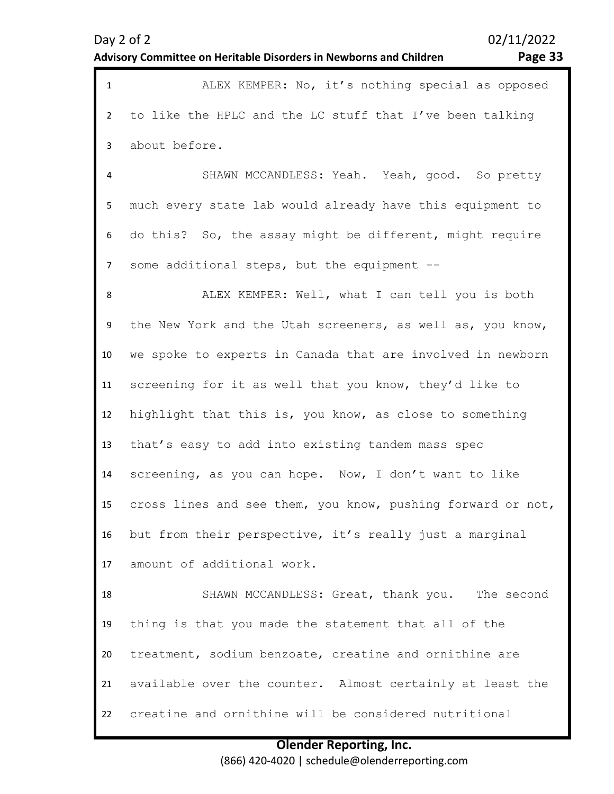| Dav | ╯ | ΩT |  |
|-----|---|----|--|
|-----|---|----|--|

02/11/2022

### **Advisory Committee on Heritable Disorders in Newborns and Children Page 33**

| ALEX KEMPER: No, it's nothing special as opposed           |
|------------------------------------------------------------|
| 2 to like the HPLC and the LC stuff that I've been talking |
| 3 about before.                                            |
| SHAWN MCCANDLESS: Yeah. Yeah, good. So pretty              |

5 6 7 much every state lab would already have this equipment to do this? So, the assay might be different, might require some additional steps, but the equipment --

8 9 10 11 12 13 14 15 16 17 ALEX KEMPER: Well, what I can tell you is both the New York and the Utah screeners, as well as, you know, we spoke to experts in Canada that are involved in newborn screening for it as well that you know, they'd like to highlight that this is, you know, as close to something that's easy to add into existing tandem mass spec screening, as you can hope. Now, I don't want to like cross lines and see them, you know, pushing forward or not, but from their perspective, it's really just a marginal amount of additional work.

18 19 20 21 22 SHAWN MCCANDLESS: Great, thank you. The second thing is that you made the statement that all of the treatment, sodium benzoate, creatine and ornithine are available over the counter. Almost certainly at least the creatine and ornithine will be considered nutritional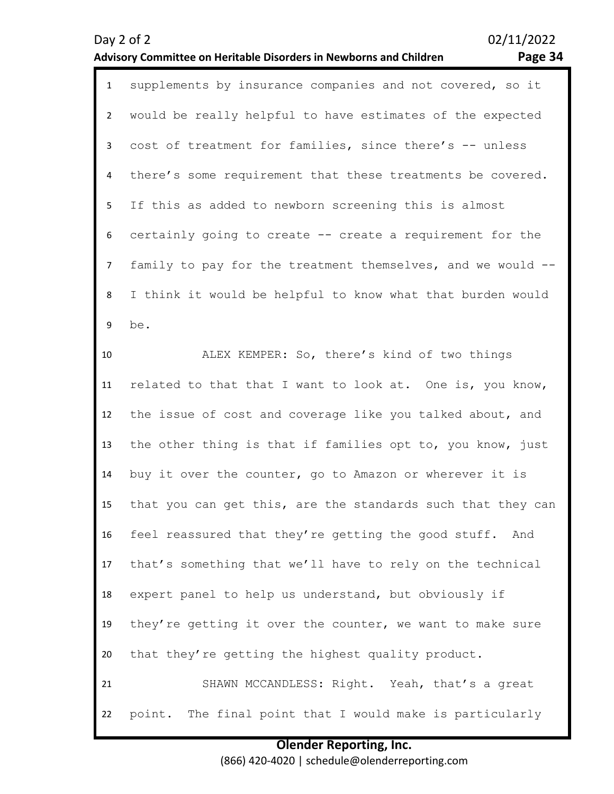### **Advisory Committee on Heritable Disorders in Newborns and Children Page 34**

Day 2 of 2 02/11/2022

| $\mathbf{1}$    | supplements by insurance companies and not covered, so it   |
|-----------------|-------------------------------------------------------------|
| $\overline{2}$  | would be really helpful to have estimates of the expected   |
| 3               | cost of treatment for families, since there's -- unless     |
| 4               | there's some requirement that these treatments be covered.  |
| 5 <sup>1</sup>  | If this as added to newborn screening this is almost        |
| 6               | certainly going to create -- create a requirement for the   |
| $7\overline{ }$ | family to pay for the treatment themselves, and we would -- |
| 8               | I think it would be helpful to know what that burden would  |
| 9               | be.                                                         |
| 10              | ALEX KEMPER: So, there's kind of two things                 |
| 11              | related to that that I want to look at. One is, you know,   |
| 12              | the issue of cost and coverage like you talked about, and   |
| 13              | the other thing is that if families opt to, you know, just  |
| 14              | buy it over the counter, go to Amazon or wherever it is     |
| 15              | that you can get this, are the standards such that they can |

16 17 feel reassured that they're getting the good stuff. And that's something that we'll have to rely on the technical

18 19 20 expert panel to help us understand, but obviously if they're getting it over the counter, we want to make sure that they're getting the highest quality product.

21 22 SHAWN MCCANDLESS: Right. Yeah, that's a great point. The final point that I would make is particularly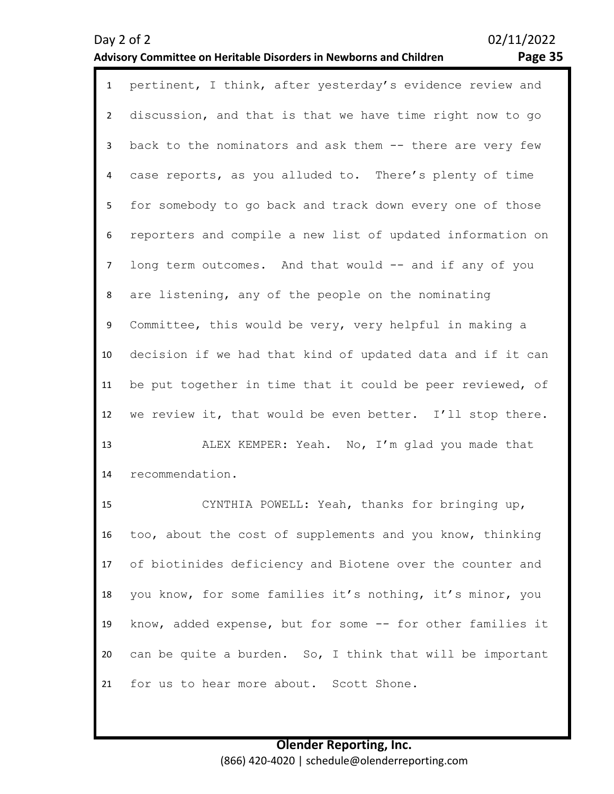1 pertinent, I think, after yesterday's evidence review and discussion, and that is that we have time right now to go back to the nominators and ask them -- there are very few case reports, as you alluded to. There's plenty of time for somebody to go back and track down every one of those reporters and compile a new list of updated information on long term outcomes. And that would -- and if any of you are listening, any of the people on the nominating Committee, this would be very, very helpful in making a

decision if we had that kind of updated data and if it can

be put together in time that it could be peer reviewed, of

we review it, that would be even better. I'll stop there.

ALEX KEMPER: Yeah. No, I'm glad you made that

14 recommendation.

2

3

4

5

6

7

8

9

10

11

12

13

15 16 17 18 19 20 21 CYNTHIA POWELL: Yeah, thanks for bringing up, too, about the cost of supplements and you know, thinking of biotinides deficiency and Biotene over the counter and you know, for some families it's nothing, it's minor, you know, added expense, but for some -- for other families it can be quite a burden. So, I think that will be important for us to hear more about. Scott Shone.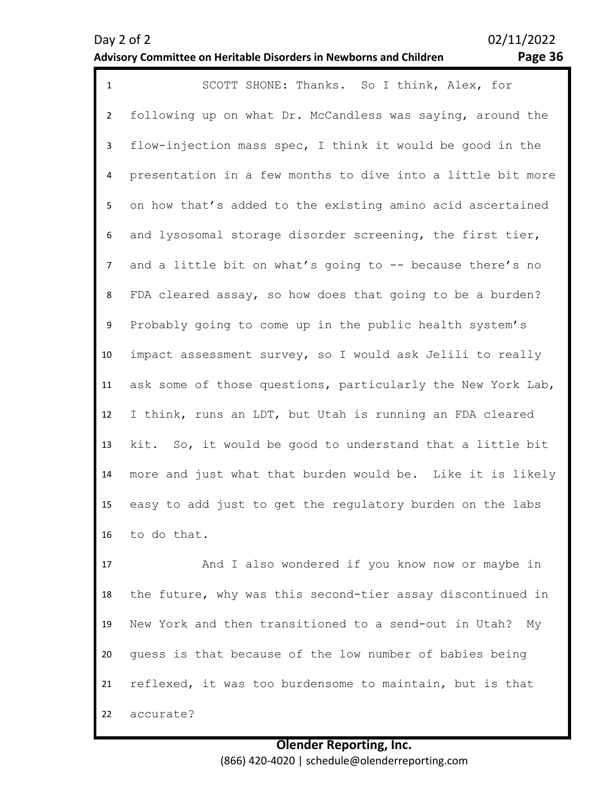### **Advisory Committee on Heritable Disorders in Newborns and Children Page 36**

1 SCOTT SHONE: Thanks. So I think, Alex, for 2 3 4 5 6 7 8 9 10 11 12 13 14 15 16 following up on what Dr. McCandless was saying, around the flow-injection mass spec, I think it would be good in the presentation in a few months to dive into a little bit more on how that's added to the existing amino acid ascertained and lysosomal storage disorder screening, the first tier, and a little bit on what's going to -- because there's no FDA cleared assay, so how does that going to be a burden? Probably going to come up in the public health system's impact assessment survey, so I would ask Jelili to really ask some of those questions, particularly the New York Lab, I think, runs an LDT, but Utah is running an FDA cleared kit. So, it would be good to understand that a little bit more and just what that burden would be. Like it is likely easy to add just to get the regulatory burden on the labs to do that.

17 18 19 20 21 22 And I also wondered if you know now or maybe in the future, why was this second-tier assay discontinued in New York and then transitioned to a send-out in Utah? My guess is that because of the low number of babies being reflexed, it was too burdensome to maintain, but is that accurate?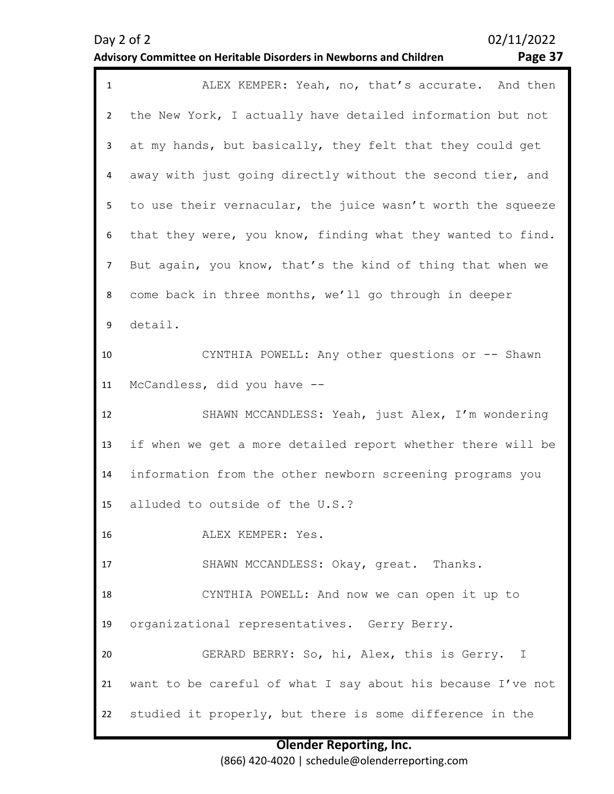### **Advisory Committee on Heritable Disorders in Newborns and Children Page 37**

### 1 ALEX KEMPER: Yeah, no, that's accurate. And then  $\overline{\phantom{a}}$ 3 4 5 6 7 8 9 10 11 12 13 14 15 16 17 18 19 20 21 22 the New York, I actually have detailed information but not at my hands, but basically, they felt that they could get away with just going directly without the second tier, and to use their vernacular, the juice wasn't worth the squeeze that they were, you know, finding what they wanted to find. But again, you know, that's the kind of thing that when we come back in three months, we'll go through in deeper detail. CYNTHIA POWELL: Any other questions or -- Shawn McCandless, did you have -- SHAWN MCCANDLESS: Yeah, just Alex, I'm wondering if when we get a more detailed report whether there will be information from the other newborn screening programs you alluded to outside of the U.S.? ALEX KEMPER: Yes. SHAWN MCCANDLESS: Okay, great. Thanks. CYNTHIA POWELL: And now we can open it up to organizational representatives. Gerry Berry. GERARD BERRY: So, hi, Alex, this is Gerry. I want to be careful of what I say about his because I've not studied it properly, but there is some difference in the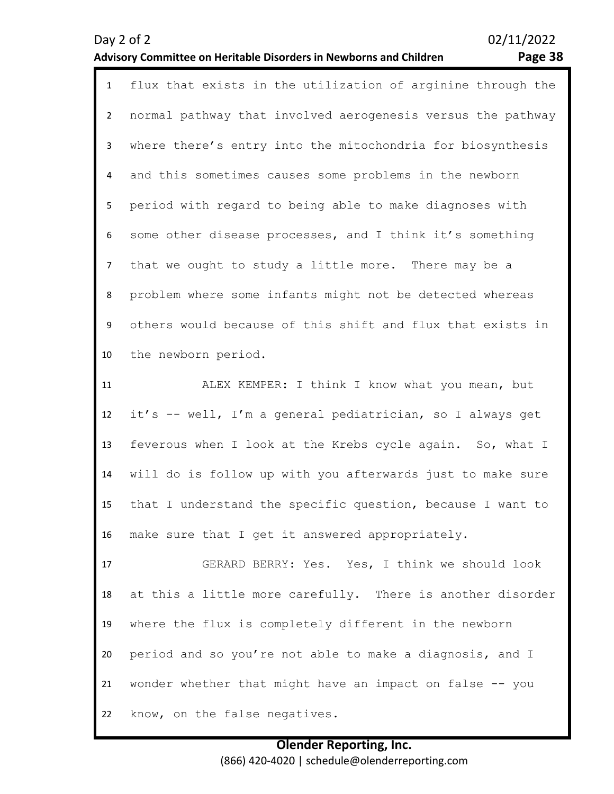### **Advisory Committee on Heritable Disorders in Newborns and Children Page 38**

| flux that exists in the utilization of arginine through the |
|-------------------------------------------------------------|
| normal pathway that involved aerogenesis versus the pathway |
| where there's entry into the mitochondria for biosynthesis  |
| and this sometimes causes some problems in the newborn      |
| period with regard to being able to make diagnoses with     |
| some other disease processes, and I think it's something    |
| that we ought to study a little more. There may be a        |
| problem where some infants might not be detected whereas    |
| others would because of this shift and flux that exists in  |
| the newborn period.                                         |
| ALEX KEMPER: I think I know what you mean, but              |
| it's -- well, I'm a general pediatrician, so I always get   |
| feverous when I look at the Krebs cycle again. So, what I   |
| will do is follow up with you afterwards just to make sure  |
| that I understand the specific question, because I want to  |
| make sure that I get it answered appropriately.             |
| GERARD BERRY: Yes. Yes, I think we should look              |
| at this a little more carefully. There is another disorder  |
|                                                             |
| where the flux is completely different in the newborn       |
|                                                             |

21 wonder whether that might have an impact on false -- you

22 know, on the false negatives.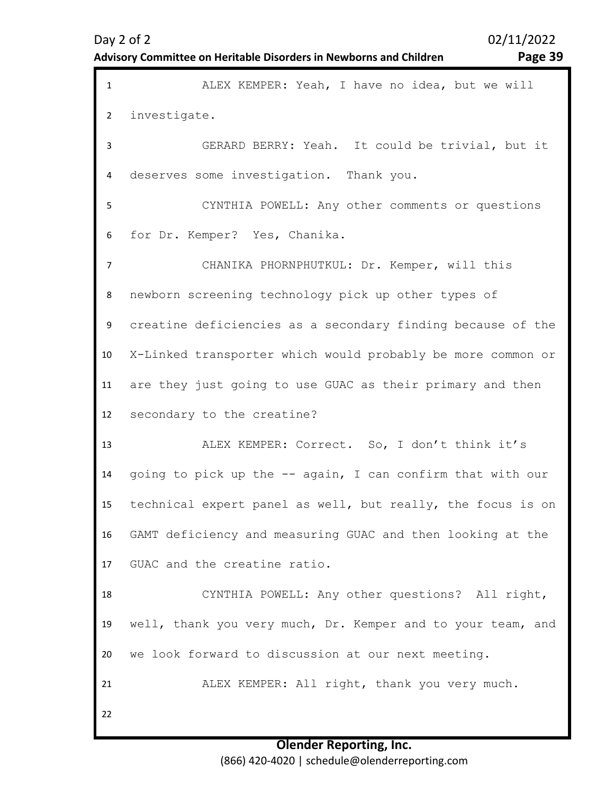| <b>Advisory Committee on Heritable Disorders in Newborns and Children</b> |  |  |  |
|---------------------------------------------------------------------------|--|--|--|
|---------------------------------------------------------------------------|--|--|--|

Page 39

| $\mathbf{1}$   | ALEX KEMPER: Yeah, I have no idea, but we will              |
|----------------|-------------------------------------------------------------|
| $\overline{2}$ | investigate.                                                |
| $\mathbf{3}$   | GERARD BERRY: Yeah. It could be trivial, but it             |
| 4              | deserves some investigation. Thank you.                     |
| 5              | CYNTHIA POWELL: Any other comments or questions             |
| 6              | for Dr. Kemper? Yes, Chanika.                               |
| $\overline{7}$ | CHANIKA PHORNPHUTKUL: Dr. Kemper, will this                 |
| 8              | newborn screening technology pick up other types of         |
| 9              | creatine deficiencies as a secondary finding because of the |
| 10             | X-Linked transporter which would probably be more common or |
| 11             | are they just going to use GUAC as their primary and then   |
| 12             | secondary to the creatine?                                  |
| 13             | ALEX KEMPER: Correct. So, I don't think it's                |
| 14             | going to pick up the -- again, I can confirm that with our  |
| 15             | technical expert panel as well, but really, the focus is on |
| 16             | GAMT deficiency and measuring GUAC and then looking at the  |
| 17             | GUAC and the creatine ratio.                                |
| 18             | CYNTHIA POWELL: Any other questions? All right,             |
| 19             | well, thank you very much, Dr. Kemper and to your team, and |
| 20             | we look forward to discussion at our next meeting.          |
| 21             | ALEX KEMPER: All right, thank you very much.                |
| 22             |                                                             |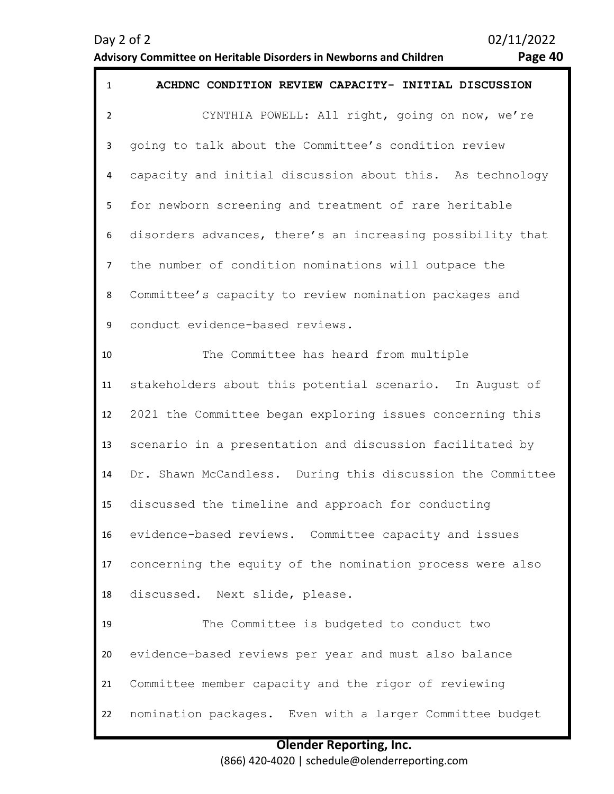### **Advisory Committee on Heritable Disorders in Newborns and Children Page 40**

| $\mathbf{1}$   | ACHDNC CONDITION REVIEW CAPACITY- INITIAL DISCUSSION       |
|----------------|------------------------------------------------------------|
| $\overline{2}$ | CYNTHIA POWELL: All right, going on now, we're             |
| 3              | going to talk about the Committee's condition review       |
| 4              | capacity and initial discussion about this. As technology  |
| 5              | for newborn screening and treatment of rare heritable      |
| 6              | disorders advances, there's an increasing possibility that |
| $\overline{7}$ | the number of condition nominations will outpace the       |
| 8              | Committee's capacity to review nomination packages and     |
| 9              | conduct evidence-based reviews.                            |
| 10             | The Committee has heard from multiple                      |
| 11             | stakeholders about this potential scenario. In August of   |
| 12             | 2021 the Committee began exploring issues concerning this  |
| 13             | scenario in a presentation and discussion facilitated by   |
| 14             | Dr. Shawn McCandless. During this discussion the Committee |
| 15             | discussed the timeline and approach for conducting         |
| 16             | evidence-based reviews. Committee capacity and issues      |
| 17             | concerning the equity of the nomination process were also  |
| 18             | discussed. Next slide, please.                             |
| 19             | The Committee is budgeted to conduct two                   |
| 20             | evidence-based reviews per year and must also balance      |
| 21             | Committee member capacity and the rigor of reviewing       |
| 22             | nomination packages. Even with a larger Committee budget   |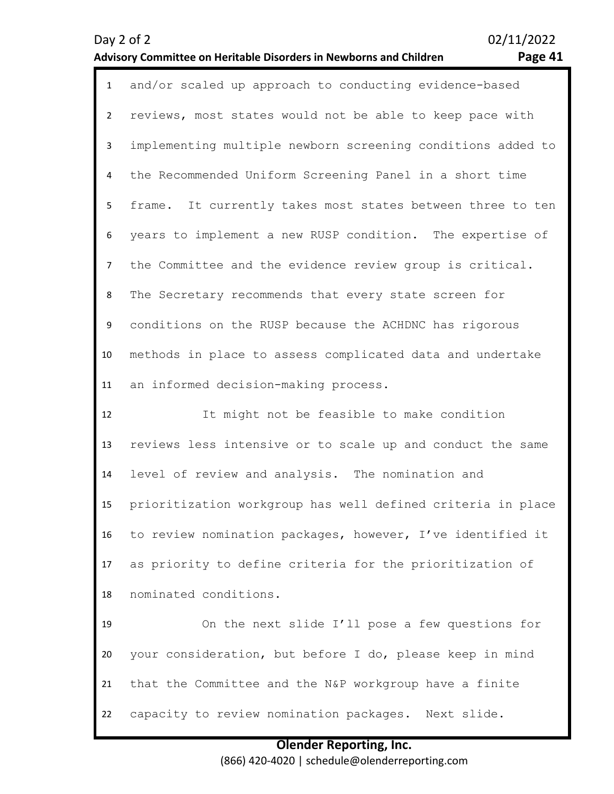### **Advisory Committee on Heritable Disorders in Newborns and Children Page 41**

| ., |
|----|
|----|

| $\mathbf{1}$   | and/or scaled up approach to conducting evidence-based      |
|----------------|-------------------------------------------------------------|
| $\overline{2}$ | reviews, most states would not be able to keep pace with    |
| 3              | implementing multiple newborn screening conditions added to |
| 4              | the Recommended Uniform Screening Panel in a short time     |
| 5              | frame. It currently takes most states between three to ten  |
| 6              | years to implement a new RUSP condition. The expertise of   |
| $\overline{7}$ | the Committee and the evidence review group is critical.    |
| 8              | The Secretary recommends that every state screen for        |
| 9              | conditions on the RUSP because the ACHDNC has rigorous      |
| 10             | methods in place to assess complicated data and undertake   |
| 11             | an informed decision-making process.                        |
| 12             | It might not be feasible to make condition                  |
| 13             | reviews less intensive or to scale up and conduct the same  |
|                |                                                             |
| 14             | level of review and analysis. The nomination and            |
| 15             | prioritization workgroup has well defined criteria in place |
| 16             | to review nomination packages, however, I've identified it  |
| 17             | as priority to define criteria for the prioritization of    |
| 18             | nominated conditions.                                       |
| 19             | On the next slide I'll pose a few questions for             |
| 20             | your consideration, but before I do, please keep in mind    |
| 21             | that the Committee and the N&P workgroup have a finite      |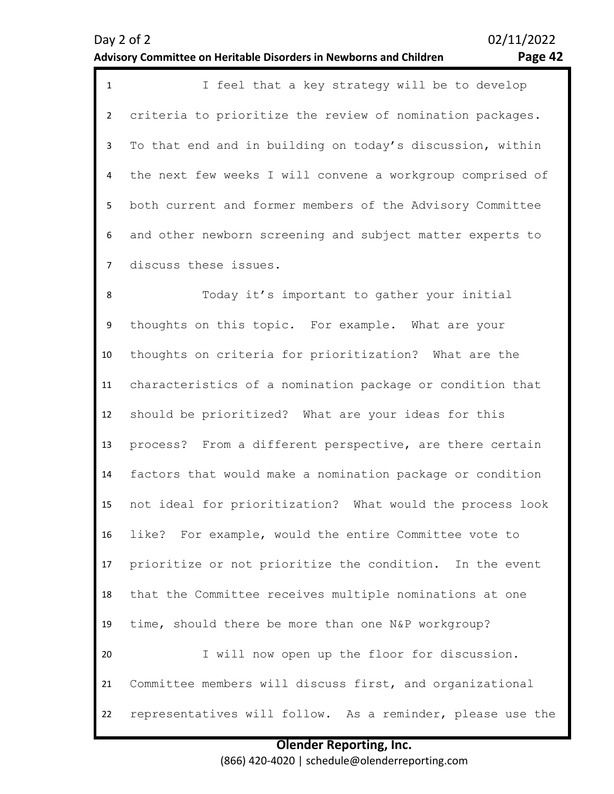# not ideal for prioritization? What would the process look

16 17 18 19 20 21 like? For example, would the entire Committee vote to prioritize or not prioritize the condition. In the event that the Committee receives multiple nominations at one time, should there be more than one N&P workgroup? I will now open up the floor for discussion. Committee members will discuss first, and organizational

22 representatives will follow. As a reminder, please use the

> **Olender Reporting, Inc.** (866) 420-4020 | schedule@olenderreporting.com

| Day $2$ of $2$                                                     | 02/11/2022 |
|--------------------------------------------------------------------|------------|
| Advisory Committee on Heritable Disorders in Newborns and Children | Page 42    |

8

9

10

11

12

13

14

15

| 1 | I feel that a key strategy will be to develop                |
|---|--------------------------------------------------------------|
|   | 2 criteria to prioritize the review of nomination packages.  |
|   | 3 To that end and in building on today's discussion, within  |
|   | 4 the next few weeks I will convene a workgroup comprised of |
|   | 5 both current and former members of the Advisory Committee  |
|   | 6 and other newborn screening and subject matter experts to  |
|   | 7 discuss these issues.                                      |

thoughts on this topic. For example. What are your

should be prioritized? What are your ideas for this

thoughts on criteria for prioritization? What are the

characteristics of a nomination package or condition that

process? From a different perspective, are there certain

factors that would make a nomination package or condition

Today it's important to gather your initial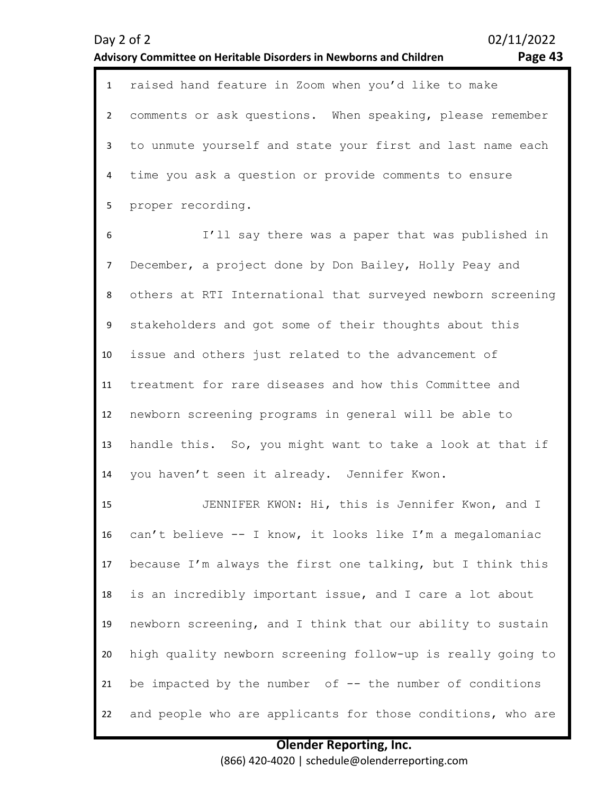**Advisory Committee on Heritable Disorders in Newborns and Children Page 43**

1 raised hand feature in Zoom when you'd like to make  $\overline{\phantom{0}}$ 3 4 5 comments or ask questions. When speaking, please remember to unmute yourself and state your first and last name each time you ask a question or provide comments to ensure proper recording.

6 7 8 9 10 11 12 13 14 I'll say there was a paper that was published in December, a project done by Don Bailey, Holly Peay and others at RTI International that surveyed newborn screening stakeholders and got some of their thoughts about this issue and others just related to the advancement of treatment for rare diseases and how this Committee and newborn screening programs in general will be able to handle this. So, you might want to take a look at that if you haven't seen it already. Jennifer Kwon.

15 16 17 18 19 20 21 22 JENNIFER KWON: Hi, this is Jennifer Kwon, and I can't believe -- I know, it looks like I'm a megalomaniac because I'm always the first one talking, but I think this is an incredibly important issue, and I care a lot about newborn screening, and I think that our ability to sustain high quality newborn screening follow-up is really going to be impacted by the number of -- the number of conditions and people who are applicants for those conditions, who are

### **Olender Reporting, Inc.** (866) 420-4020 | schedule@olenderreporting.com

Day 2 of 2 02/11/2022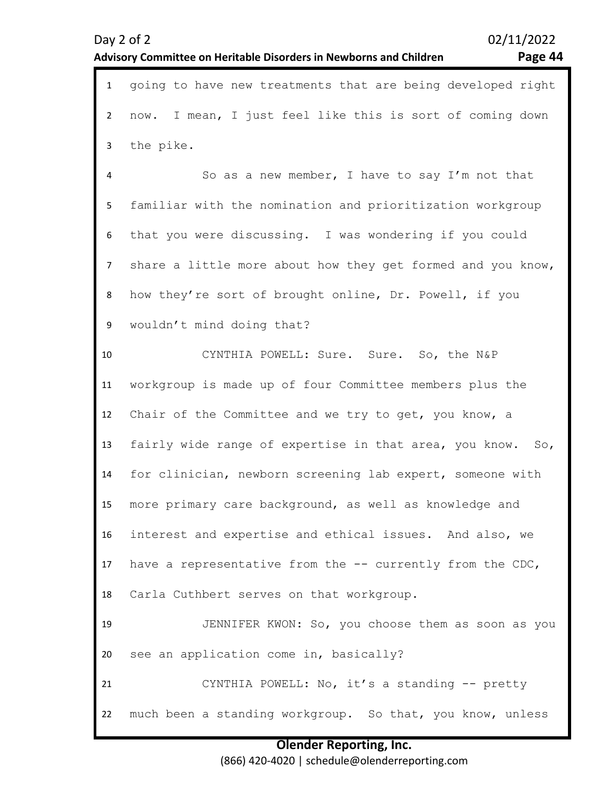**Olender Reporting, Inc.** (866) 420-4020 | schedule@olenderreporting.com

### Day 2 of 2 02/11/2022 **Advisory Committee on Heritable Disorders in Newborns and Children Page 44**

1 going to have new treatments that are being developed right

| $\overline{2}$ | now. I mean, I just feel like this is sort of coming down                 |
|----------------|---------------------------------------------------------------------------|
| 3              | the pike.                                                                 |
| 4              | So as a new member, I have to say I'm not that                            |
| 5              | familiar with the nomination and prioritization workgroup                 |
| 6              | that you were discussing. I was wondering if you could                    |
| $\overline{7}$ | share a little more about how they get formed and you know,               |
| 8              | how they're sort of brought online, Dr. Powell, if you                    |
| 9              | wouldn't mind doing that?                                                 |
| 10             | CYNTHIA POWELL: Sure. Sure. So, the N&P                                   |
| 11             | workgroup is made up of four Committee members plus the                   |
| 12             | Chair of the Committee and we try to get, you know, a                     |
| 13             | fairly wide range of expertise in that area, you know.<br>SO <sub>1</sub> |
| 14             | for clinician, newborn screening lab expert, someone with                 |
| 15             | more primary care background, as well as knowledge and                    |
| 16             | interest and expertise and ethical issues. And also, we                   |
| 17             | have a representative from the -- currently from the CDC,                 |
| 18             | Carla Cuthbert serves on that workgroup.                                  |
| 19             | JENNIFER KWON: So, you choose them as soon as you                         |
| 20             | see an application come in, basically?                                    |
| 21             | CYNTHIA POWELL: No, it's a standing -- pretty                             |
| 22             | much been a standing workgroup. So that, you know, unless                 |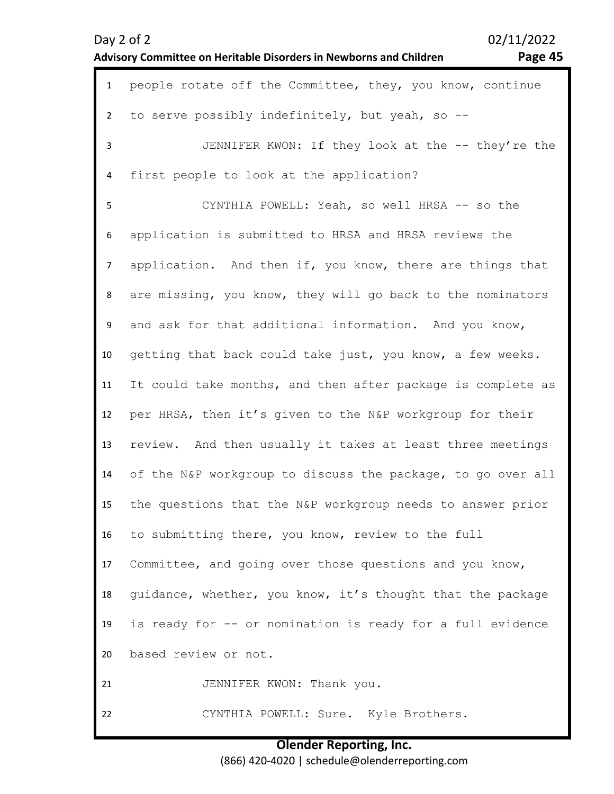| <b>Advisory Committee on Heritable Disorders in Newborns and Children</b> |  |  |
|---------------------------------------------------------------------------|--|--|
|---------------------------------------------------------------------------|--|--|

Page 45

| $\mathbf{1}$   | people rotate off the Committee, they, you know, continue   |
|----------------|-------------------------------------------------------------|
| $\overline{2}$ | to serve possibly indefinitely, but yeah, so --             |
| 3              | JENNIFER KWON: If they look at the -- they're the           |
| 4              | first people to look at the application?                    |
| 5              | CYNTHIA POWELL: Yeah, so well HRSA -- so the                |
| 6              | application is submitted to HRSA and HRSA reviews the       |
| $\overline{7}$ | application. And then if, you know, there are things that   |
| 8              | are missing, you know, they will go back to the nominators  |
| 9              | and ask for that additional information. And you know,      |
| 10             | getting that back could take just, you know, a few weeks.   |
| 11             | It could take months, and then after package is complete as |
| 12             | per HRSA, then it's given to the N&P workgroup for their    |
| 13             | review. And then usually it takes at least three meetings   |
| 14             | of the N&P workgroup to discuss the package, to go over all |
| 15             | the questions that the N&P workgroup needs to answer prior  |
| 16             | to submitting there, you know, review to the full           |
| 17             | Committee, and going over those questions and you know,     |
| 18             | guidance, whether, you know, it's thought that the package  |
| 19             | is ready for -- or nomination is ready for a full evidence  |
| 20             | based review or not.                                        |
| 21             | JENNIFER KWON: Thank you.                                   |
| 22             | CYNTHIA POWELL: Sure. Kyle Brothers.                        |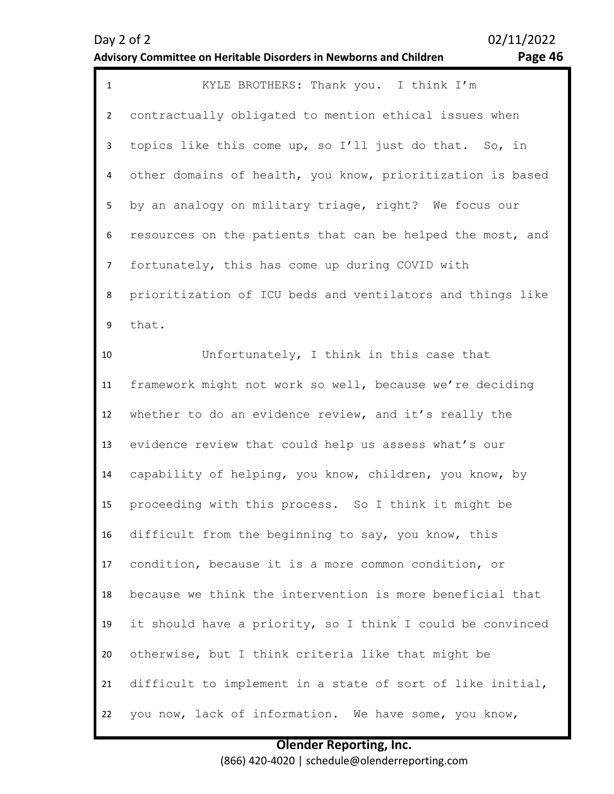### Day 2 of 2 02/11/2022 **Advisory Committee on Heritable Disorders in Newborns and Children Page 46**

| $\mathbf{1}$   | KYLE BROTHERS: Thank you. I think I'm                      |
|----------------|------------------------------------------------------------|
| $\overline{2}$ | contractually obligated to mention ethical issues when     |
| 3              | topics like this come up, so I'll just do that. So, in     |
| 4              | other domains of health, you know, prioritization is based |
| 5              | by an analogy on military triage, right? We focus our      |
| 6              | resources on the patients that can be helped the most, and |
| $\overline{7}$ | fortunately, this has come up during COVID with            |
| 8              | prioritization of ICU beds and ventilators and things like |
| 9              | that.                                                      |
| 10             | Unfortunately, I think in this case that                   |
| 11             | framework might not work so well, because we're deciding   |
| 12             | whether to do an evidence review, and it's really the      |
| 13             | evidence review that could help us assess what's our       |
| 14             | capability of helping, you know, children, you know, by    |
| 15             | proceeding with this process. So I think it might be       |
| 16             | difficult from the beginning to say, you know, this        |
| 17             | condition, because it is a more common condition, or       |
| 18             | because we think the intervention is more beneficial that  |
| 19             | it should have a priority, so I think I could be convinced |
| 20             | otherwise, but I think criteria like that might be         |
| 21             | difficult to implement in a state of sort of like initial, |
| 22             | you now, lack of information. We have some, you know,      |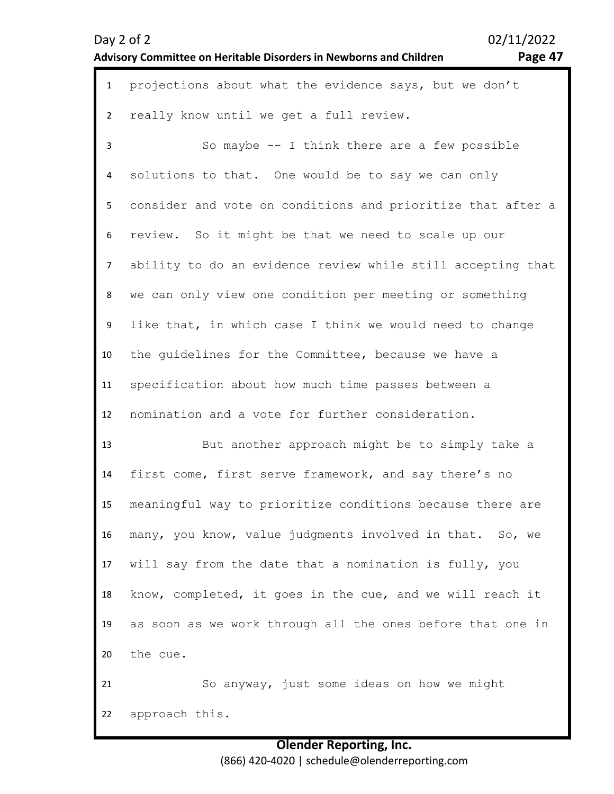| $\mathbf{1}$   | projections about what the evidence says, but we don't      |
|----------------|-------------------------------------------------------------|
| $\overline{2}$ | really know until we get a full review.                     |
| $\mathbf{3}$   | So maybe -- I think there are a few possible                |
| 4              | solutions to that. One would be to say we can only          |
| 5              | consider and vote on conditions and prioritize that after a |
| 6              | review. So it might be that we need to scale up our         |
| $\overline{7}$ | ability to do an evidence review while still accepting that |
| 8              | we can only view one condition per meeting or something     |
| 9              | like that, in which case I think we would need to change    |
| 10             | the guidelines for the Committee, because we have a         |
| 11             | specification about how much time passes between a          |
| 12             | nomination and a vote for further consideration.            |
| 13             | But another approach might be to simply take a              |
| 14             | first come, first serve framework, and say there's no       |
| 15             | meaningful way to prioritize conditions because there are   |
| 16             | many, you know, value judgments involved in that. So, we    |
| 17             | will say from the date that a nomination is fully, you      |
| 18             | know, completed, it goes in the cue, and we will reach it   |
| 19             | as soon as we work through all the ones before that one in  |
| 20             | the cue.                                                    |
| 21             | So anyway, just some ideas on how we might                  |
| 22             | approach this.                                              |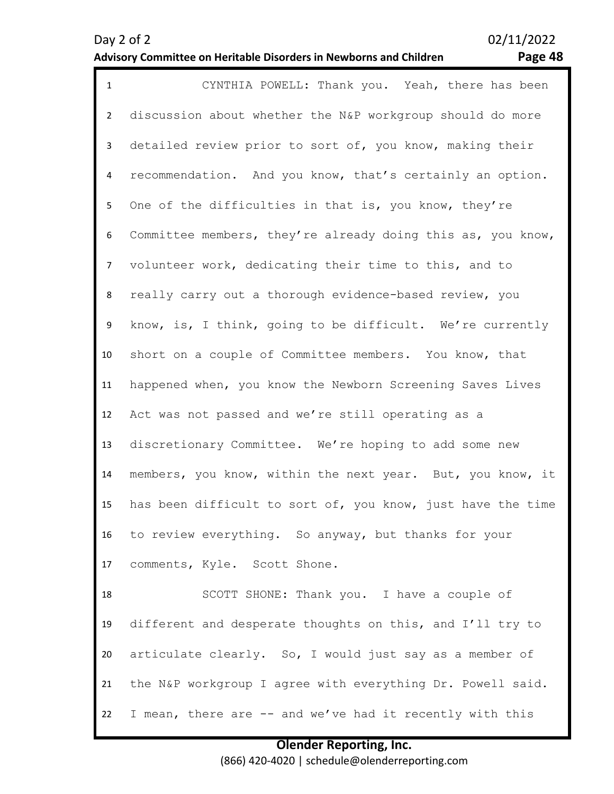### **Advisory Committee on Heritable Disorders in Newborns and Children Page 48**

| Page 48 |  |
|---------|--|

| $\mathbf{1}$   | CYNTHIA POWELL: Thank you. Yeah, there has been             |
|----------------|-------------------------------------------------------------|
| $\overline{2}$ | discussion about whether the N&P workgroup should do more   |
| 3              | detailed review prior to sort of, you know, making their    |
| 4              | recommendation. And you know, that's certainly an option.   |
| 5              | One of the difficulties in that is, you know, they're       |
| 6              | Committee members, they're already doing this as, you know, |
| $\overline{7}$ | volunteer work, dedicating their time to this, and to       |
| 8              | really carry out a thorough evidence-based review, you      |
| 9              | know, is, I think, going to be difficult. We're currently   |
| 10             | short on a couple of Committee members. You know, that      |
| 11             | happened when, you know the Newborn Screening Saves Lives   |
| 12             | Act was not passed and we're still operating as a           |
| 13             | discretionary Committee. We're hoping to add some new       |
| 14             | members, you know, within the next year. But, you know, it  |
| 15             | has been difficult to sort of, you know, just have the time |
| 16             | to review everything. So anyway, but thanks for your        |
| 17             | comments, Kyle. Scott Shone.                                |
| 18             | SCOTT SHONE: Thank you. I have a couple of                  |
| 19             | different and desperate thoughts on this, and I'll try to   |
| 20             | articulate clearly. So, I would just say as a member of     |
| 21             | the N&P workgroup I agree with everything Dr. Powell said.  |
| 22             | I mean, there are -- and we've had it recently with this    |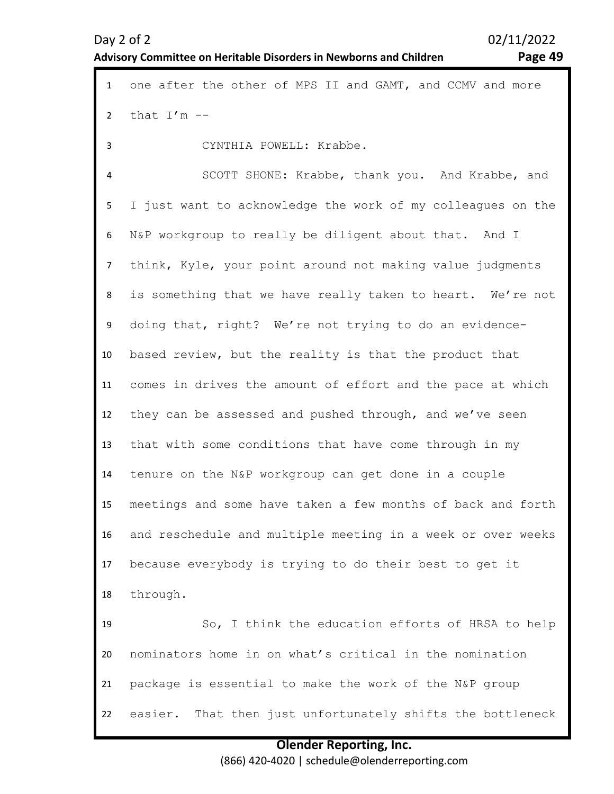### **Advisory Committee on Heritable Disorders in Newborns and Children Page 49**

| $\mathbf{1}$   | one after the other of MPS II and GAMT, and CCMV and more   |
|----------------|-------------------------------------------------------------|
| $\overline{2}$ | that $I'm -$                                                |
| 3              | CYNTHIA POWELL: Krabbe.                                     |
| 4              | SCOTT SHONE: Krabbe, thank you. And Krabbe, and             |
| 5              | I just want to acknowledge the work of my colleagues on the |
| 6              | N&P workgroup to really be diligent about that. And I       |
| 7              | think, Kyle, your point around not making value judgments   |
| 8              | is something that we have really taken to heart. We're not  |
| 9              | doing that, right? We're not trying to do an evidence-      |
| 10             | based review, but the reality is that the product that      |
| 11             | comes in drives the amount of effort and the pace at which  |
| 12             | they can be assessed and pushed through, and we've seen     |
| 13             | that with some conditions that have come through in my      |
| 14             | tenure on the N&P workgroup can get done in a couple        |
| 15             | meetings and some have taken a few months of back and forth |
| 16             | and reschedule and multiple meeting in a week or over weeks |
| 17             | because everybody is trying to do their best to get it      |
| 18             | through.                                                    |
| 19             | So, I think the education efforts of HRSA to help           |
| 20             | nominators home in on what's critical in the nomination     |
| 21             | package is essential to make the work of the N&P group      |
| 22             | easier. That then just unfortunately shifts the bottleneck  |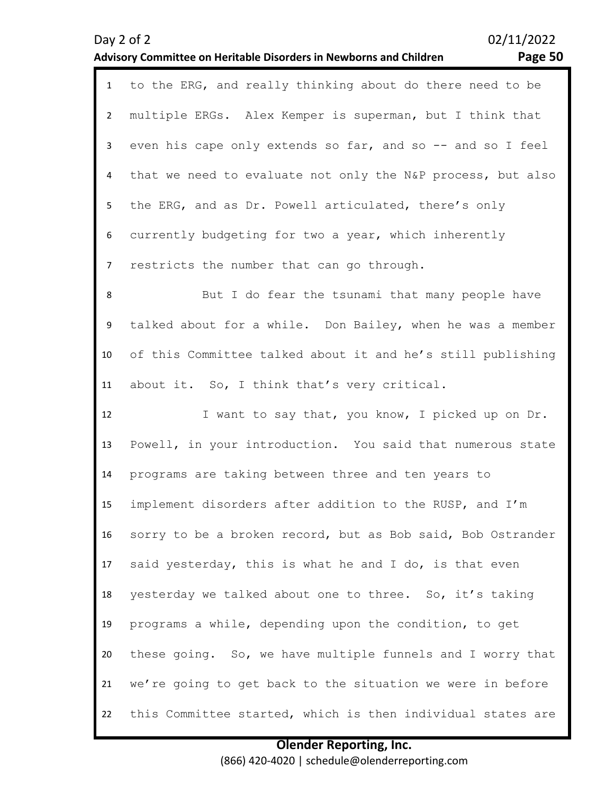### 1 to the ERG, and really thinking about do there need to be  $\overline{\phantom{0}}$ 3 4 5 6 7 8 9 10 11 12 13 14 15 16 17 18 19 20 21 multiple ERGs. Alex Kemper is superman, but I think that even his cape only extends so far, and so -- and so I feel that we need to evaluate not only the N&P process, but also the ERG, and as Dr. Powell articulated, there's only currently budgeting for two a year, which inherently restricts the number that can go through. But I do fear the tsunami that many people have talked about for a while. Don Bailey, when he was a member of this Committee talked about it and he's still publishing about it. So, I think that's very critical. I want to say that, you know, I picked up on Dr. Powell, in your introduction. You said that numerous state programs are taking between three and ten years to implement disorders after addition to the RUSP, and I'm sorry to be a broken record, but as Bob said, Bob Ostrander said yesterday, this is what he and I do, is that even yesterday we talked about one to three. So, it's taking programs a while, depending upon the condition, to get these going. So, we have multiple funnels and I worry that we're going to get back to the situation we were in before

### **Olender Reporting, Inc.** (866) 420-4020 | schedule@olenderreporting.com

this Committee started, which is then individual states are

22

### Day 2 of 2  $02/11/2022$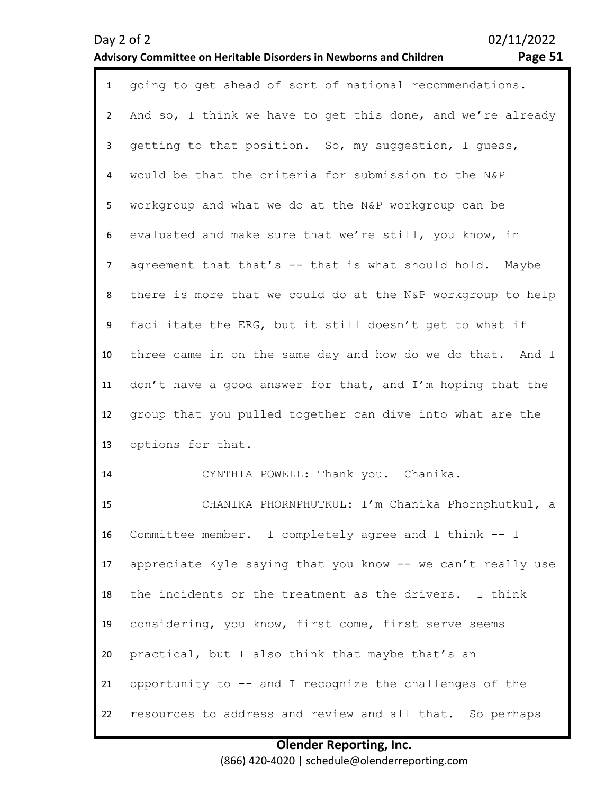### Day 2 of 2 02/11/2022 **Advisory Committee on Heritable Disorders in Newborns and Children Page 51**

| $\mathbf{1}$   | going to get ahead of sort of national recommendations.     |
|----------------|-------------------------------------------------------------|
| $\overline{2}$ | And so, I think we have to get this done, and we're already |
| $\mathbf{3}$   | getting to that position. So, my suggestion, I quess,       |
| 4              | would be that the criteria for submission to the N&P        |
| 5              | workgroup and what we do at the N&P workgroup can be        |
| 6              | evaluated and make sure that we're still, you know, in      |
| $\overline{7}$ | agreement that that's -- that is what should hold. Maybe    |
| 8              | there is more that we could do at the N&P workgroup to help |
| 9              | facilitate the ERG, but it still doesn't get to what if     |
| 10             | three came in on the same day and how do we do that. And I  |
| 11             | don't have a good answer for that, and I'm hoping that the  |
| 12             | group that you pulled together can dive into what are the   |
| 13             | options for that.                                           |
| 14             | CYNTHIA POWELL: Thank you. Chanika.                         |
| 15             | CHANIKA PHORNPHUTKUL: I'm Chanika Phornphutkul, a           |
| 16             | Committee member. I completely agree and I think -- I       |
| 17             | appreciate Kyle saying that you know -- we can't really use |
| 18             | the incidents or the treatment as the drivers. I think      |
| 19             | considering, you know, first come, first serve seems        |
| 20             | practical, but I also think that maybe that's an            |
| 21             | opportunity to -- and I recognize the challenges of the     |
| 22             | resources to address and review and all that. So perhaps    |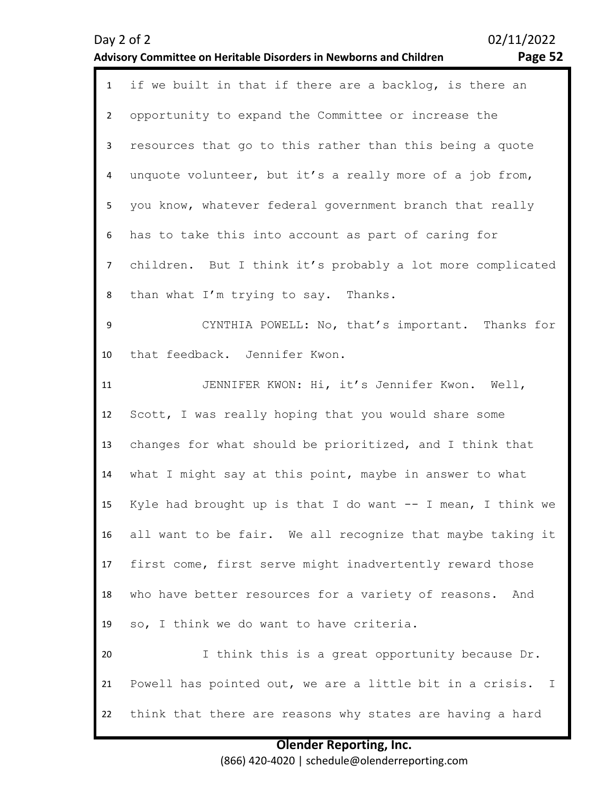|                | 02/11/2022<br>Day 2 of 2<br>Advisory Committee on Heritable Disorders in Newborns and Children<br>Page 52 |
|----------------|-----------------------------------------------------------------------------------------------------------|
| $\mathbf{1}$   | if we built in that if there are a backlog, is there an                                                   |
| $\overline{2}$ | opportunity to expand the Committee or increase the                                                       |
| 3              | resources that go to this rather than this being a quote                                                  |
| 4              | unquote volunteer, but it's a really more of a job from,                                                  |
| 5              | you know, whatever federal government branch that really                                                  |
| 6              | has to take this into account as part of caring for                                                       |
| 7 <sup>7</sup> | children. But I think it's probably a lot more complicated                                                |
| 8              | than what I'm trying to say. Thanks.                                                                      |
| 9              | CYNTHIA POWELL: No, that's important. Thanks for                                                          |
| 10             | that feedback. Jennifer Kwon.                                                                             |
| 11             | JENNIFER KWON: Hi, it's Jennifer Kwon. Well,                                                              |
| 12             | Scott, I was really hoping that you would share some                                                      |
| 13             | changes for what should be prioritized, and I think that                                                  |
| 14             | what I might say at this point, maybe in answer to what                                                   |
| 15             | Kyle had brought up is that I do want $--$ I mean, I think we                                             |
| 16             | all want to be fair. We all recognize that maybe taking it                                                |
| 17             | first come, first serve might inadvertently reward those                                                  |
| 18             | who have better resources for a variety of reasons.<br>And                                                |
| 19             | so, I think we do want to have criteria.                                                                  |
| 20             | I think this is a great opportunity because Dr.                                                           |
| 21             | Powell has pointed out, we are a little bit in a crisis. I                                                |
| 22             | think that there are reasons why states are having a hard                                                 |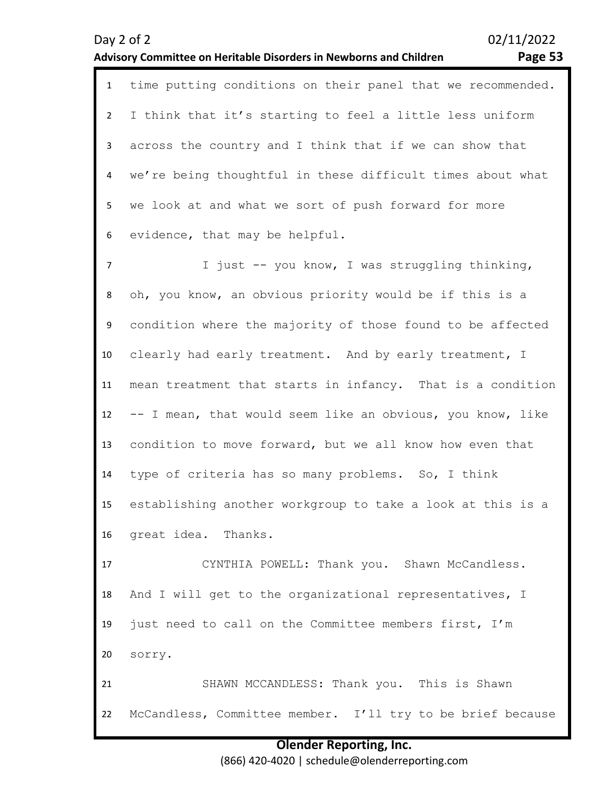### **Advisory Committee on Heritable Disorders in Newborns and Children Page 53**

1 time putting conditions on their panel that we recommended.  $\overline{\phantom{0}}$ 3 4 5 6 I think that it's starting to feel a little less uniform across the country and I think that if we can show that we're being thoughtful in these difficult times about what we look at and what we sort of push forward for more evidence, that may be helpful.

7 8 9 10 11 12 13 14 15 16 I just -- you know, I was struggling thinking, oh, you know, an obvious priority would be if this is a condition where the majority of those found to be affected clearly had early treatment. And by early treatment, I mean treatment that starts in infancy. That is a condition -- I mean, that would seem like an obvious, you know, like condition to move forward, but we all know how even that type of criteria has so many problems. So, I think establishing another workgroup to take a look at this is a great idea. Thanks.

17 18 19 20 CYNTHIA POWELL: Thank you. Shawn McCandless. And I will get to the organizational representatives, I just need to call on the Committee members first, I'm sorry.

21 22 SHAWN MCCANDLESS: Thank you. This is Shawn McCandless, Committee member. I'll try to be brief because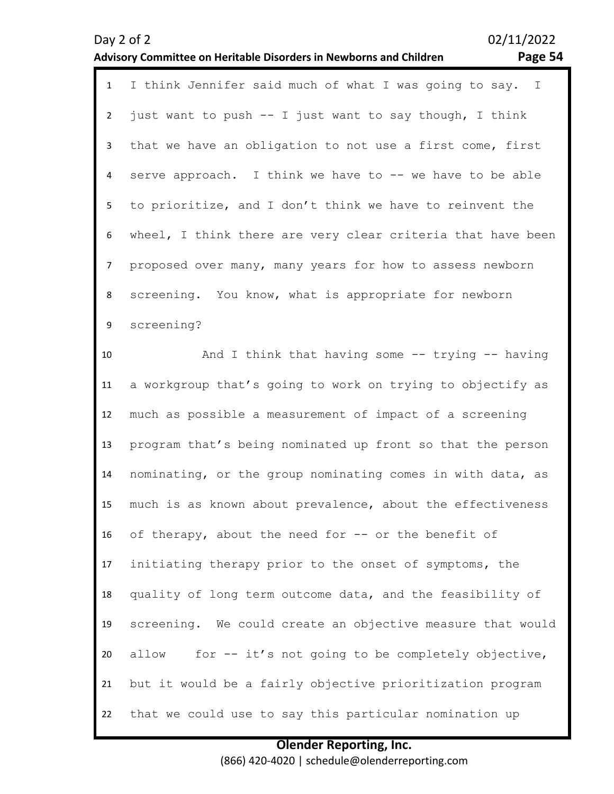|                | 02/11/2022<br>Day 2 of 2<br>Page 54<br>Advisory Committee on Heritable Disorders in Newborns and Children |
|----------------|-----------------------------------------------------------------------------------------------------------|
| $\mathbf{1}$   | I think Jennifer said much of what I was going to say. I                                                  |
| $\overline{2}$ | just want to push -- I just want to say though, I think                                                   |
| $\mathbf{3}$   | that we have an obligation to not use a first come, first                                                 |
| 4              | serve approach. I think we have to -- we have to be able                                                  |
| 5              | to prioritize, and I don't think we have to reinvent the                                                  |
| 6              | wheel, I think there are very clear criteria that have been                                               |
| $\overline{7}$ | proposed over many, many years for how to assess newborn                                                  |
| $\,8\,$        | screening. You know, what is appropriate for newborn                                                      |
| 9              | screening?                                                                                                |
| 10             | And I think that having some -- trying -- having                                                          |
| 11             | a workgroup that's going to work on trying to objectify as                                                |
| 12             | much as possible a measurement of impact of a screening                                                   |
| 13             | program that's being nominated up front so that the person                                                |
| 14             | nominating, or the group nominating comes in with data, as                                                |
| 15             | much is as known about prevalence, about the effectiveness                                                |
| 16             | of therapy, about the need for -- or the benefit of                                                       |
| 17             | initiating therapy prior to the onset of symptoms, the                                                    |
| 18             | quality of long term outcome data, and the feasibility of                                                 |
| 19             | screening. We could create an objective measure that would                                                |
| 20             | for -- it's not going to be completely objective,<br>allow                                                |
| 21             | but it would be a fairly objective prioritization program                                                 |
| 22             | that we could use to say this particular nomination up                                                    |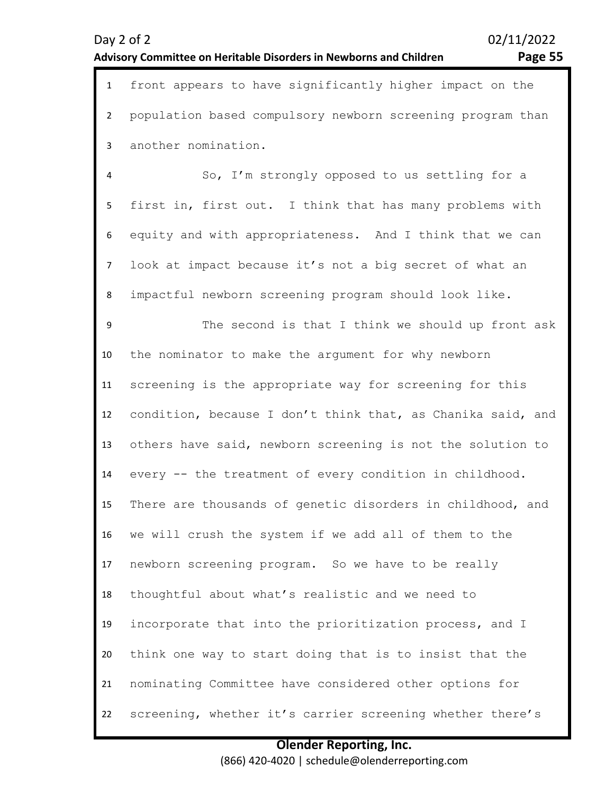| Day 2 of 2                                                         | 02/11/2022 |
|--------------------------------------------------------------------|------------|
| Advisory Committee on Heritable Disorders in Newborns and Children | Page 55    |
|                                                                    |            |

1 front appears to have significantly higher impact on the 2 3 population based compulsory newborn screening program than another nomination.

4 5 6 7 8 So, I'm strongly opposed to us settling for a first in, first out. I think that has many problems with equity and with appropriateness. And I think that we can look at impact because it's not a big secret of what an impactful newborn screening program should look like.

9 10 11 12 13 14 15 16 17 18 19 20 21 22 The second is that I think we should up front ask the nominator to make the argument for why newborn screening is the appropriate way for screening for this condition, because I don't think that, as Chanika said, and others have said, newborn screening is not the solution to every -- the treatment of every condition in childhood. There are thousands of genetic disorders in childhood, and we will crush the system if we add all of them to the newborn screening program. So we have to be really thoughtful about what's realistic and we need to incorporate that into the prioritization process, and I think one way to start doing that is to insist that the nominating Committee have considered other options for screening, whether it's carrier screening whether there's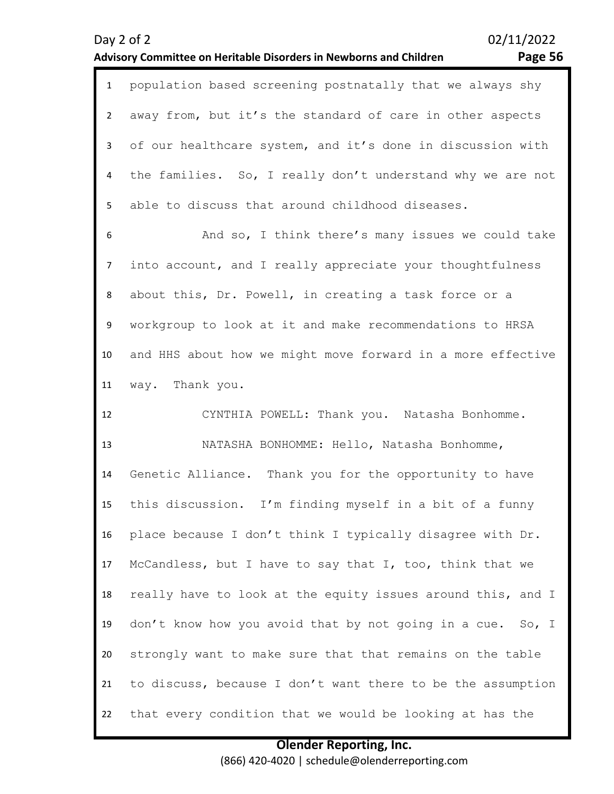### Day 2 of 2 02/11/2022 **Advisory Committee on Heritable Disorders in Newborns and Children Page 56**

| $\mathbf{1}$   | population based screening postnatally that we always shy   |
|----------------|-------------------------------------------------------------|
| $\overline{2}$ | away from, but it's the standard of care in other aspects   |
| $\mathbf{3}$   | of our healthcare system, and it's done in discussion with  |
| 4              | the families. So, I really don't understand why we are not  |
| 5              | able to discuss that around childhood diseases.             |
| 6              | And so, I think there's many issues we could take           |
| $\overline{7}$ | into account, and I really appreciate your thoughtfulness   |
| 8              | about this, Dr. Powell, in creating a task force or a       |
| 9              | workgroup to look at it and make recommendations to HRSA    |
| 10             | and HHS about how we might move forward in a more effective |
| 11             | way. Thank you.                                             |
|                |                                                             |
| 12             | CYNTHIA POWELL: Thank you. Natasha Bonhomme.                |
| 13             | NATASHA BONHOMME: Hello, Natasha Bonhomme,                  |
| 14             | Genetic Alliance. Thank you for the opportunity to have     |
| 15             | this discussion. I'm finding myself in a bit of a funny     |
| 16             | place because I don't think I typically disagree with Dr.   |
| 17             | McCandless, but I have to say that I, too, think that we    |
| 18             | really have to look at the equity issues around this, and I |
| 19             | don't know how you avoid that by not going in a cue. So, I  |
| 20             | strongly want to make sure that that remains on the table   |
| 21             | to discuss, because I don't want there to be the assumption |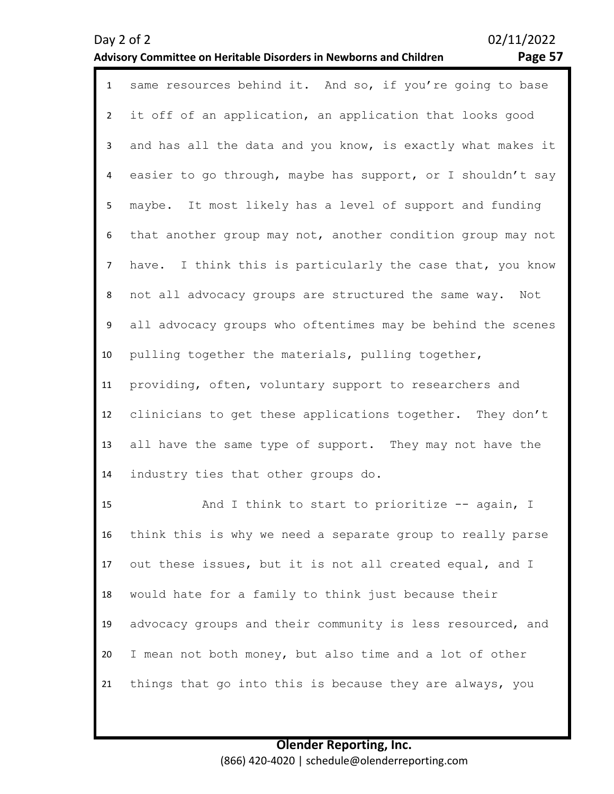### **Advisory Committee on Heritable Disorders in Newborns and Children Page 57**

| $\mathbf{1}$   | same resources behind it. And so, if you're going to base   |
|----------------|-------------------------------------------------------------|
| $\overline{2}$ | it off of an application, an application that looks good    |
| $\mathbf{3}$   | and has all the data and you know, is exactly what makes it |
| 4              | easier to go through, maybe has support, or I shouldn't say |
| 5              | maybe. It most likely has a level of support and funding    |
| 6              | that another group may not, another condition group may not |
| $\overline{7}$ | have. I think this is particularly the case that, you know  |
| 8              | not all advocacy groups are structured the same way. Not    |
| 9              | all advocacy groups who oftentimes may be behind the scenes |
| 10             | pulling together the materials, pulling together,           |
| 11             | providing, often, voluntary support to researchers and      |
| 12             | clinicians to get these applications together. They don't   |
| 13             | all have the same type of support. They may not have the    |
| 14             | industry ties that other groups do.                         |
| 15             | And I think to start to prioritize -- again, I              |
| 16             | think this is why we need a separate group to really parse  |

17 18 19 20 21 out these issues, but it is not all created equal, and I would hate for a family to think just because their advocacy groups and their community is less resourced, and I mean not both money, but also time and a lot of other things that go into this is because they are always, you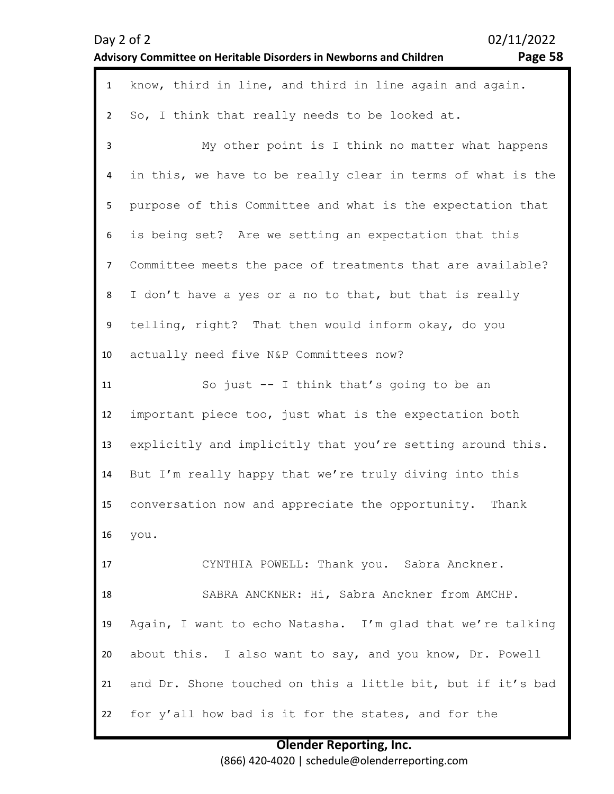| Day 2 of 2     | 02/11/2022<br>Page 58<br><b>Advisory Committee on Heritable Disorders in Newborns and Children</b> |
|----------------|----------------------------------------------------------------------------------------------------|
| $\mathbf{1}$   | know, third in line, and third in line again and again.                                            |
| $\overline{2}$ | So, I think that really needs to be looked at.                                                     |
| 3              | My other point is I think no matter what happens                                                   |
| 4              | in this, we have to be really clear in terms of what is the                                        |
| 5              | purpose of this Committee and what is the expectation that                                         |
| 6              | is being set? Are we setting an expectation that this                                              |
| $\overline{7}$ | Committee meets the pace of treatments that are available?                                         |
| 8              | I don't have a yes or a no to that, but that is really                                             |
| 9              | telling, right? That then would inform okay, do you                                                |
| 10             | actually need five N&P Committees now?                                                             |
| 11             | So just -- I think that's going to be an                                                           |
| 12             | important piece too, just what is the expectation both                                             |
| 13             | explicitly and implicitly that you're setting around this.                                         |
| 14             | But I'm really happy that we're truly diving into this                                             |
| 15             | conversation now and appreciate the opportunity. Thank                                             |
| 16             | you.                                                                                               |
| 17             | CYNTHIA POWELL: Thank you. Sabra Anckner.                                                          |
| 18             | SABRA ANCKNER: Hi, Sabra Anckner from AMCHP.                                                       |
| 19             | Again, I want to echo Natasha. I'm glad that we're talking                                         |
| 20             | about this. I also want to say, and you know, Dr. Powell                                           |
| 21             | and Dr. Shone touched on this a little bit, but if it's bad                                        |
| 22             | for y'all how bad is it for the states, and for the                                                |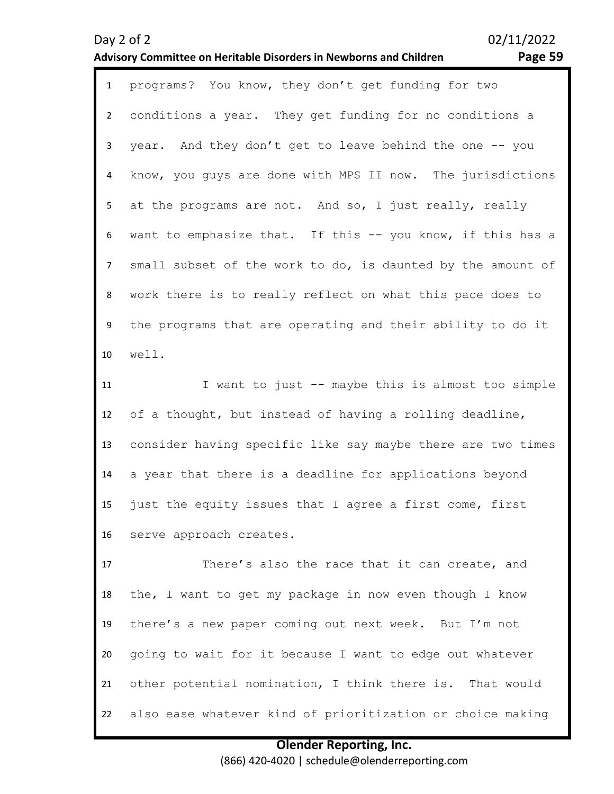### Day 2 of 2 02/11/2022 **Advisory Committee on Heritable Disorders in Newborns and Children Page 59**

1 programs? You know, they don't get funding for two 2 3 4 5 6 7 8 9 10 conditions a year. They get funding for no conditions a year. And they don't get to leave behind the one -- you know, you guys are done with MPS II now. The jurisdictions at the programs are not. And so, I just really, really want to emphasize that. If this -- you know, if this has a small subset of the work to do, is daunted by the amount of work there is to really reflect on what this pace does to the programs that are operating and their ability to do it well.

11 12 13 14 15 16 I want to just -- maybe this is almost too simple of a thought, but instead of having a rolling deadline, consider having specific like say maybe there are two times a year that there is a deadline for applications beyond just the equity issues that I agree a first come, first serve approach creates.

17 18 19 20 21 22 There's also the race that it can create, and the, I want to get my package in now even though I know there's a new paper coming out next week. But I'm not going to wait for it because I want to edge out whatever other potential nomination, I think there is. That would also ease whatever kind of prioritization or choice making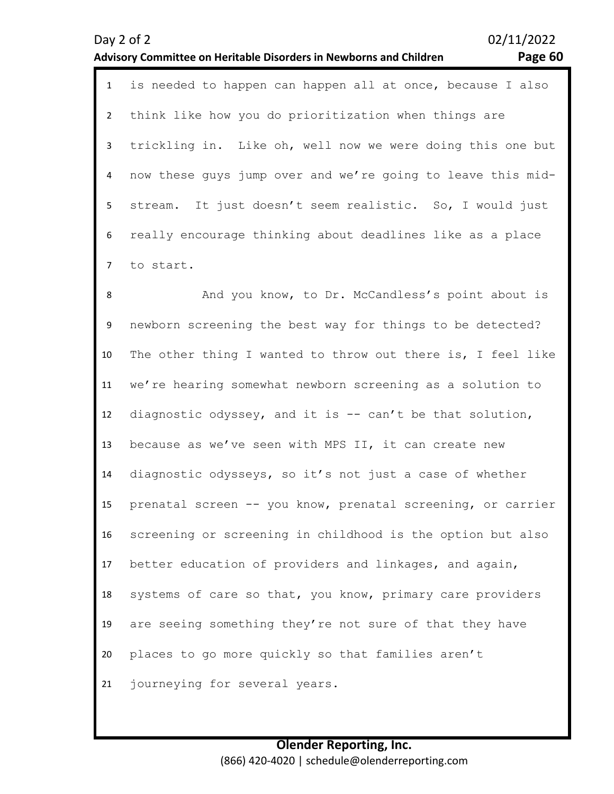### **Olender Reporting, Inc.** (866) 420-4020 | schedule@olenderreporting.com

| $\mathbf{1}$   | is needed to happen can happen all at once, because I also  |
|----------------|-------------------------------------------------------------|
| $\overline{2}$ | think like how you do prioritization when things are        |
| 3              | trickling in. Like oh, well now we were doing this one but  |
| 4              | now these guys jump over and we're going to leave this mid- |
| 5              | It just doesn't seem realistic. So, I would just<br>stream. |
| 6              | really encourage thinking about deadlines like as a place   |
| $\overline{7}$ | to start.                                                   |
| 8              | And you know, to Dr. McCandless's point about is            |
| 9              | newborn screening the best way for things to be detected?   |
| 10             | The other thing I wanted to throw out there is, I feel like |
| 11             | we're hearing somewhat newborn screening as a solution to   |
| 12             | diagnostic odyssey, and it is -- can't be that solution,    |
| 13             | because as we've seen with MPS II, it can create new        |
| 14             | diagnostic odysseys, so it's not just a case of whether     |
| 15             | prenatal screen -- you know, prenatal screening, or carrier |
| 16             | screening or screening in childhood is the option but also  |
| 17             | better education of providers and linkages, and again,      |
| 18             | systems of care so that, you know, primary care providers   |
| 19             | are seeing something they're not sure of that they have     |
| 20             | places to go more quickly so that families aren't           |
| 21             | journeying for several years.                               |

### **Advisory Committee on Heritable Disorders in Newborns and Children Page 60**

Day 2 of 2 02/11/2022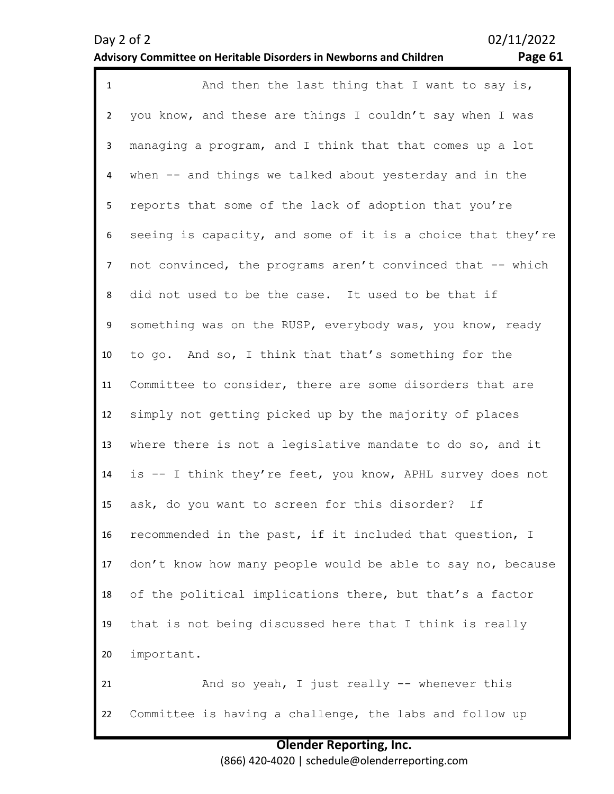| ∼<br>о |  |
|--------|--|
|        |  |

| $\mathbf{1}$   | And then the last thing that I want to say is,              |
|----------------|-------------------------------------------------------------|
| $\overline{2}$ | you know, and these are things I couldn't say when I was    |
| $\mathbf{3}$   | managing a program, and I think that that comes up a lot    |
| 4              | when -- and things we talked about yesterday and in the     |
| 5              | reports that some of the lack of adoption that you're       |
| 6              | seeing is capacity, and some of it is a choice that they're |
| $\overline{7}$ | not convinced, the programs aren't convinced that -- which  |
| 8              | did not used to be the case. It used to be that if          |
| 9              | something was on the RUSP, everybody was, you know, ready   |
| 10             | to go. And so, I think that that's something for the        |
| 11             | Committee to consider, there are some disorders that are    |
| 12             | simply not getting picked up by the majority of places      |
| 13             | where there is not a legislative mandate to do so, and it   |
| 14             | is -- I think they're feet, you know, APHL survey does not  |
| 15             | ask, do you want to screen for this disorder? If            |
| 16             | recommended in the past, if it included that question, I    |
| 17             | don't know how many people would be able to say no, because |
| 18             | of the political implications there, but that's a factor    |
| 19             | that is not being discussed here that I think is really     |
| 20             | important.                                                  |
| 21             | And so yeah, I just really -- whenever this                 |
| 22             | Committee is having a challenge, the labs and follow up     |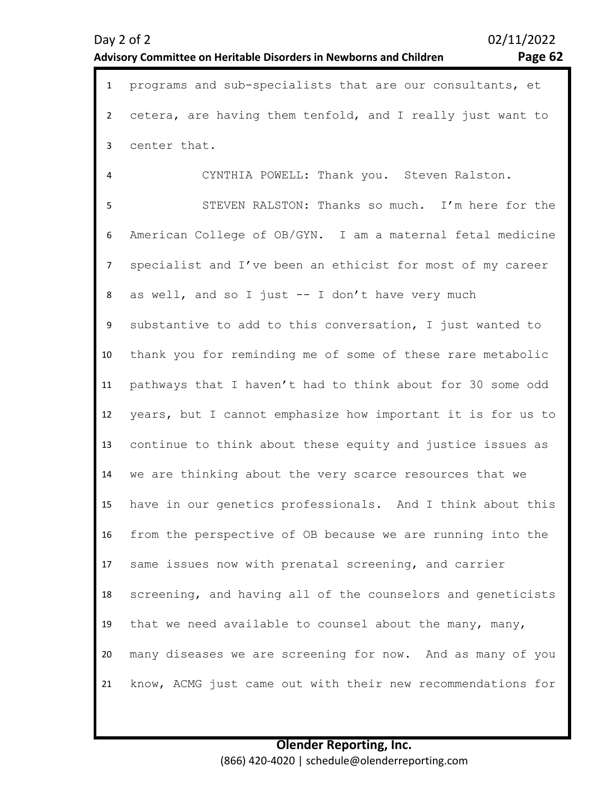### **Olender Reporting, Inc.** (866) 420-4020 | schedule@olenderreporting.com

|                | il incredibility committee on field abolition between the wooding and children.<br>n aga ve |
|----------------|---------------------------------------------------------------------------------------------|
| $\mathbf{1}$   | programs and sub-specialists that are our consultants, et                                   |
| $\overline{2}$ | cetera, are having them tenfold, and I really just want to                                  |
| $\mathbf{3}$   | center that.                                                                                |
| $\overline{4}$ | CYNTHIA POWELL: Thank you. Steven Ralston.                                                  |
| 5              | STEVEN RALSTON: Thanks so much. I'm here for the                                            |
| 6              | American College of OB/GYN. I am a maternal fetal medicine                                  |
| $\overline{7}$ | specialist and I've been an ethicist for most of my career                                  |
| 8              | as well, and so I just -- I don't have very much                                            |
| 9              | substantive to add to this conversation, I just wanted to                                   |
| 10             | thank you for reminding me of some of these rare metabolic                                  |
| 11             | pathways that I haven't had to think about for 30 some odd                                  |
| 12             | years, but I cannot emphasize how important it is for us to                                 |
| 13             | continue to think about these equity and justice issues as                                  |
| 14             | we are thinking about the very scarce resources that we                                     |
| 15             | have in our genetics professionals. And I think about this                                  |
| 16             | from the perspective of OB because we are running into the                                  |
| 17             | same issues now with prenatal screening, and carrier                                        |
| 18             | screening, and having all of the counselors and geneticists                                 |
| 19             | that we need available to counsel about the many, many,                                     |
| 20             | many diseases we are screening for now. And as many of you                                  |
| 21             | know, ACMG just came out with their new recommendations for                                 |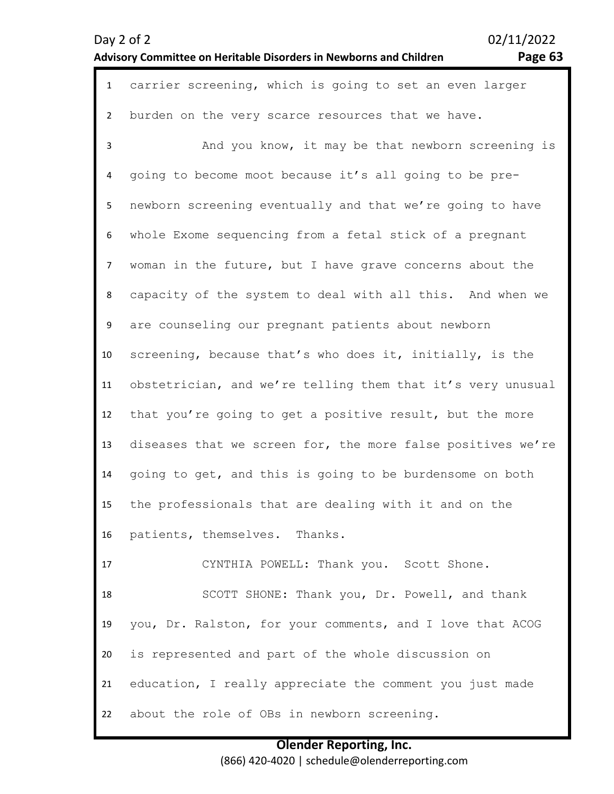| $\mathbf{1}$   | carrier screening, which is going to set an even larger     |
|----------------|-------------------------------------------------------------|
| $\overline{2}$ | burden on the very scarce resources that we have.           |
| $\mathbf{3}$   | And you know, it may be that newborn screening is           |
| 4              | going to become moot because it's all going to be pre-      |
| 5              | newborn screening eventually and that we're going to have   |
| 6              | whole Exome sequencing from a fetal stick of a pregnant     |
| $\overline{7}$ | woman in the future, but I have grave concerns about the    |
| 8              | capacity of the system to deal with all this. And when we   |
| 9              | are counseling our pregnant patients about newborn          |
| 10             | screening, because that's who does it, initially, is the    |
| 11             | obstetrician, and we're telling them that it's very unusual |
| 12             | that you're going to get a positive result, but the more    |
| 13             | diseases that we screen for, the more false positives we're |
| 14             | going to get, and this is going to be burdensome on both    |
| 15             | the professionals that are dealing with it and on the       |
| 16             | patients, themselves. Thanks.                               |
| 17             | CYNTHIA POWELL: Thank you. Scott Shone.                     |
| 18             | SCOTT SHONE: Thank you, Dr. Powell, and thank               |
| 19             | you, Dr. Ralston, for your comments, and I love that ACOG   |
| 20             | is represented and part of the whole discussion on          |
| 21             | education, I really appreciate the comment you just made    |
| 22             | about the role of OBs in newborn screening.                 |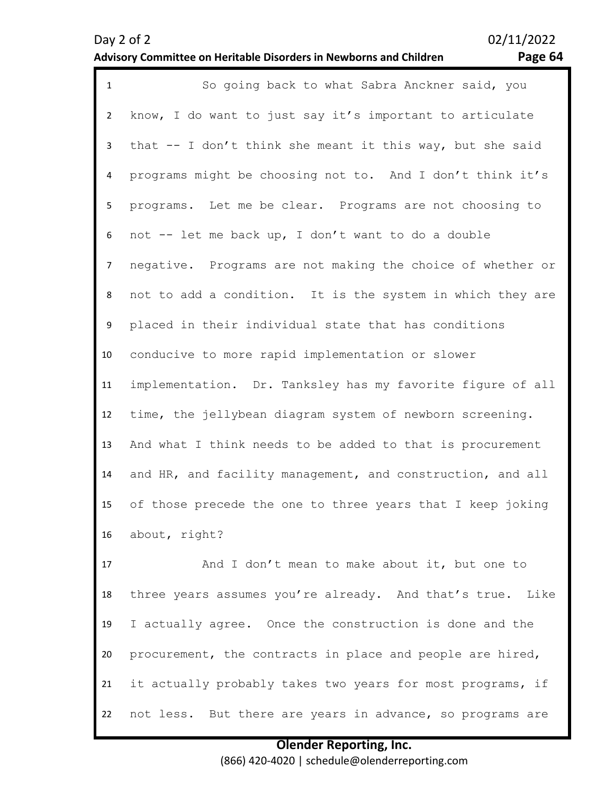### Day 2 of 2 02/11/2022 **Advisory Committee on Heritable Disorders in Newborns and Children Page 64**

| $\mathbf{1}$   | So going back to what Sabra Anckner said, you              |
|----------------|------------------------------------------------------------|
| $\overline{2}$ | know, I do want to just say it's important to articulate   |
| 3              | that -- I don't think she meant it this way, but she said  |
| $\overline{4}$ | programs might be choosing not to. And I don't think it's  |
| 5              | programs. Let me be clear. Programs are not choosing to    |
| 6              | not -- let me back up, I don't want to do a double         |
| $\overline{7}$ | negative. Programs are not making the choice of whether or |
| 8              | not to add a condition. It is the system in which they are |
| 9              | placed in their individual state that has conditions       |
| 10             | conducive to more rapid implementation or slower           |
| 11             | implementation. Dr. Tanksley has my favorite figure of all |
| 12             | time, the jellybean diagram system of newborn screening.   |
| 13             | And what I think needs to be added to that is procurement  |
| 14             | and HR, and facility management, and construction, and all |
| 15             | of those precede the one to three years that I keep joking |
| 16             | about, right?                                              |
| 17             | And I don't mean to make about it, but one to              |
| 18             | three years assumes you're already. And that's true. Like  |
| 19             | I actually agree. Once the construction is done and the    |
| 20             | procurement, the contracts in place and people are hired,  |
| 21             | it actually probably takes two years for most programs, if |

22 not less. But there are years in advance, so programs are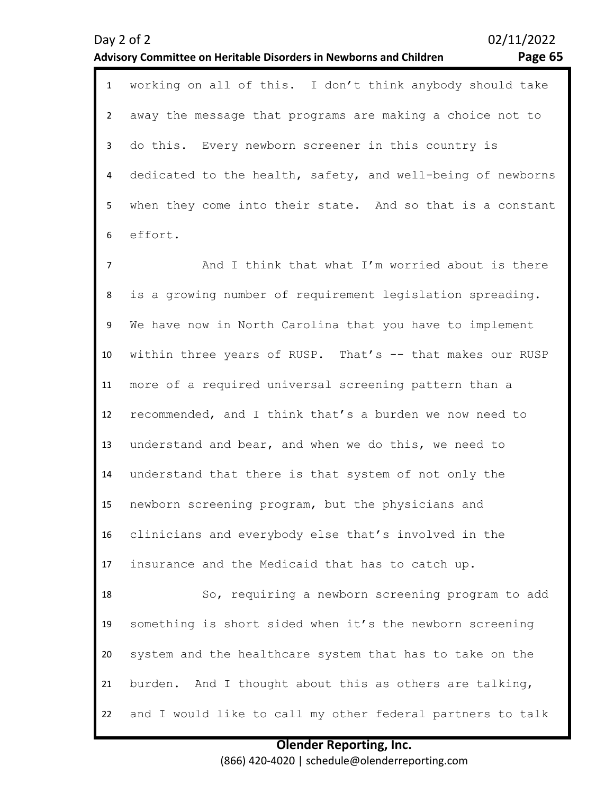|                | Page 65<br><b>Advisory Committee on Heritable Disorders in Newborns and Children</b> |
|----------------|--------------------------------------------------------------------------------------|
| $\mathbf{1}$   | working on all of this. I don't think anybody should take                            |
| $\overline{2}$ | away the message that programs are making a choice not to                            |
| 3              | do this. Every newborn screener in this country is                                   |
| 4              | dedicated to the health, safety, and well-being of newborns                          |
| 5              | when they come into their state. And so that is a constant                           |
| 6              | effort.                                                                              |
| $\overline{7}$ | And I think that what I'm worried about is there                                     |
| 8              | is a growing number of requirement legislation spreading.                            |
| 9              | We have now in North Carolina that you have to implement                             |
| 10             | within three years of RUSP. That's -- that makes our RUSP                            |
| 11             | more of a required universal screening pattern than a                                |
| 12             | recommended, and I think that's a burden we now need to                              |
| 13             | understand and bear, and when we do this, we need to                                 |
| 14             | understand that there is that system of not only the                                 |
| 15             | newborn screening program, but the physicians and                                    |
| 16             | clinicians and everybody else that's involved in the                                 |
| 17             | insurance and the Medicaid that has to catch up.                                     |
| 18             | So, requiring a newborn screening program to add                                     |
| 19             | something is short sided when it's the newborn screening                             |
| 20             | system and the healthcare system that has to take on the                             |
| 21             | burden. And I thought about this as others are talking,                              |

**Olender Reporting, Inc.** (866) 420-4020 | schedule@olenderreporting.com

and I would like to call my other federal partners to talk

22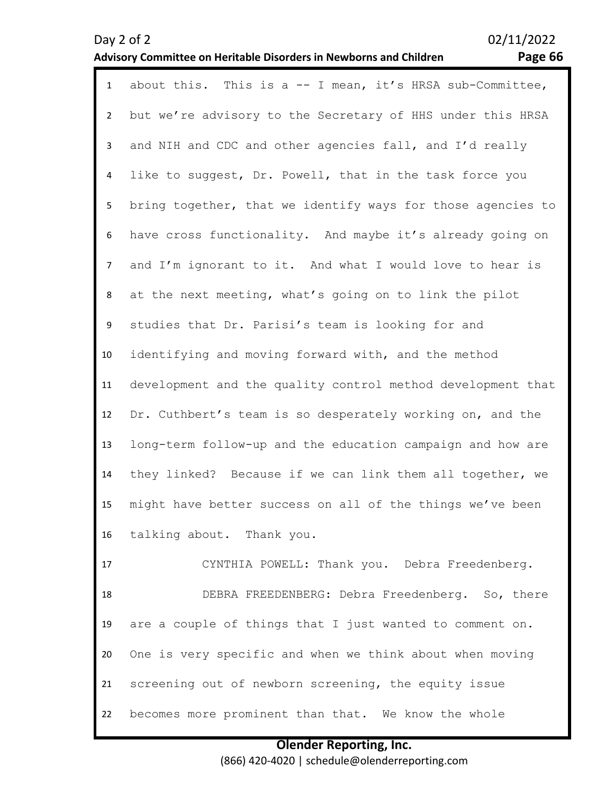### Day 2 of 2<br>Advisory Committee on Heritable Disorders in Newborns and Children Page 66 **Advisory Committee on Heritable Disorders in Newborns and Children Page 66**

| $\mathbf{1}$   | about this. This is a $-$ I mean, it's HRSA sub-Committee,  |
|----------------|-------------------------------------------------------------|
| $\overline{2}$ | but we're advisory to the Secretary of HHS under this HRSA  |
| $\mathbf{3}$   | and NIH and CDC and other agencies fall, and I'd really     |
| 4              | like to suggest, Dr. Powell, that in the task force you     |
| 5 <sub>1</sub> | bring together, that we identify ways for those agencies to |
| 6              | have cross functionality. And maybe it's already going on   |
| $\overline{7}$ | and I'm ignorant to it. And what I would love to hear is    |
| 8              | at the next meeting, what's going on to link the pilot      |
| 9              | studies that Dr. Parisi's team is looking for and           |
| 10             | identifying and moving forward with, and the method         |
| 11             | development and the quality control method development that |
| 12             | Dr. Cuthbert's team is so desperately working on, and the   |
| 13             | long-term follow-up and the education campaign and how are  |
| 14             | they linked? Because if we can link them all together, we   |
| 15             | might have better success on all of the things we've been   |
| 16             | talking about. Thank you.                                   |
| 17             | CYNTHIA POWELL: Thank you. Debra Freedenberg.               |
| 18             | DEBRA FREEDENBERG: Debra Freedenberg. So, there             |
| 19             | are a couple of things that I just wanted to comment on.    |
| 20             | One is very specific and when we think about when moving    |
| 21             | screening out of newborn screening, the equity issue        |

22 becomes more prominent than that. We know the whole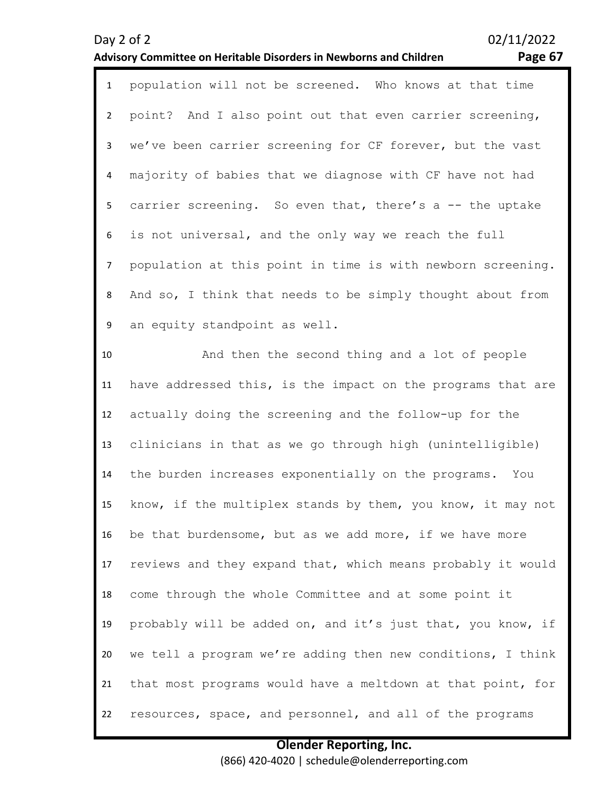### **Advisory Committee on Heritable Disorders in Newborns and Children Page 67**

|   | 1 population will not be screened. Who knows at that time     |
|---|---------------------------------------------------------------|
|   | 2 point? And I also point out that even carrier screening,    |
|   | 3 we've been carrier screening for CF forever, but the vast   |
|   | 4 majority of babies that we diagnose with CF have not had    |
|   | 5 carrier screening. So even that, there's a -- the uptake    |
|   | 6 is not universal, and the only way we reach the full        |
|   | 7 population at this point in time is with newborn screening. |
| 8 | And so, I think that needs to be simply thought about from    |
| 9 | an equity standpoint as well.                                 |

10 11 12 13 14 15 16 17 18 19 20 21 22 And then the second thing and a lot of people have addressed this, is the impact on the programs that are actually doing the screening and the follow-up for the clinicians in that as we go through high (unintelligible) the burden increases exponentially on the programs. You know, if the multiplex stands by them, you know, it may not be that burdensome, but as we add more, if we have more reviews and they expand that, which means probably it would come through the whole Committee and at some point it probably will be added on, and it's just that, you know, if we tell a program we're adding then new conditions, I think that most programs would have a meltdown at that point, for resources, space, and personnel, and all of the programs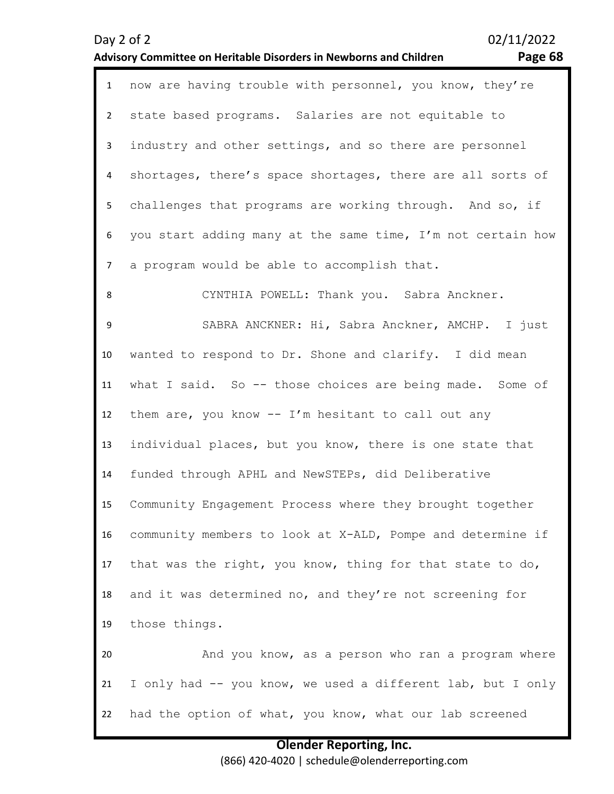| $\mathbf{1}$   | now are having trouble with personnel, you know, they're    |
|----------------|-------------------------------------------------------------|
| $\overline{2}$ | state based programs. Salaries are not equitable to         |
| $\mathbf{3}$   | industry and other settings, and so there are personnel     |
| $\overline{4}$ | shortages, there's space shortages, there are all sorts of  |
| 5 <sub>1</sub> | challenges that programs are working through. And so, if    |
| 6              | you start adding many at the same time, I'm not certain how |
| $\overline{7}$ | a program would be able to accomplish that.                 |
| 8              | CYNTHIA POWELL: Thank you. Sabra Anckner.                   |
| 9              | SABRA ANCKNER: Hi, Sabra Anckner, AMCHP. I just             |
| 10             | wanted to respond to Dr. Shone and clarify. I did mean      |
| 11             | what I said. So -- those choices are being made. Some of    |
| 12             | them are, you know -- I'm hesitant to call out any          |
| 13             | individual places, but you know, there is one state that    |
| 14             | funded through APHL and NewSTEPs, did Deliberative          |
| 15             | Community Engagement Process where they brought together    |
| 16             | community members to look at X-ALD, Pompe and determine if  |
| 17             | that was the right, you know, thing for that state to do,   |
| 18             | and it was determined no, and they're not screening for     |
| 19             | those things.                                               |
| 20             | And you know, as a person who ran a program where           |
| 21             | I only had -- you know, we used a different lab, but I only |
| 22             | had the option of what, you know, what our lab screened     |

**Advisory Committee on Heritable Disorders in Newborns and Children Page 68**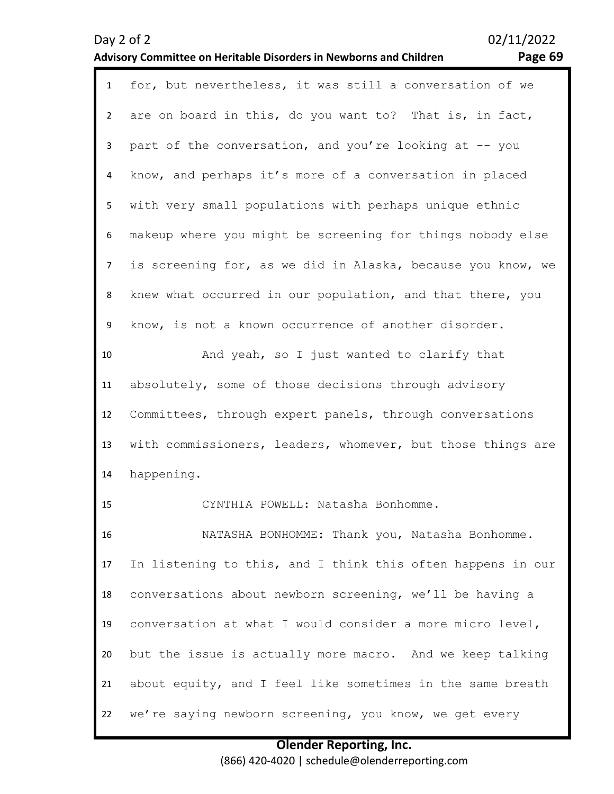### **Advisory Committee on Heritable Disorders in Newborns and Children Page 69**

| $\mathbf{1}$   | for, but nevertheless, it was still a conversation of we    |
|----------------|-------------------------------------------------------------|
| $\overline{2}$ | are on board in this, do you want to? That is, in fact,     |
| 3              | part of the conversation, and you're looking at -- you      |
| 4              | know, and perhaps it's more of a conversation in placed     |
| 5              | with very small populations with perhaps unique ethnic      |
| 6              | makeup where you might be screening for things nobody else  |
| $\overline{7}$ | is screening for, as we did in Alaska, because you know, we |
| 8              | knew what occurred in our population, and that there, you   |
| 9              | know, is not a known occurrence of another disorder.        |
| 10             | And yeah, so I just wanted to clarify that                  |
| 11             | absolutely, some of those decisions through advisory        |
| 12             | Committees, through expert panels, through conversations    |
| 13             | with commissioners, leaders, whomever, but those things are |
| 14             | happening.                                                  |
| 15             | CYNTHIA POWELL: Natasha Bonhomme.                           |
| 16             | NATASHA BONHOMME: Thank you, Natasha Bonhomme.              |
| 17             | In listening to this, and I think this often happens in our |
| 18             | conversations about newborn screening, we'll be having a    |
| 19             | conversation at what I would consider a more micro level,   |
| 20             | but the issue is actually more macro. And we keep talking   |
| 21             | about equity, and I feel like sometimes in the same breath  |
| 22             | we're saying newborn screening, you know, we get every      |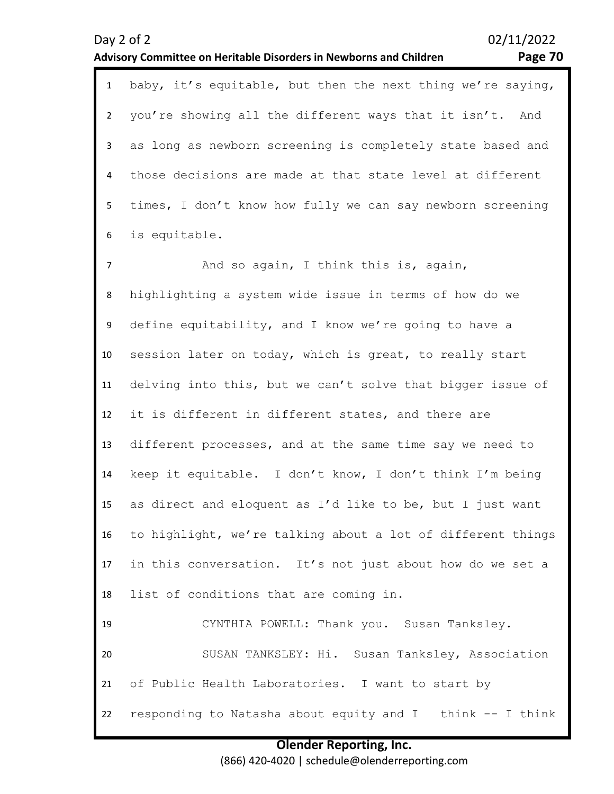# you're showing all the different ways that it isn't. And

3 4 5 6 as long as newborn screening is completely state based and those decisions are made at that state level at different times, I don't know how fully we can say newborn screening is equitable.

1 baby, it's equitable, but then the next thing we're saying,

7 8 9 10 11 12 13 14 15 16 17 18 19 20 21 And so again, I think this is, again, highlighting a system wide issue in terms of how do we define equitability, and I know we're going to have a session later on today, which is great, to really start delving into this, but we can't solve that bigger issue of it is different in different states, and there are different processes, and at the same time say we need to keep it equitable. I don't know, I don't think I'm being as direct and eloquent as I'd like to be, but I just want to highlight, we're talking about a lot of different things in this conversation. It's not just about how do we set a list of conditions that are coming in. CYNTHIA POWELL: Thank you. Susan Tanksley. SUSAN TANKSLEY: Hi. Susan Tanksley, Association of Public Health Laboratories. I want to start by

# responding to Natasha about equity and I think -- I think

**Olender Reporting, Inc.** (866) 420-4020 | schedule@olenderreporting.com

### **Advisory Committee on Heritable Disorders in Newborns and Children Page 70**

 $\overline{\phantom{a}}$ 

22

Day 2 of 2 02/11/2022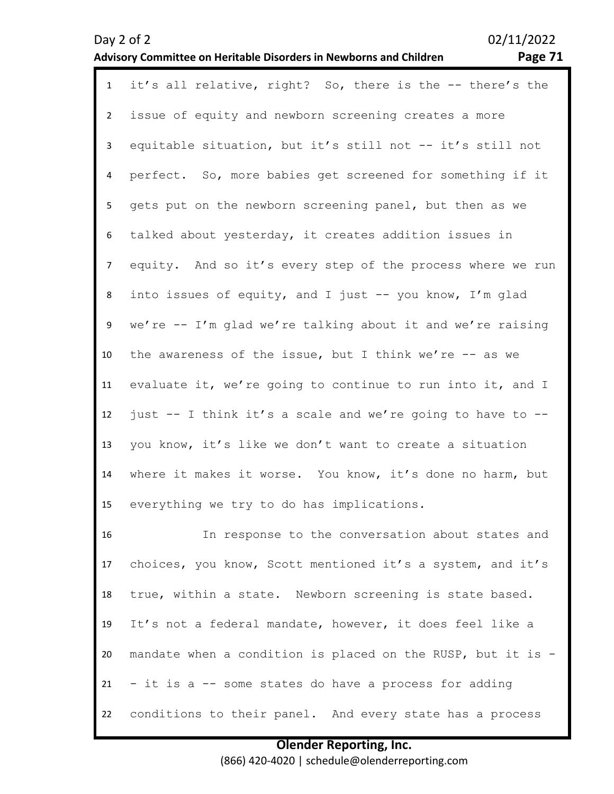### Day 2 of 2 02/11/2022 **Advisory Committee on Heritable Disorders in Newborns and Children Page 71**

| $\mathbf{1}$   | it's all relative, right? So, there is the -- there's the   |
|----------------|-------------------------------------------------------------|
| $\overline{2}$ | issue of equity and newborn screening creates a more        |
| 3              | equitable situation, but it's still not -- it's still not   |
| 4              | perfect. So, more babies get screened for something if it   |
| 5              | gets put on the newborn screening panel, but then as we     |
| 6              | talked about yesterday, it creates addition issues in       |
| $\overline{7}$ | equity. And so it's every step of the process where we run  |
| 8              | into issues of equity, and I just -- you know, I'm glad     |
| 9              | we're -- I'm glad we're talking about it and we're raising  |
| 10             | the awareness of the issue, but I think we're $-$ as we     |
| 11             | evaluate it, we're going to continue to run into it, and I  |
| 12             | just -- I think it's a scale and we're going to have to --  |
| 13             | you know, it's like we don't want to create a situation     |
| 14             | where it makes it worse. You know, it's done no harm, but   |
| 15             | everything we try to do has implications.                   |
| 16             | In response to the conversation about states and            |
| 17             | choices, you know, Scott mentioned it's a system, and it's  |
| 18             | true, within a state. Newborn screening is state based.     |
| 19             | It's not a federal mandate, however, it does feel like a    |
| 20             | mandate when a condition is placed on the RUSP, but it is - |
| 21             | - it is a -- some states do have a process for adding       |
| 22             | conditions to their panel. And every state has a process    |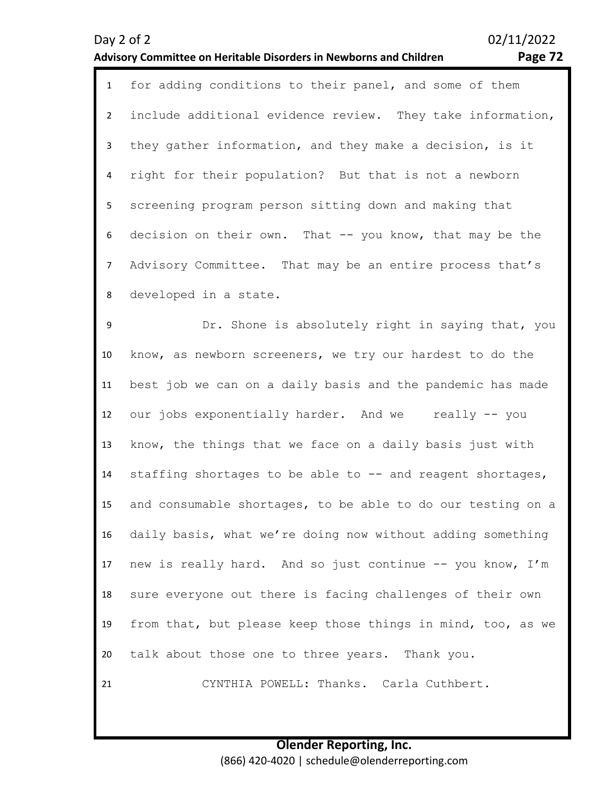21

### **Advisory Committee on Heritable Disorders in Newborns and Children Page 72**

|                | <b>TODAY COMMUNICE ON HEMICROIC DISORCIS IN NEW DOMS CHO CI</b><br>. |
|----------------|----------------------------------------------------------------------|
| $\mathbf{1}$   | for adding conditions to their panel, and some of them               |
| $\overline{2}$ | include additional evidence review. They take information,           |
| 3              | they gather information, and they make a decision, is it             |
| 4              | right for their population? But that is not a newborn                |
| 5 <sub>1</sub> | screening program person sitting down and making that                |
| 6              | decision on their own. That -- you know, that may be the             |
| $\overline{7}$ | Advisory Committee. That may be an entire process that's             |
| 8              | developed in a state.                                                |
| 9              | Dr. Shone is absolutely right in saying that, you                    |
| 10             | know, as newborn screeners, we try our hardest to do the             |
| 11             | best job we can on a daily basis and the pandemic has made           |
| 12             | our jobs exponentially harder. And we really -- you                  |
| 13             | know, the things that we face on a daily basis just with             |
| 14             | staffing shortages to be able to -- and reagent shortages,           |
| 15             | and consumable shortages, to be able to do our testing on a          |
| 16             | daily basis, what we're doing now without adding something           |
| 17             | new is really hard. And so just continue -- you know, I'm            |
| 18             | sure everyone out there is facing challenges of their own            |
| 19             | from that, but please keep those things in mind, too, as we          |
| 20             | talk about those one to three years. Thank you.                      |

CYNTHIA POWELL: Thanks. Carla Cuthbert.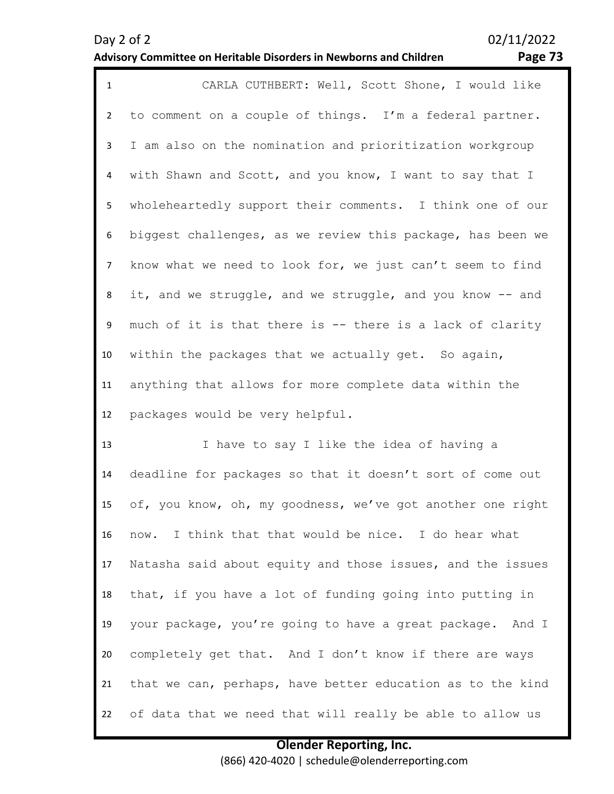### **Advisory Committee on Heritable Disorders in Newborns and Children**

Day 2 of 2 02/11/2022

| о<br>٠ |  |
|--------|--|
|        |  |

| $\mathbf{1}$    | CARLA CUTHBERT: Well, Scott Shone, I would like            |
|-----------------|------------------------------------------------------------|
| $2^{\circ}$     | to comment on a couple of things. I'm a federal partner.   |
| 3               | I am also on the nomination and prioritization workgroup   |
| $\overline{4}$  | with Shawn and Scott, and you know, I want to say that I   |
| 5 <sub>1</sub>  | wholeheartedly support their comments. I think one of our  |
| 6               | biggest challenges, as we review this package, has been we |
| 7 <sup>7</sup>  | know what we need to look for, we just can't seem to find  |
| 8               | it, and we struggle, and we struggle, and you know -- and  |
| 9               | much of it is that there is -- there is a lack of clarity  |
| 10 <sup>°</sup> | within the packages that we actually get. So again,        |
| 11              | anything that allows for more complete data within the     |
| 12              | packages would be very helpful.                            |

13 14 15 16 17 18 19 20 21 22 I have to say I like the idea of having a deadline for packages so that it doesn't sort of come out of, you know, oh, my goodness, we've got another one right now. I think that that would be nice. I do hear what Natasha said about equity and those issues, and the issues that, if you have a lot of funding going into putting in your package, you're going to have a great package. And I completely get that. And I don't know if there are ways that we can, perhaps, have better education as to the kind of data that we need that will really be able to allow us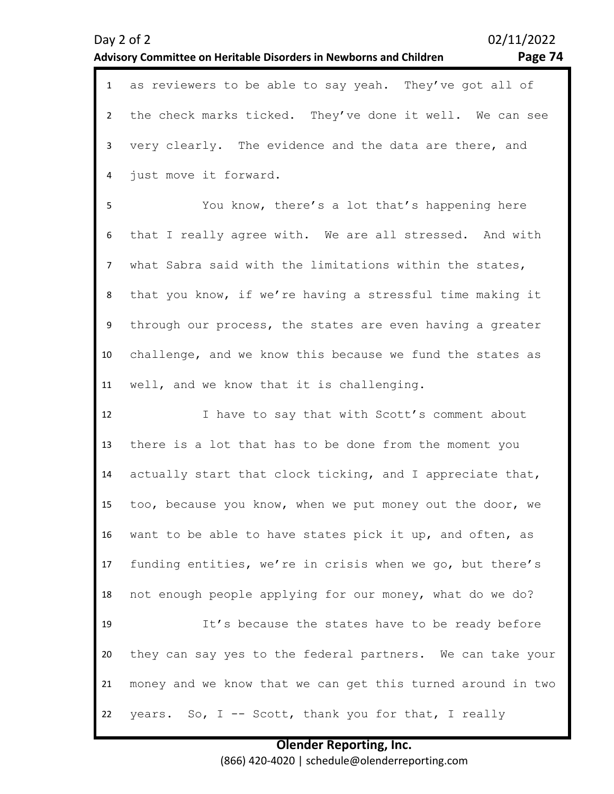### **Advisory Committee on Heritable Disorders in Newborns and Children**

| ۰.<br>o | 1 |
|---------|---|
|         |   |

|    | 1 as reviewers to be able to say yeah. They've got all of   |
|----|-------------------------------------------------------------|
|    | 2 the check marks ticked. They've done it well. We can see  |
|    | 3 very clearly. The evidence and the data are there, and    |
|    | 4 just move it forward.                                     |
| 5  | You know, there's a lot that's happening here               |
|    | 6 that I really agree with. We are all stressed. And with   |
|    | 7 what Sabra said with the limitations within the states,   |
| 8  | that you know, if we're having a stressful time making it   |
|    | 9 through our process, the states are even having a greater |
| 10 | challenge, and we know this because we fund the states as   |

11 well, and we know that it is challenging.

12 13 14 15 16 17 18 19 20 21 22 I have to say that with Scott's comment about there is a lot that has to be done from the moment you actually start that clock ticking, and I appreciate that, too, because you know, when we put money out the door, we want to be able to have states pick it up, and often, as funding entities, we're in crisis when we go, but there's not enough people applying for our money, what do we do? It's because the states have to be ready before they can say yes to the federal partners. We can take your money and we know that we can get this turned around in two years. So,  $I$  -- Scott, thank you for that, I really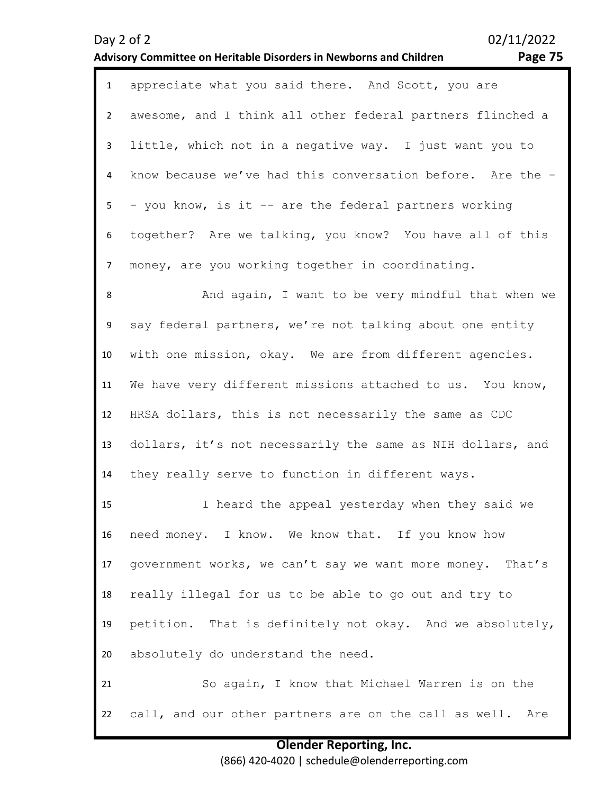| $\mathbf{1}$   | appreciate what you said there. And Scott, you are         |
|----------------|------------------------------------------------------------|
| $\overline{2}$ | awesome, and I think all other federal partners flinched a |
| 3              | little, which not in a negative way. I just want you to    |
| $\overline{4}$ | know because we've had this conversation before. Are the - |
| 5 <sub>1</sub> | - you know, is it -- are the federal partners working      |
| 6              | together? Are we talking, you know? You have all of this   |
| $\overline{7}$ | money, are you working together in coordinating.           |
| 8              | And again, I want to be very mindful that when we          |
| 9              | say federal partners, we're not talking about one entity   |
| 10             | with one mission, okay. We are from different agencies.    |
| 11             | We have very different missions attached to us. You know,  |
| 12             | HRSA dollars, this is not necessarily the same as CDC      |
| 13             | dollars, it's not necessarily the same as NIH dollars, and |
| 14             | they really serve to function in different ways.           |
| 15             | I heard the appeal yesterday when they said we             |
| 16             | need money. I know. We know that. If you know how          |
| 17             | government works, we can't say we want more money. That's  |
| 18             | really illegal for us to be able to go out and try to      |
| 19             | petition. That is definitely not okay. And we absolutely,  |
| 20             | absolutely do understand the need.                         |
| 21             | So again, I know that Michael Warren is on the             |
| 22             | call, and our other partners are on the call as well. Are  |

# **Advisory Committee on Heritable Disorders in Newborns and Children Page 75**

**Olender Reporting, Inc.** (866) 420-4020 | schedule@olenderreporting.com

Day 2 of 2 02/11/2022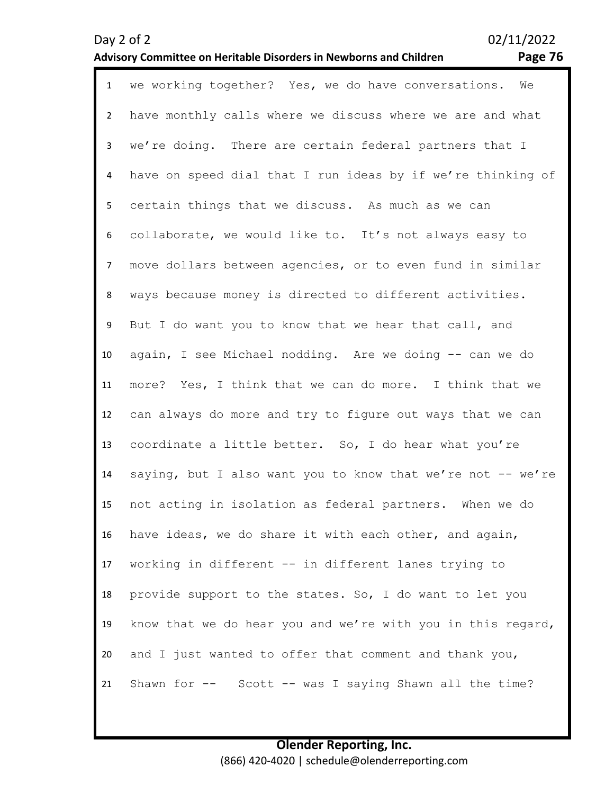# **Advisory Committee on Heritable Disorders in Newborns and Children Page 76**

| $\mathbf{1}$    | we working together? Yes, we do have conversations. We      |
|-----------------|-------------------------------------------------------------|
| $\overline{2}$  | have monthly calls where we discuss where we are and what   |
| $\mathbf{3}$    | we're doing. There are certain federal partners that I      |
| 4               | have on speed dial that I run ideas by if we're thinking of |
| 5               | certain things that we discuss. As much as we can           |
| 6               | collaborate, we would like to. It's not always easy to      |
| $\overline{7}$  | move dollars between agencies, or to even fund in similar   |
| 8               | ways because money is directed to different activities.     |
| 9               | But I do want you to know that we hear that call, and       |
| 10 <sup>°</sup> | again, I see Michael nodding. Are we doing -- can we do     |
| 11              | more? Yes, I think that we can do more. I think that we     |
| 12              | can always do more and try to figure out ways that we can   |
| 13              | coordinate a little better. So, I do hear what you're       |
| 14              | saying, but I also want you to know that we're not -- we're |
| 15              | not acting in isolation as federal partners. When we do     |
| 16              | have ideas, we do share it with each other, and again,      |
| 17              | working in different -- in different lanes trying to        |
| 18              | provide support to the states. So, I do want to let you     |
| 19              | know that we do hear you and we're with you in this regard, |
| 20              | and I just wanted to offer that comment and thank you,      |
| 21              | Shawn for -- Scott -- was I saying Shawn all the time?      |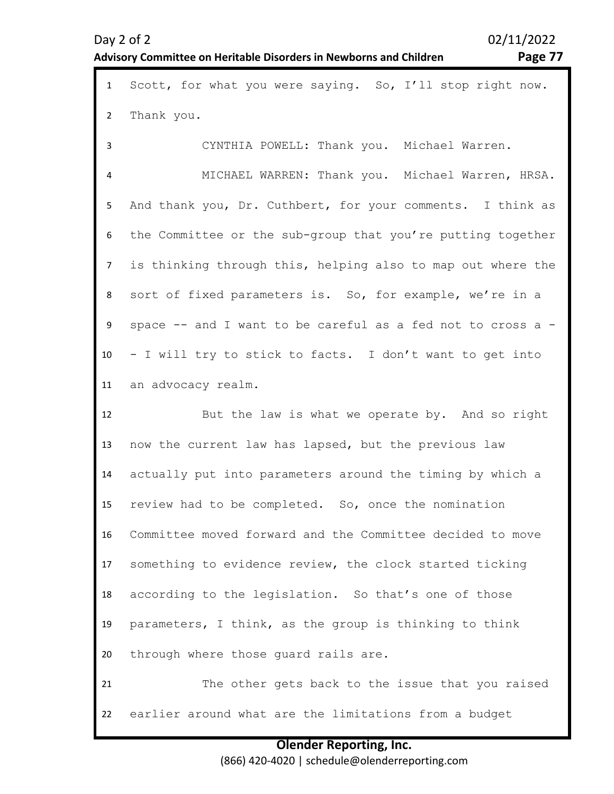# **Advisory Committee on Heritable Disorders in Newborns and Children Page 77**

| $\mathbf{1}$   | Scott, for what you were saying. So, I'll stop right now.   |
|----------------|-------------------------------------------------------------|
| $\overline{2}$ | Thank you.                                                  |
| 3              | CYNTHIA POWELL: Thank you. Michael Warren.                  |
| $\overline{4}$ | MICHAEL WARREN: Thank you. Michael Warren, HRSA.            |
| 5              | And thank you, Dr. Cuthbert, for your comments. I think as  |
| 6              | the Committee or the sub-group that you're putting together |
| $\overline{7}$ | is thinking through this, helping also to map out where the |
| 8              | sort of fixed parameters is. So, for example, we're in a    |
| 9              | space -- and I want to be careful as a fed not to cross a - |
| 10             | - I will try to stick to facts. I don't want to get into    |
| 11             | an advocacy realm.                                          |
|                |                                                             |
| 12             | But the law is what we operate by. And so right             |
| 13             | now the current law has lapsed, but the previous law        |
| 14             | actually put into parameters around the timing by which a   |
| 15             | review had to be completed. So, once the nomination         |
| 16             | Committee moved forward and the Committee decided to move   |
| 17             | something to evidence review, the clock started ticking     |
| 18             | according to the legislation. So that's one of those        |
| 19             | parameters, I think, as the group is thinking to think      |
| 20             | through where those guard rails are.                        |
| 21             | The other gets back to the issue that you raised            |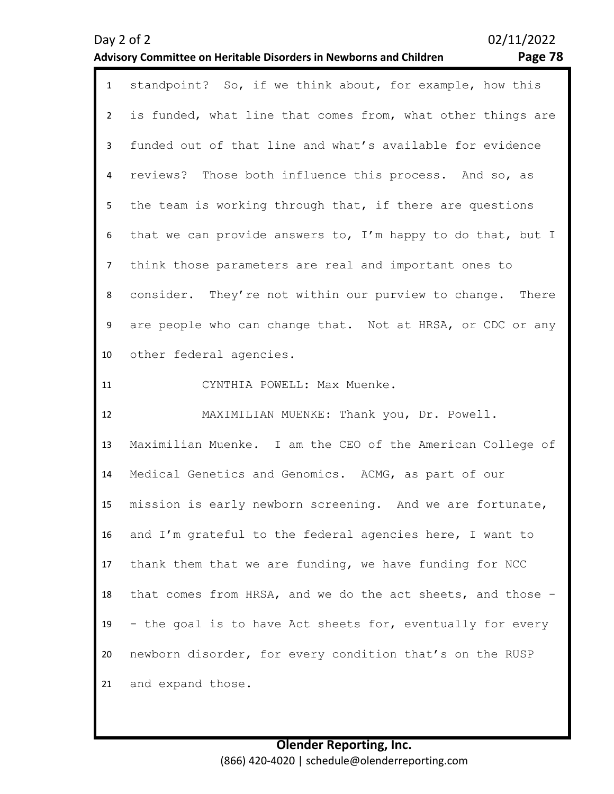# **Olender Reporting, Inc.** (866) 420-4020 | schedule@olenderreporting.com

|                | <u>u visory committee on nentable Disoruers in Newborns and Children</u><br>. ugu / u |
|----------------|---------------------------------------------------------------------------------------|
| $\mathbf{1}$   | standpoint? So, if we think about, for example, how this                              |
| $2^{\circ}$    | is funded, what line that comes from, what other things are                           |
| 3              | funded out of that line and what's available for evidence                             |
| 4              | reviews? Those both influence this process. And so, as                                |
| 5              | the team is working through that, if there are questions                              |
| 6              | that we can provide answers to, I'm happy to do that, but I                           |
| $\overline{7}$ | think those parameters are real and important ones to                                 |
| 8              | consider. They're not within our purview to change. There                             |
| 9              | are people who can change that. Not at HRSA, or CDC or any                            |
| 10             | other federal agencies.                                                               |
| 11             | CYNTHIA POWELL: Max Muenke.                                                           |
| 12             | MAXIMILIAN MUENKE: Thank you, Dr. Powell.                                             |
| 13             | Maximilian Muenke. I am the CEO of the American College of                            |
| 14             | Medical Genetics and Genomics. ACMG, as part of our                                   |
| 15             | mission is early newborn screening. And we are fortunate,                             |
| 16             | and I'm grateful to the federal agencies here, I want to                              |
| 17             | thank them that we are funding, we have funding for NCC                               |
| 18             | that comes from HRSA, and we do the act sheets, and those -                           |
| 19             | - the goal is to have Act sheets for, eventually for every                            |
| 20             | newborn disorder, for every condition that's on the RUSP                              |
| 21             | and expand those.                                                                     |

# **Advisory Committee on Heritable Disorders in Newborns and Children Page 78**

Day 2 of 2 02/11/2022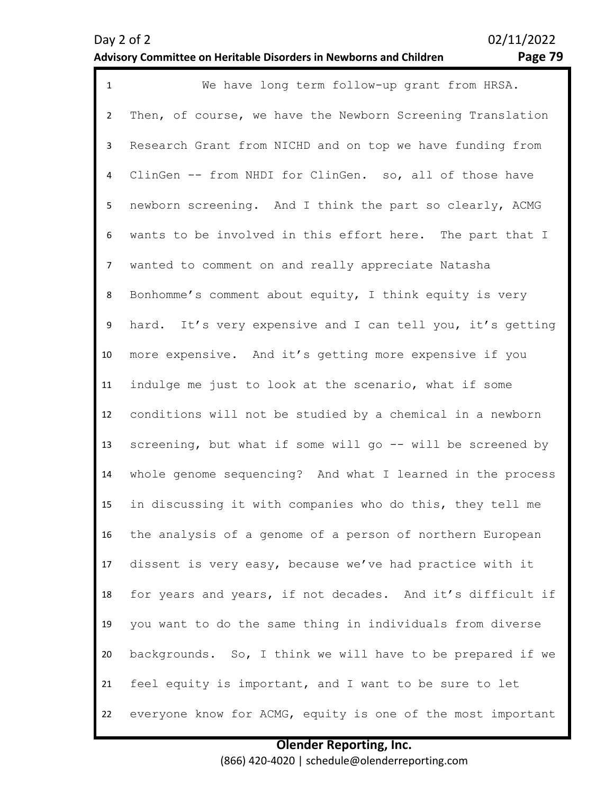# **Advisory Committee on Heritable Disorders in Newborns and Children Page 79**

| $\mathbf{1}$   | We have long term follow-up grant from HRSA.                |
|----------------|-------------------------------------------------------------|
| $2^{\circ}$    | Then, of course, we have the Newborn Screening Translation  |
| 3              | Research Grant from NICHD and on top we have funding from   |
| 4              | ClinGen -- from NHDI for ClinGen. so, all of those have     |
| 5              | newborn screening. And I think the part so clearly, ACMG    |
| 6              | wants to be involved in this effort here. The part that I   |
| $\overline{7}$ | wanted to comment on and really appreciate Natasha          |
| 8              | Bonhomme's comment about equity, I think equity is very     |
| 9              | hard. It's very expensive and I can tell you, it's getting  |
| 10             | more expensive. And it's getting more expensive if you      |
| 11             | indulge me just to look at the scenario, what if some       |
| 12             | conditions will not be studied by a chemical in a newborn   |
| 13             | screening, but what if some will go -- will be screened by  |
| 14             | whole genome sequencing? And what I learned in the process  |
| 15             | in discussing it with companies who do this, they tell me   |
| 16             | the analysis of a genome of a person of northern European   |
| 17             | dissent is very easy, because we've had practice with it    |
| 18             | for years and years, if not decades. And it's difficult if  |
| 19             | you want to do the same thing in individuals from diverse   |
| 20             | backgrounds. So, I think we will have to be prepared if we  |
| 21             | feel equity is important, and I want to be sure to let      |
| 22             | everyone know for ACMG, equity is one of the most important |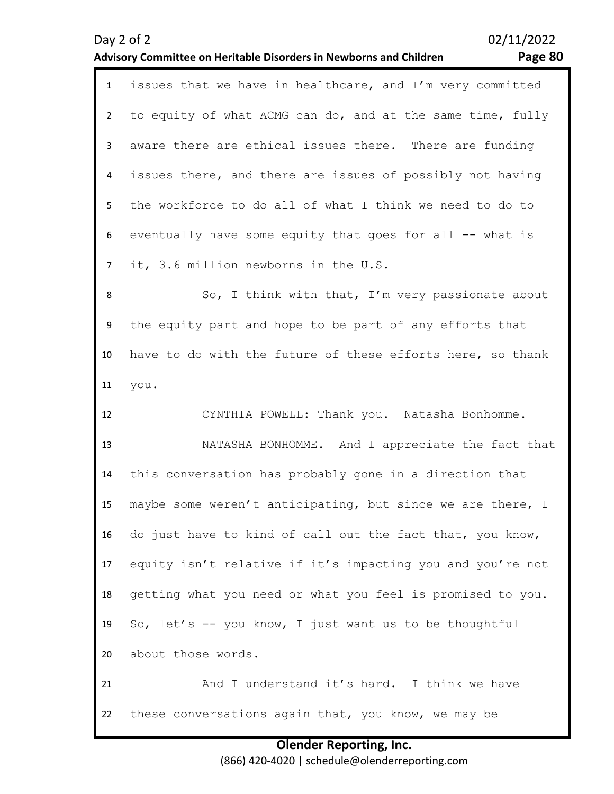# to equity of what ACMG can do, and at the same time, fully

3 4 5 6 7 aware there are ethical issues there. There are funding issues there, and there are issues of possibly not having the workforce to do all of what I think we need to do to eventually have some equity that goes for all -- what is it, 3.6 million newborns in the U.S.

1 issues that we have in healthcare, and I'm very committed

8 9 10 11 So, I think with that, I'm very passionate about the equity part and hope to be part of any efforts that have to do with the future of these efforts here, so thank you.

12 13 14 15 16 17 18 19 20 21 22 CYNTHIA POWELL: Thank you. Natasha Bonhomme. NATASHA BONHOMME. And I appreciate the fact that this conversation has probably gone in a direction that maybe some weren't anticipating, but since we are there, I do just have to kind of call out the fact that, you know, equity isn't relative if it's impacting you and you're not getting what you need or what you feel is promised to you. So, let's -- you know, I just want us to be thoughtful about those words. And I understand it's hard. I think we have these conversations again that, you know, we may be

> **Olender Reporting, Inc.** (866) 420-4020 | schedule@olenderreporting.com

### **Advisory Committee on Heritable Disorders in Newborns and Children Page 80**

 $\overline{\phantom{a}}$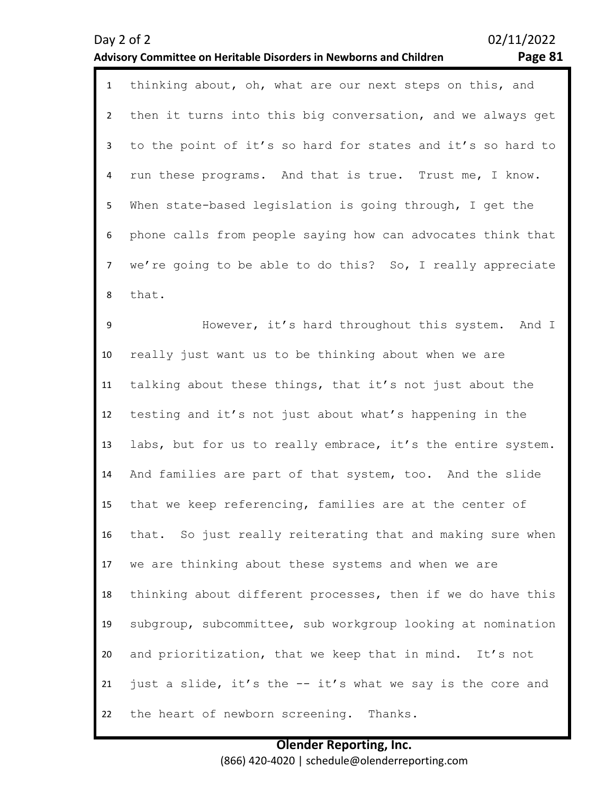| $\mathbf{1}$   | thinking about, oh, what are our next steps on this, and    |
|----------------|-------------------------------------------------------------|
| $\overline{2}$ | then it turns into this big conversation, and we always get |
| 3              | to the point of it's so hard for states and it's so hard to |
| 4              | run these programs. And that is true. Trust me, I know.     |
| 5              | When state-based legislation is going through, I get the    |
| 6              | phone calls from people saying how can advocates think that |
| $\overline{7}$ | we're going to be able to do this? So, I really appreciate  |
| 8              | that.                                                       |
| 9              | However, it's hard throughout this system. And I            |
| 10             | really just want us to be thinking about when we are        |
| 11             | talking about these things, that it's not just about the    |
| 12             | testing and it's not just about what's happening in the     |
| 13             | labs, but for us to really embrace, it's the entire system. |
| 14             | And families are part of that system, too. And the slide    |
| 15             | that we keep referencing, families are at the center of     |
| 16             | that. So just really reiterating that and making sure when  |
| 17             | we are thinking about these systems and when we are         |
| 18             | thinking about different processes, then if we do have this |
| 19             | subgroup, subcommittee, sub workgroup looking at nomination |
| 20             | and prioritization, that we keep that in mind. It's not     |
| 21             | just a slide, it's the -- it's what we say is the core and  |
| 22             | the heart of newborn screening. Thanks.                     |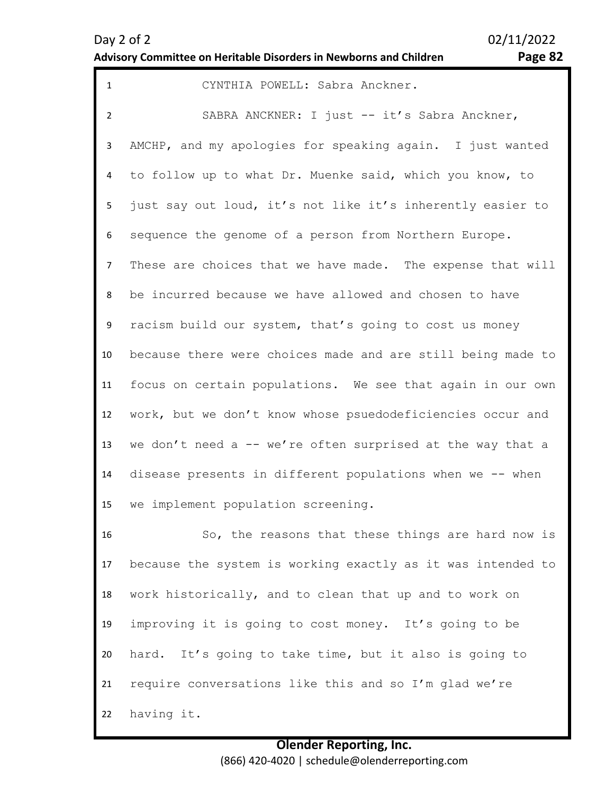| $\mathbf{1}$   | CYNTHIA POWELL: Sabra Anckner.                              |
|----------------|-------------------------------------------------------------|
| $\overline{2}$ | SABRA ANCKNER: I just -- it's Sabra Anckner,                |
| 3              | AMCHP, and my apologies for speaking again. I just wanted   |
| 4              | to follow up to what Dr. Muenke said, which you know, to    |
| 5              | just say out loud, it's not like it's inherently easier to  |
| 6              | sequence the genome of a person from Northern Europe.       |
| $\overline{7}$ | These are choices that we have made. The expense that will  |
| 8              | be incurred because we have allowed and chosen to have      |
| 9              | racism build our system, that's going to cost us money      |
| 10             | because there were choices made and are still being made to |
| 11             | focus on certain populations. We see that again in our own  |
| 12             | work, but we don't know whose psuedodeficiencies occur and  |
| 13             | we don't need a -- we're often surprised at the way that a  |
| 14             | disease presents in different populations when we -- when   |
| 15             | we implement population screening.                          |
| 16             | So, the reasons that these things are hard now is           |
| 17             | because the system is working exactly as it was intended to |
| 18             | work historically, and to clean that up and to work on      |
| 19             | improving it is going to cost money. It's going to be       |
| 20             | hard. It's going to take time, but it also is going to      |
| 21             | require conversations like this and so I'm glad we're       |
| 22             | having it.                                                  |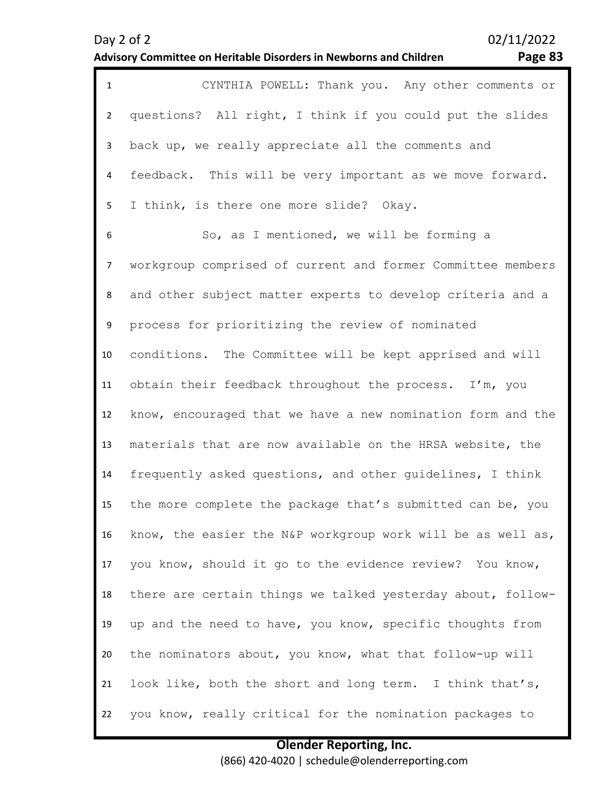| $\mathbf{1}$   | CYNTHIA POWELL: Thank you. Any other comments or            |
|----------------|-------------------------------------------------------------|
| $\overline{2}$ | questions? All right, I think if you could put the slides   |
| 3              | back up, we really appreciate all the comments and          |
| $\overline{4}$ | feedback. This will be very important as we move forward.   |
| 5              | I think, is there one more slide? Okay.                     |
| 6              | So, as I mentioned, we will be forming a                    |
| $\overline{7}$ | workgroup comprised of current and former Committee members |
| 8              | and other subject matter experts to develop criteria and a  |
| 9              | process for prioritizing the review of nominated            |
| 10             | conditions. The Committee will be kept apprised and will    |
| 11             | obtain their feedback throughout the process. I'm, you      |
| 12             | know, encouraged that we have a new nomination form and the |
| 13             | materials that are now available on the HRSA website, the   |
| 14             | frequently asked questions, and other guidelines, I think   |
| 15             | the more complete the package that's submitted can be, you  |
| 16             | know, the easier the N&P workgroup work will be as well as, |
| 17             | you know, should it go to the evidence review? You know,    |
| 18             | there are certain things we talked yesterday about, follow- |
| 19             | up and the need to have, you know, specific thoughts from   |
| 20             | the nominators about, you know, what that follow-up will    |
| 21             | look like, both the short and long term. I think that's,    |
| 22             | you know, really critical for the nomination packages to    |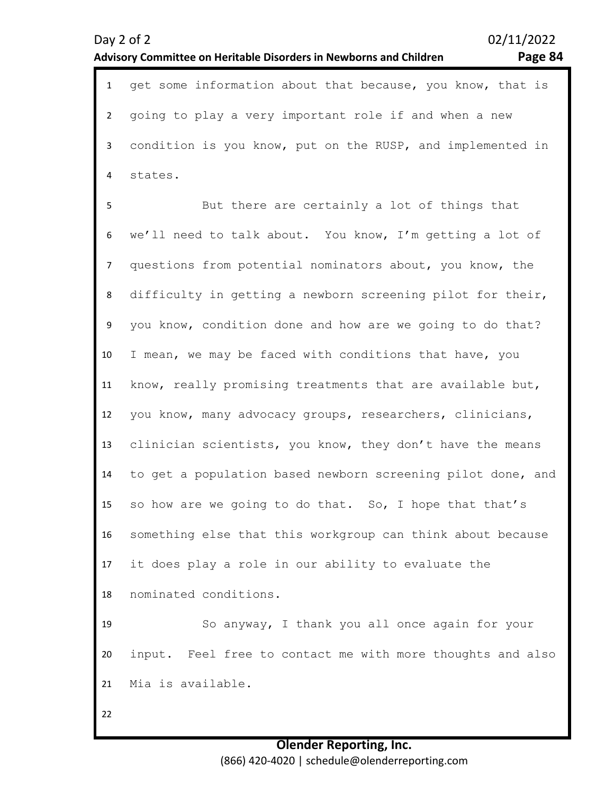| $\mathbf{1}$   | get some information about that because, you know, that is  |
|----------------|-------------------------------------------------------------|
| $\overline{2}$ | going to play a very important role if and when a new       |
| $\mathbf{3}$   | condition is you know, put on the RUSP, and implemented in  |
| 4              | states.                                                     |
| 5              | But there are certainly a lot of things that                |
| 6              | we'll need to talk about. You know, I'm getting a lot of    |
| $\overline{7}$ | questions from potential nominators about, you know, the    |
| 8              | difficulty in getting a newborn screening pilot for their,  |
| 9              | you know, condition done and how are we going to do that?   |
| 10             | I mean, we may be faced with conditions that have, you      |
| 11             | know, really promising treatments that are available but,   |
| 12             | you know, many advocacy groups, researchers, clinicians,    |
| 13             | clinician scientists, you know, they don't have the means   |
| 14             | to get a population based newborn screening pilot done, and |
| 15             | so how are we going to do that. So, I hope that that's      |
| 16             | something else that this workgroup can think about because  |
| 17             | it does play a role in our ability to evaluate the          |
| 18             | nominated conditions.                                       |
| 19             | So anyway, I thank you all once again for your              |
| 20             | input. Feel free to contact me with more thoughts and also  |
| 21             | Mia is available.                                           |
| 22             |                                                             |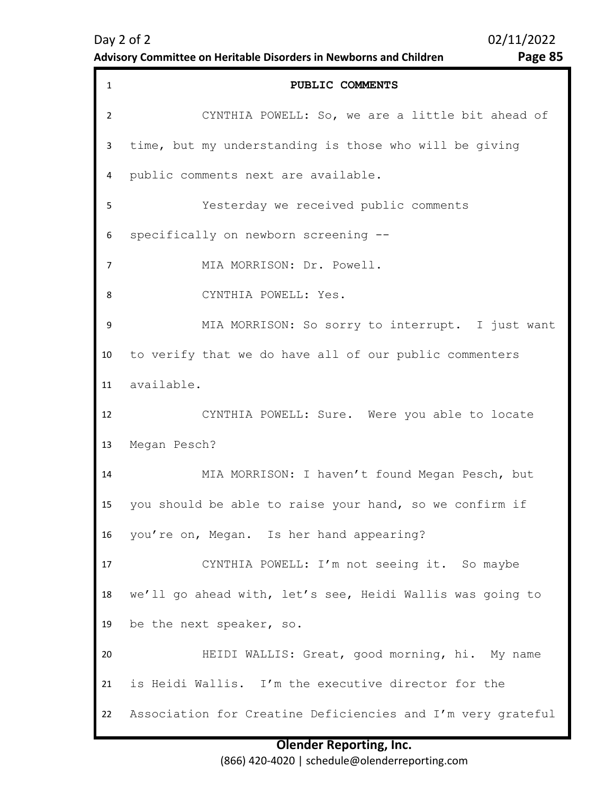# **Advisory Committee on Heritable Disorders in Newborns and Children Page 85**

| $\mathbf{1}$   | PUBLIC COMMENTS                                             |
|----------------|-------------------------------------------------------------|
| $\overline{2}$ | CYNTHIA POWELL: So, we are a little bit ahead of            |
| 3              | time, but my understanding is those who will be giving      |
| 4              | public comments next are available.                         |
| 5              | Yesterday we received public comments                       |
| 6              | specifically on newborn screening --                        |
| $\overline{7}$ | MIA MORRISON: Dr. Powell.                                   |
| 8              | CYNTHIA POWELL: Yes.                                        |
| 9              | MIA MORRISON: So sorry to interrupt. I just want            |
| 10             | to verify that we do have all of our public commenters      |
| 11             | available.                                                  |
| 12             | CYNTHIA POWELL: Sure. Were you able to locate               |
| 13             | Megan Pesch?                                                |
| 14             | MIA MORRISON: I haven't found Megan Pesch, but              |
| 15             | you should be able to raise your hand, so we confirm if     |
| 16             | you're on, Megan. Is her hand appearing?                    |
| 17             | CYNTHIA POWELL: I'm not seeing it. So maybe                 |
| 18             | we'll go ahead with, let's see, Heidi Wallis was going to   |
| 19             | be the next speaker, so.                                    |
| 20             | HEIDI WALLIS: Great, good morning, hi. My name              |
| 21             | is Heidi Wallis. I'm the executive director for the         |
| 22             | Association for Creatine Deficiencies and I'm very grateful |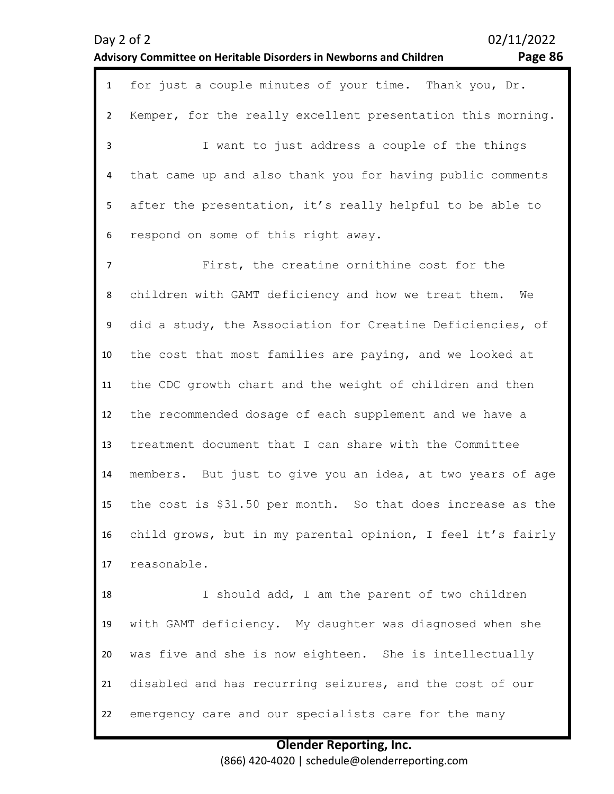# **Advisory Committee on Heritable Disorders in Newborns and Children Page 86**

| $\mathbf{1}$   | for just a couple minutes of your time. Thank you, Dr.      |
|----------------|-------------------------------------------------------------|
| $\overline{2}$ | Kemper, for the really excellent presentation this morning. |
| 3              | I want to just address a couple of the things               |
| 4              | that came up and also thank you for having public comments  |
| 5              | after the presentation, it's really helpful to be able to   |
| 6              | respond on some of this right away.                         |
| $\overline{7}$ | First, the creatine ornithine cost for the                  |
| 8              | children with GAMT deficiency and how we treat them.<br>We  |
| 9              | did a study, the Association for Creatine Deficiencies, of  |
| 10             | the cost that most families are paying, and we looked at    |
| 11             | the CDC growth chart and the weight of children and then    |
| 12             | the recommended dosage of each supplement and we have a     |
| 13             | treatment document that I can share with the Committee      |
| 14             | members. But just to give you an idea, at two years of age  |
| 15             | the cost is \$31.50 per month. So that does increase as the |
| 16             | child grows, but in my parental opinion, I feel it's fairly |
| 17             | reasonable.                                                 |
| 18             | I should add, I am the parent of two children               |
| 19             | with GAMT deficiency. My daughter was diagnosed when she    |
| 20             | was five and she is now eighteen. She is intellectually     |
| 21             | disabled and has recurring seizures, and the cost of our    |
| 22             | emergency care and our specialists care for the many        |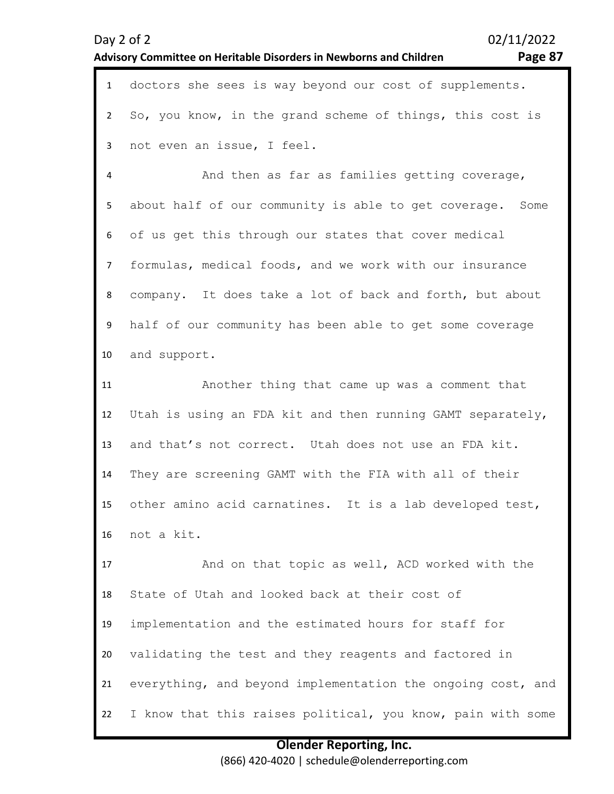| Day $2$ of $2$ |                                                                           |  |  |  | 02/11/2022 |  |                                                         |         |
|----------------|---------------------------------------------------------------------------|--|--|--|------------|--|---------------------------------------------------------|---------|
|                | <b>Advisory Committee on Heritable Disorders in Newborns and Children</b> |  |  |  |            |  |                                                         | Page 87 |
|                |                                                                           |  |  |  |            |  | doctors she sees is way beyond our cost of supplements. |         |

 $\overline{\phantom{a}}$ 3 So, you know, in the grand scheme of things, this cost is not even an issue, I feel.

4 5 6 7 8 9 10 And then as far as families getting coverage, about half of our community is able to get coverage. Some of us get this through our states that cover medical formulas, medical foods, and we work with our insurance company. It does take a lot of back and forth, but about half of our community has been able to get some coverage and support.

11 12 13 14 15 16 Another thing that came up was a comment that Utah is using an FDA kit and then running GAMT separately, and that's not correct. Utah does not use an FDA kit. They are screening GAMT with the FIA with all of their other amino acid carnatines. It is a lab developed test, not a kit.

17 18 19 20 21 22 And on that topic as well, ACD worked with the State of Utah and looked back at their cost of implementation and the estimated hours for staff for validating the test and they reagents and factored in everything, and beyond implementation the ongoing cost, and I know that this raises political, you know, pain with some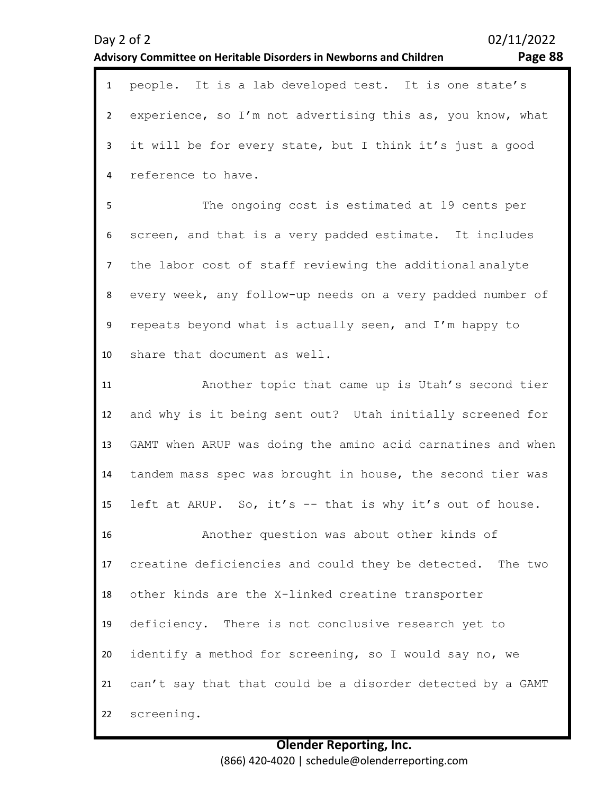# Day 2 of 2 02/11/2022 **Advisory Committee on Heritable Disorders in Newborns and Children Page 88** 1 people. It is a lab developed test. It is one state's 2 3 4 5 6 7 8 9 10 11 12 13 14 experience, so I'm not advertising this as, you know, what it will be for every state, but I think it's just a good reference to have. The ongoing cost is estimated at 19 cents per screen, and that is a very padded estimate. It includes the labor cost of staff reviewing the additional analyte every week, any follow-up needs on a very padded number of repeats beyond what is actually seen, and I'm happy to share that document as well. Another topic that came up is Utah's second tier and why is it being sent out? Utah initially screened for GAMT when ARUP was doing the amino acid carnatines and when tandem mass spec was brought in house, the second tier was

15 left at ARUP. So, it's -- that is why it's out of house.

16 17 18 19 20 21 22 Another question was about other kinds of creatine deficiencies and could they be detected. The two other kinds are the X-linked creatine transporter deficiency. There is not conclusive research yet to identify a method for screening, so I would say no, we can't say that that could be a disorder detected by a GAMT screening.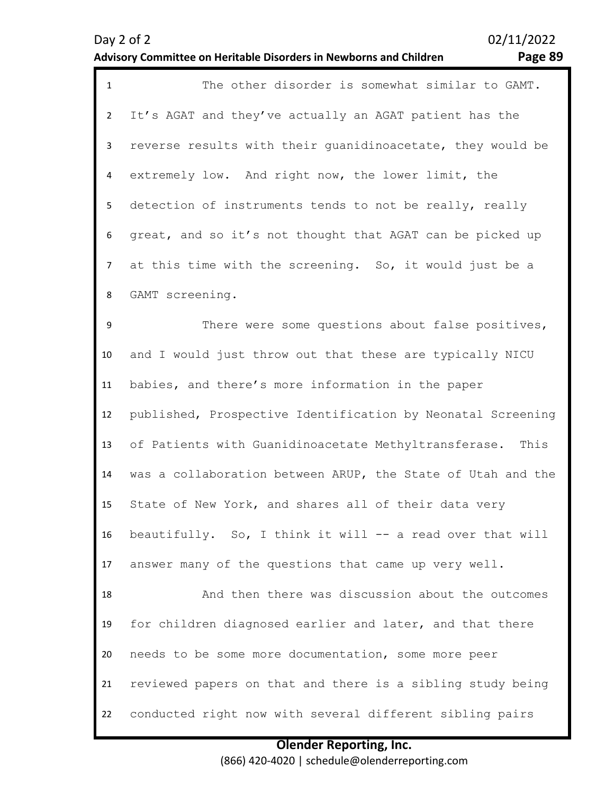$\overline{\phantom{a}}$ 

3

4

5

6

7

8

### **Advisory Committee on Heritable Disorders in Newborns and Children Page 89**

1 The other disorder is somewhat similar to GAMT. It's AGAT and they've actually an AGAT patient has the reverse results with their guanidinoacetate, they would be extremely low. And right now, the lower limit, the detection of instruments tends to not be really, really great, and so it's not thought that AGAT can be picked up at this time with the screening. So, it would just be a GAMT screening.

9 10 11 12 13 14 15 16 17 18 19 20 21 22 There were some questions about false positives, and I would just throw out that these are typically NICU babies, and there's more information in the paper published, Prospective Identification by Neonatal Screening of Patients with Guanidinoacetate Methyltransferase. This was a collaboration between ARUP, the State of Utah and the State of New York, and shares all of their data very beautifully. So, I think it will -- a read over that will answer many of the questions that came up very well. And then there was discussion about the outcomes for children diagnosed earlier and later, and that there needs to be some more documentation, some more peer reviewed papers on that and there is a sibling study being conducted right now with several different sibling pairs

### **Olender Reporting, Inc.** (866) 420-4020 | schedule@olenderreporting.com

Day 2 of 2 02/11/2022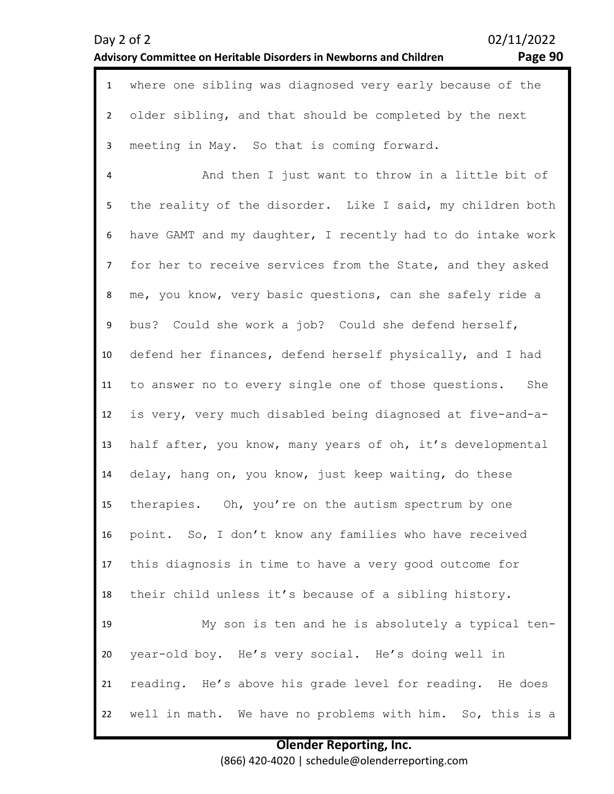| $\mathbf{1}$   | where one sibling was diagnosed very early because of the   |
|----------------|-------------------------------------------------------------|
| $\overline{2}$ | older sibling, and that should be completed by the next     |
| $\mathbf{3}$   | meeting in May. So that is coming forward.                  |
| 4              | And then I just want to throw in a little bit of            |
| 5              | the reality of the disorder. Like I said, my children both  |
| 6              | have GAMT and my daughter, I recently had to do intake work |
| $\overline{7}$ | for her to receive services from the State, and they asked  |
| 8              | me, you know, very basic questions, can she safely ride a   |
| 9              | bus? Could she work a job? Could she defend herself,        |
| 10             | defend her finances, defend herself physically, and I had   |
| 11             | to answer no to every single one of those questions.<br>She |
| 12             | is very, very much disabled being diagnosed at five-and-a-  |
| 13             | half after, you know, many years of oh, it's developmental  |
| 14             | delay, hang on, you know, just keep waiting, do these       |
| 15             | therapies. Oh, you're on the autism spectrum by one         |
| 16             | point. So, I don't know any families who have received      |
| 17             | this diagnosis in time to have a very good outcome for      |
| 18             | their child unless it's because of a sibling history.       |
| 19             | My son is ten and he is absolutely a typical ten-           |
| 20             | year-old boy. He's very social. He's doing well in          |
| 21             | reading. He's above his grade level for reading. He does    |
| 22             | well in math. We have no problems with him. So, this is a   |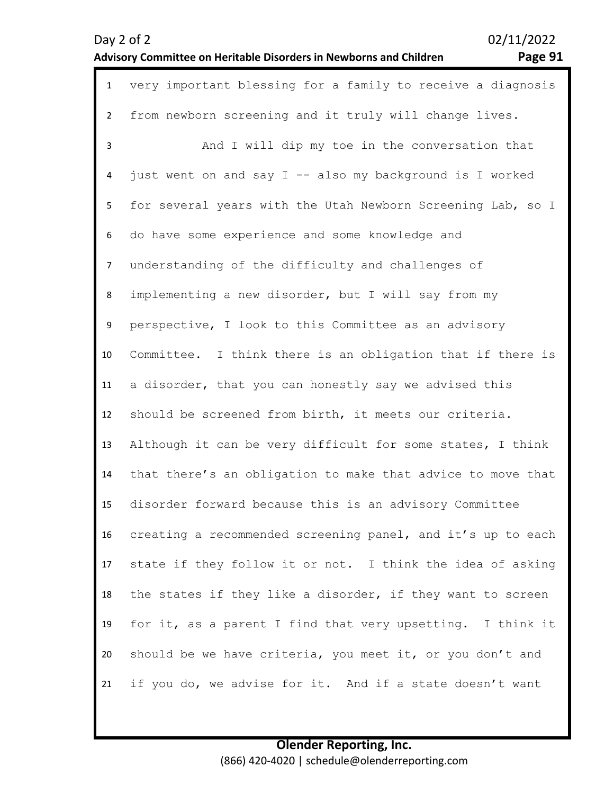Page 91

| $\mathbf{1}$   | very important blessing for a family to receive a diagnosis |
|----------------|-------------------------------------------------------------|
| $\overline{2}$ | from newborn screening and it truly will change lives.      |
| 3              | And I will dip my toe in the conversation that              |
| 4              | just went on and say I -- also my background is I worked    |
| 5              | for several years with the Utah Newborn Screening Lab, so I |
| 6              | do have some experience and some knowledge and              |
| $\overline{7}$ | understanding of the difficulty and challenges of           |
| 8              | implementing a new disorder, but I will say from my         |
| 9              | perspective, I look to this Committee as an advisory        |
| 10             | Committee. I think there is an obligation that if there is  |
| 11             | a disorder, that you can honestly say we advised this       |
| 12             | should be screened from birth, it meets our criteria.       |
| 13             | Although it can be very difficult for some states, I think  |
| 14             | that there's an obligation to make that advice to move that |
| 15             | disorder forward because this is an advisory Committee      |
| 16             | creating a recommended screening panel, and it's up to each |
| 17             | state if they follow it or not. I think the idea of asking  |
| 18             | the states if they like a disorder, if they want to screen  |
| 19             | for it, as a parent I find that very upsetting. I think it  |
| 20             | should be we have criteria, you meet it, or you don't and   |
| 21             | if you do, we advise for it. And if a state doesn't want    |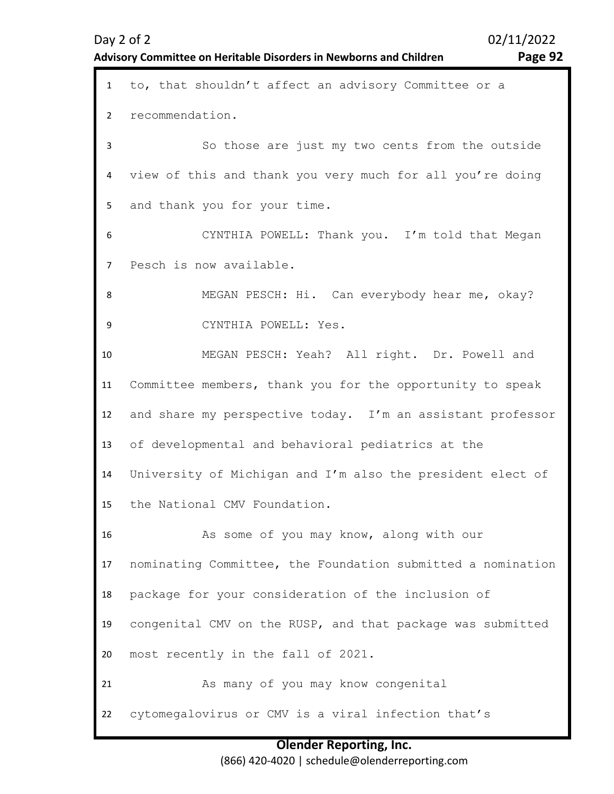| $1 \quad$       | to, that shouldn't affect an advisory Committee or a        |
|-----------------|-------------------------------------------------------------|
| $\overline{2}$  | recommendation.                                             |
| 3               | So those are just my two cents from the outside             |
| 4               | view of this and thank you very much for all you're doing   |
| 5               | and thank you for your time.                                |
| 6               | CYNTHIA POWELL: Thank you. I'm told that Megan              |
| $7^{\circ}$     | Pesch is now available.                                     |
| 8               | MEGAN PESCH: Hi. Can everybody hear me, okay?               |
| 9               | CYNTHIA POWELL: Yes.                                        |
| 10              | MEGAN PESCH: Yeah? All right. Dr. Powell and                |
| 11              | Committee members, thank you for the opportunity to speak   |
| 12 <sup>2</sup> | and share my perspective today. I'm an assistant professor  |
| 13              | of developmental and behavioral pediatrics at the           |
| 14              | University of Michigan and I'm also the president elect of  |
| 15              | the National CMV Foundation.                                |
| 16              | As some of you may know, along with our                     |
| 17              | nominating Committee, the Foundation submitted a nomination |
| 18              | package for your consideration of the inclusion of          |
| 19              | congenital CMV on the RUSP, and that package was submitted  |
| 20              | most recently in the fall of 2021.                          |
| 21              | As many of you may know congenital                          |
| 22              | cytomegalovirus or CMV is a viral infection that's          |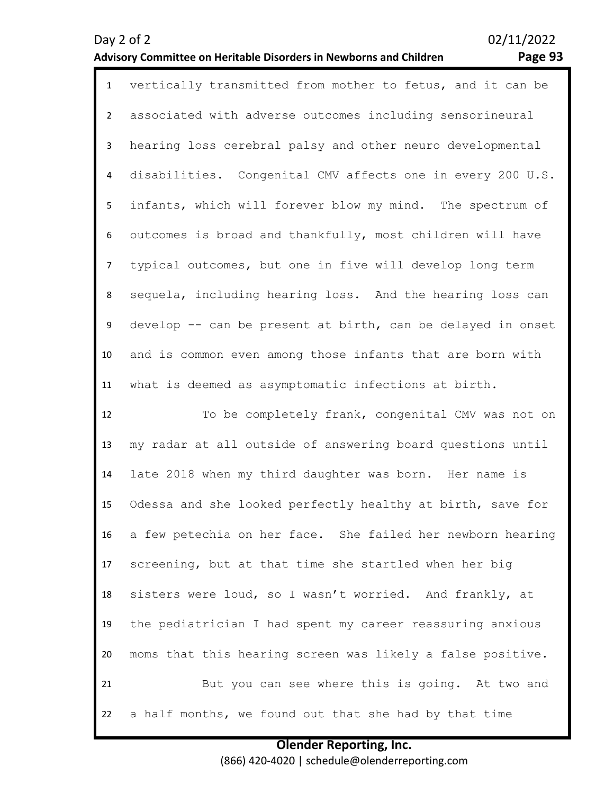### **Advisory Committee on Heritable Disorders in Newborns and Children Page 93**

|                 | 1 vertically transmitted from mother to fetus, and it can be |
|-----------------|--------------------------------------------------------------|
|                 | 2 associated with adverse outcomes including sensorineural   |
| 3 <sup>7</sup>  | hearing loss cerebral palsy and other neuro developmental    |
| $4\overline{ }$ | disabilities. Congenital CMV affects one in every 200 U.S.   |
| 5               | infants, which will forever blow my mind. The spectrum of    |
| 6               | outcomes is broad and thankfully, most children will have    |
| 7 <sup>7</sup>  | typical outcomes, but one in five will develop long term     |
| 8               | sequela, including hearing loss. And the hearing loss can    |
| 9               | develop -- can be present at birth, can be delayed in onset  |
| 10              | and is common even among those infants that are born with    |

11 what is deemed as asymptomatic infections at birth.

12 13 14 15 16 17 18 19 20 21 22 To be completely frank, congenital CMV was not on my radar at all outside of answering board questions until late 2018 when my third daughter was born. Her name is Odessa and she looked perfectly healthy at birth, save for a few petechia on her face. She failed her newborn hearing screening, but at that time she startled when her big sisters were loud, so I wasn't worried. And frankly, at the pediatrician I had spent my career reassuring anxious moms that this hearing screen was likely a false positive. But you can see where this is going. At two and a half months, we found out that she had by that time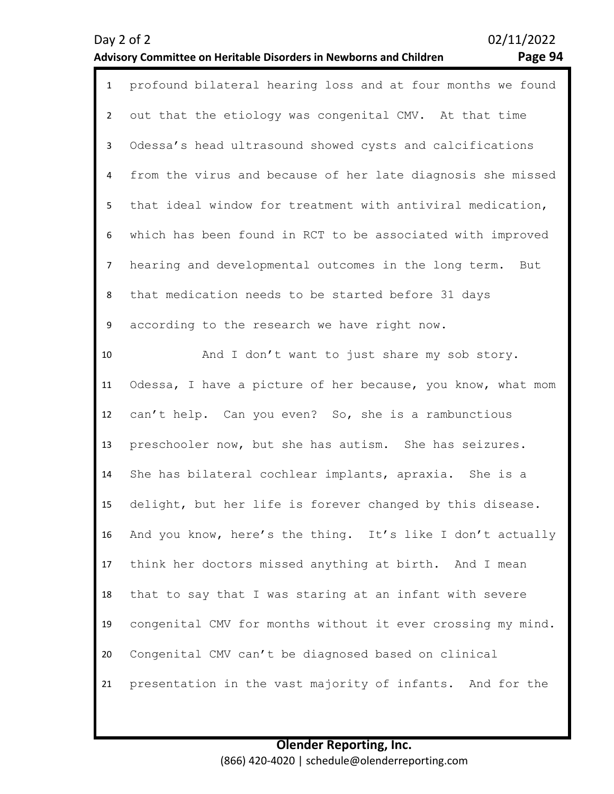# **Advisory Committee on Heritable Disorders in Newborns and Children Page 94**

| $\mathbf{1}$   | profound bilateral hearing loss and at four months we found |
|----------------|-------------------------------------------------------------|
| $\overline{2}$ | out that the etiology was congenital CMV. At that time      |
| $\mathbf{3}$   | Odessa's head ultrasound showed cysts and calcifications    |
| 4              | from the virus and because of her late diagnosis she missed |
| 5              | that ideal window for treatment with antiviral medication,  |
| 6              | which has been found in RCT to be associated with improved  |
| $\overline{7}$ | hearing and developmental outcomes in the long term. But    |
| 8              | that medication needs to be started before 31 days          |
| 9              | according to the research we have right now.                |
| 10             | And I don't want to just share my sob story.                |
| 11             | Odessa, I have a picture of her because, you know, what mom |
| 12             | can't help. Can you even? So, she is a rambunctious         |
| 13             | preschooler now, but she has autism. She has seizures.      |
| 14             | She has bilateral cochlear implants, apraxia. She is a      |
| 15             | delight, but her life is forever changed by this disease.   |
| 16             | And you know, here's the thing. It's like I don't actually  |
| 17             | think her doctors missed anything at birth. And I mean      |
| 18             | that to say that I was staring at an infant with severe     |
| 19             | congenital CMV for months without it ever crossing my mind. |
| 20             | Congenital CMV can't be diagnosed based on clinical         |
| 21             | presentation in the vast majority of infants. And for the   |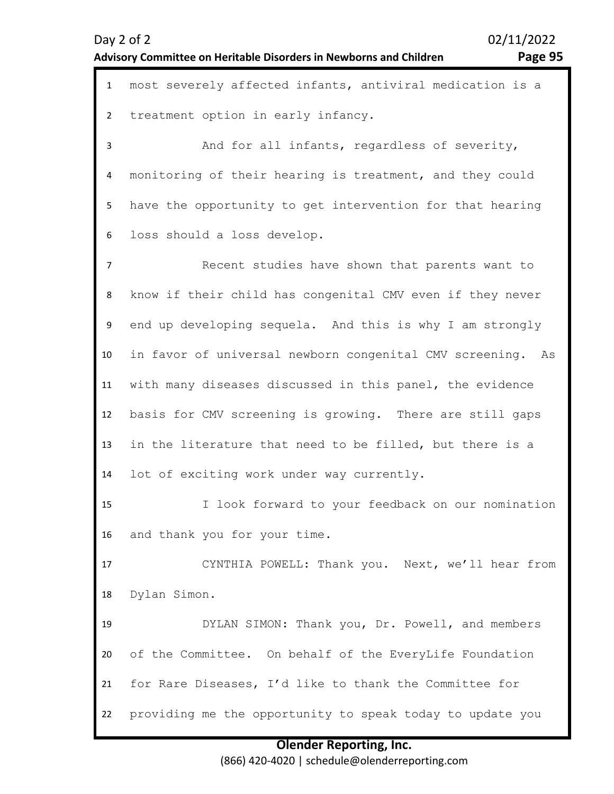1 most severely affected infants, antiviral medication is a  $\overline{\phantom{a}}$ treatment option in early infancy.

3 4 5 6 And for all infants, regardless of severity, monitoring of their hearing is treatment, and they could have the opportunity to get intervention for that hearing loss should a loss develop.

7 8 9 10 11 12 13 14 Recent studies have shown that parents want to know if their child has congenital CMV even if they never end up developing sequela. And this is why I am strongly in favor of universal newborn congenital CMV screening. As with many diseases discussed in this panel, the evidence basis for CMV screening is growing. There are still gaps in the literature that need to be filled, but there is a lot of exciting work under way currently.

15 16 I look forward to your feedback on our nomination and thank you for your time.

17 18 CYNTHIA POWELL: Thank you. Next, we'll hear from Dylan Simon.

19 20 21 22 DYLAN SIMON: Thank you, Dr. Powell, and members of the Committee. On behalf of the EveryLife Foundation for Rare Diseases, I'd like to thank the Committee for providing me the opportunity to speak today to update you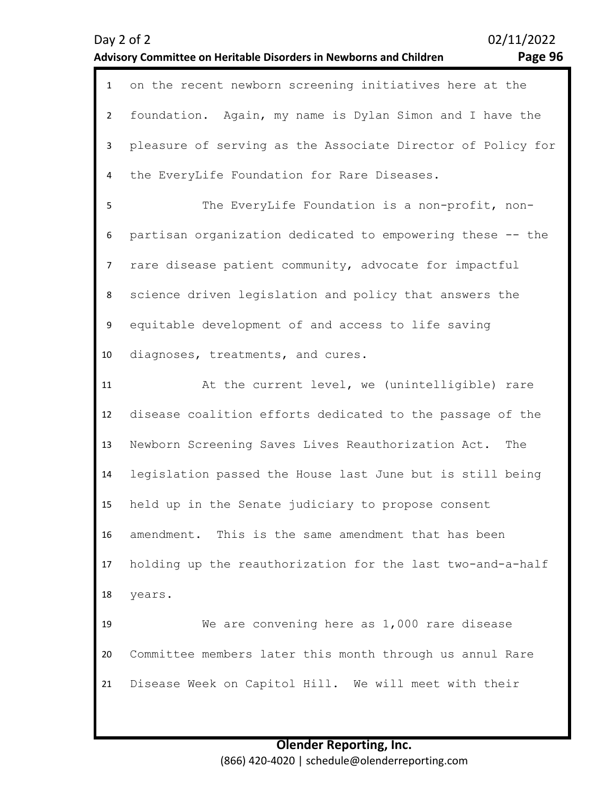| Page 96 |  |
|---------|--|
|---------|--|

| $\mathbf{1}$   | on the recent newborn screening initiatives here at the     |
|----------------|-------------------------------------------------------------|
| $\overline{2}$ | foundation. Again, my name is Dylan Simon and I have the    |
| 3              | pleasure of serving as the Associate Director of Policy for |
| 4              | the EveryLife Foundation for Rare Diseases.                 |
| 5              | The EveryLife Foundation is a non-profit, non-              |
| 6              | partisan organization dedicated to empowering these -- the  |
| $\overline{7}$ | rare disease patient community, advocate for impactful      |
| 8              | science driven legislation and policy that answers the      |
| 9              | equitable development of and access to life saving          |
| 10             | diagnoses, treatments, and cures.                           |
| 11             | At the current level, we (unintelligible) rare              |
| 12             | disease coalition efforts dedicated to the passage of the   |
| 13             | Newborn Screening Saves Lives Reauthorization Act.<br>The   |
| 14             | legislation passed the House last June but is still being   |
| 15             | held up in the Senate judiciary to propose consent          |
| 16             | amendment. This is the same amendment that has been         |
| 17             | holding up the reauthorization for the last two-and-a-half  |
| 18             | years.                                                      |
| 19             | We are convening here as 1,000 rare disease                 |
| 20             | Committee members later this month through us annul Rare    |
| 21             | Disease Week on Capitol Hill. We will meet with their       |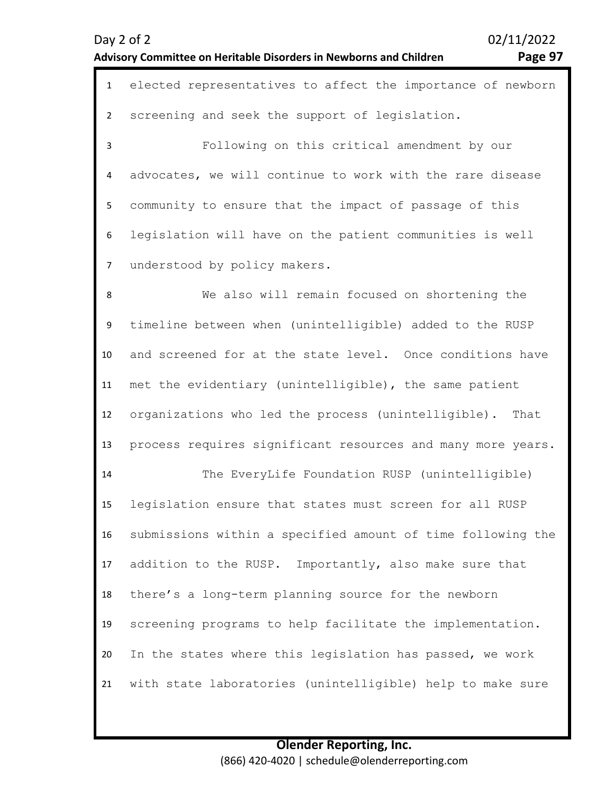# **Advisory Committee on Heritable Disorders in Newborns and Children Page 97**

| $\mathbf{1}$   | elected representatives to affect the importance of newborn |
|----------------|-------------------------------------------------------------|
| $\overline{2}$ | screening and seek the support of legislation.              |
| 3              | Following on this critical amendment by our                 |
| 4              | advocates, we will continue to work with the rare disease   |
| 5              | community to ensure that the impact of passage of this      |
| 6              | legislation will have on the patient communities is well    |
| $\overline{7}$ | understood by policy makers.                                |
| 8              | We also will remain focused on shortening the               |
| 9              | timeline between when (unintelligible) added to the RUSP    |
| 10             | and screened for at the state level. Once conditions have   |
| 11             | met the evidentiary (unintelligible), the same patient      |
| 12             | organizations who led the process (unintelligible).<br>That |
| 13             | process requires significant resources and many more years. |
| 14             | The EveryLife Foundation RUSP (unintelligible)              |
| 15             | legislation ensure that states must screen for all RUSP     |
| 16             | submissions within a specified amount of time following the |
| 17             | addition to the RUSP. Importantly, also make sure that      |
| 18             | there's a long-term planning source for the newborn         |
| 19             | screening programs to help facilitate the implementation.   |
| 20             | In the states where this legislation has passed, we work    |
| 21             | with state laboratories (unintelligible) help to make sure  |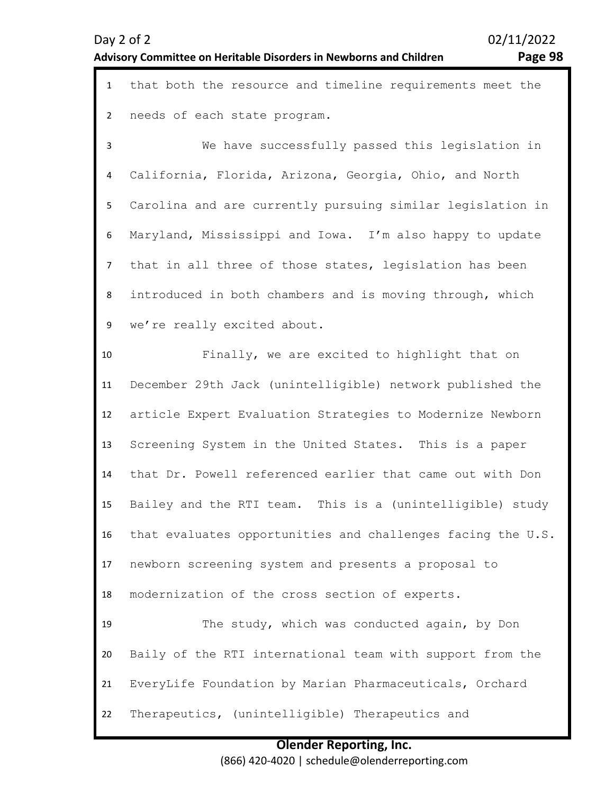# **Advisory Committee on Heritable Disorders in Newborns and Children Page 98**

| $\mathbf{1}$   | that both the resource and timeline requirements meet the   |
|----------------|-------------------------------------------------------------|
| $\overline{2}$ | needs of each state program.                                |
| 3              | We have successfully passed this legislation in             |
| 4              | California, Florida, Arizona, Georgia, Ohio, and North      |
| 5              | Carolina and are currently pursuing similar legislation in  |
| 6              | Maryland, Mississippi and Iowa. I'm also happy to update    |
| $\overline{7}$ | that in all three of those states, legislation has been     |
| 8              | introduced in both chambers and is moving through, which    |
| 9              | we're really excited about.                                 |
| 10             | Finally, we are excited to highlight that on                |
| 11             | December 29th Jack (unintelligible) network published the   |
| 12             | article Expert Evaluation Strategies to Modernize Newborn   |
| 13             | Screening System in the United States. This is a paper      |
| 14             | that Dr. Powell referenced earlier that came out with Don   |
| 15             | Bailey and the RTI team. This is a (unintelligible) study   |
| 16             | that evaluates opportunities and challenges facing the U.S. |
| 17             | newborn screening system and presents a proposal to         |
| 18             | modernization of the cross section of experts.              |
| 19             | The study, which was conducted again, by Don                |
| 20             | Baily of the RTI international team with support from the   |
| 21             | EveryLife Foundation by Marian Pharmaceuticals, Orchard     |
| 22             | Therapeutics, (unintelligible) Therapeutics and             |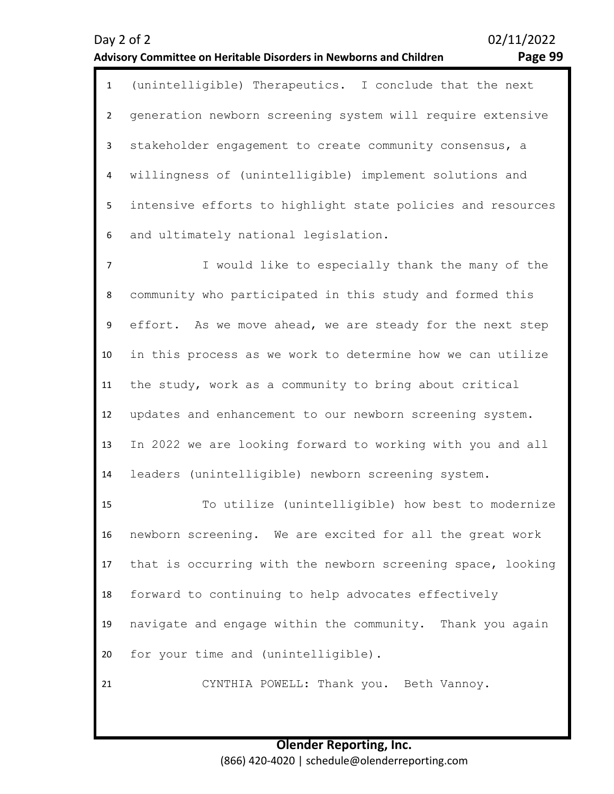| $\mathbf{1}$            | (unintelligible) Therapeutics. I conclude that the next     |
|-------------------------|-------------------------------------------------------------|
| $\overline{2}$          | generation newborn screening system will require extensive  |
| 3                       | stakeholder engagement to create community consensus, a     |
| $\overline{\mathbf{4}}$ | willingness of (unintelligible) implement solutions and     |
| 5                       | intensive efforts to highlight state policies and resources |
| 6                       | and ultimately national legislation.                        |
| $\overline{7}$          | I would like to especially thank the many of the            |
| 8                       | community who participated in this study and formed this    |
| 9                       | effort. As we move ahead, we are steady for the next step   |
| 10                      | in this process as we work to determine how we can utilize  |
| 11                      | the study, work as a community to bring about critical      |
| 12                      | updates and enhancement to our newborn screening system.    |
| 13                      | In 2022 we are looking forward to working with you and all  |
| 14                      | leaders (unintelligible) newborn screening system.          |
| 15                      | To utilize (unintelligible) how best to modernize           |
| 16                      | newborn screening. We are excited for all the great work    |
| 17                      | that is occurring with the newborn screening space, looking |
| 18                      | forward to continuing to help advocates effectively         |
| 19                      | navigate and engage within the community. Thank you again   |
| 20                      | for your time and (unintelligible).                         |
| 21                      | CYNTHIA POWELL: Thank you. Beth Vannoy.                     |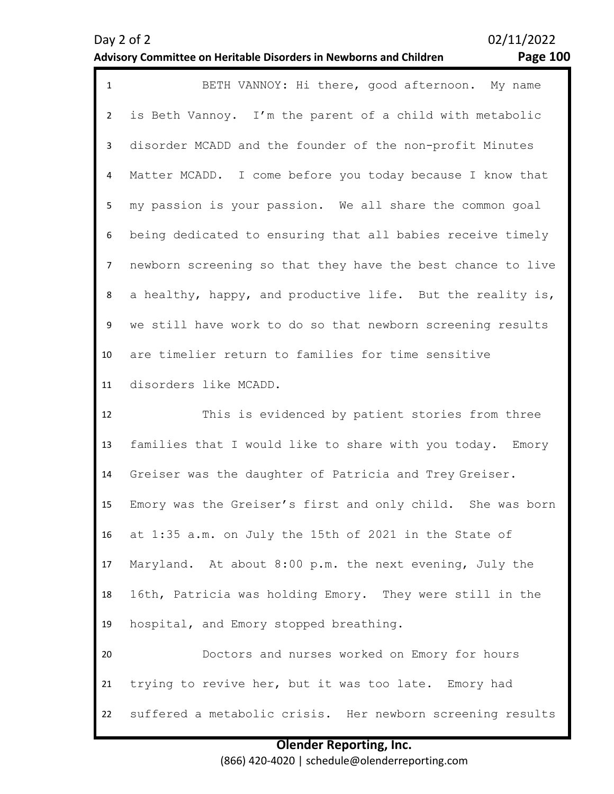21

| $\mathbf{1}$   | BETH VANNOY: Hi there, good afternoon. My name              |
|----------------|-------------------------------------------------------------|
| $2^{\circ}$    | is Beth Vannoy. I'm the parent of a child with metabolic    |
| 3 <sup>7</sup> | disorder MCADD and the founder of the non-profit Minutes    |
| 4              | Matter MCADD. I come before you today because I know that   |
| 5 <sub>1</sub> | my passion is your passion. We all share the common goal    |
| 6              | being dedicated to ensuring that all babies receive timely  |
| 7 <sup>7</sup> | newborn screening so that they have the best chance to live |
| 8              | a healthy, happy, and productive life. But the reality is,  |
| 9              | we still have work to do so that newborn screening results  |
| 10             | are timelier return to families for time sensitive          |
| 11             | disorders like MCADD.                                       |

12 13 14 15 16 17 18 19 20 This is evidenced by patient stories from three families that I would like to share with you today. Emory Greiser was the daughter of Patricia and Trey Greiser. Emory was the Greiser's first and only child. She was born at 1:35 a.m. on July the 15th of 2021 in the State of Maryland. At about 8:00 p.m. the next evening, July the 16th, Patricia was holding Emory. They were still in the hospital, and Emory stopped breathing. Doctors and nurses worked on Emory for hours

22 suffered a metabolic crisis. Her newborn screening results

trying to revive her, but it was too late. Emory had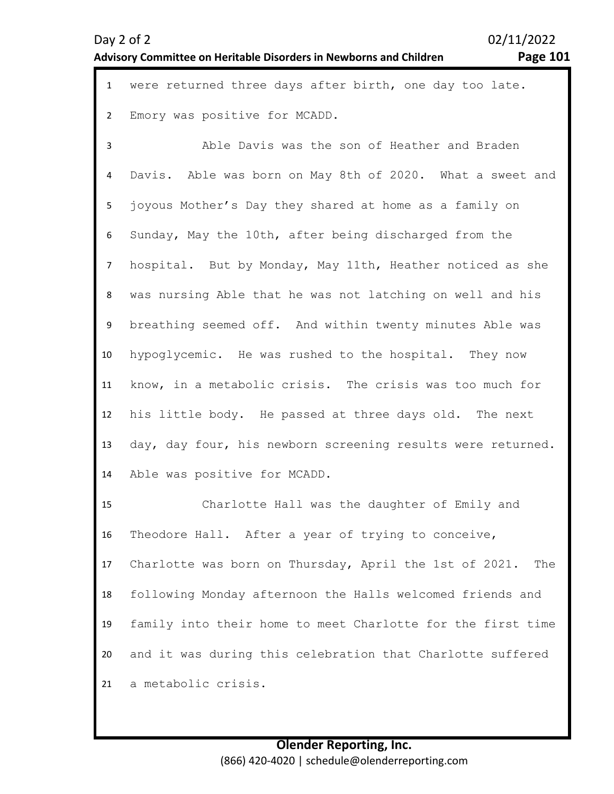# **Advisory Committee on Heritable Disorders in Newborns and Children Page 101**

|  |  |  | 1 were returned three days after birth, one day too late. |  |  |  |
|--|--|--|-----------------------------------------------------------|--|--|--|
|  |  |  | 2 Emory was positive for MCADD.                           |  |  |  |

3 4 5 6 7 8 9 10 11 12 13 14 Able Davis was the son of Heather and Braden Davis. Able was born on May 8th of 2020. What a sweet and joyous Mother's Day they shared at home as a family on Sunday, May the 10th, after being discharged from the hospital. But by Monday, May 11th, Heather noticed as she was nursing Able that he was not latching on well and his breathing seemed off. And within twenty minutes Able was hypoglycemic. He was rushed to the hospital. They now know, in a metabolic crisis. The crisis was too much for his little body. He passed at three days old. The next day, day four, his newborn screening results were returned. Able was positive for MCADD.

15 16 17 18 19 20 21 Charlotte Hall was the daughter of Emily and Theodore Hall. After a year of trying to conceive, Charlotte was born on Thursday, April the 1st of 2021. The following Monday afternoon the Halls welcomed friends and family into their home to meet Charlotte for the first time and it was during this celebration that Charlotte suffered a metabolic crisis.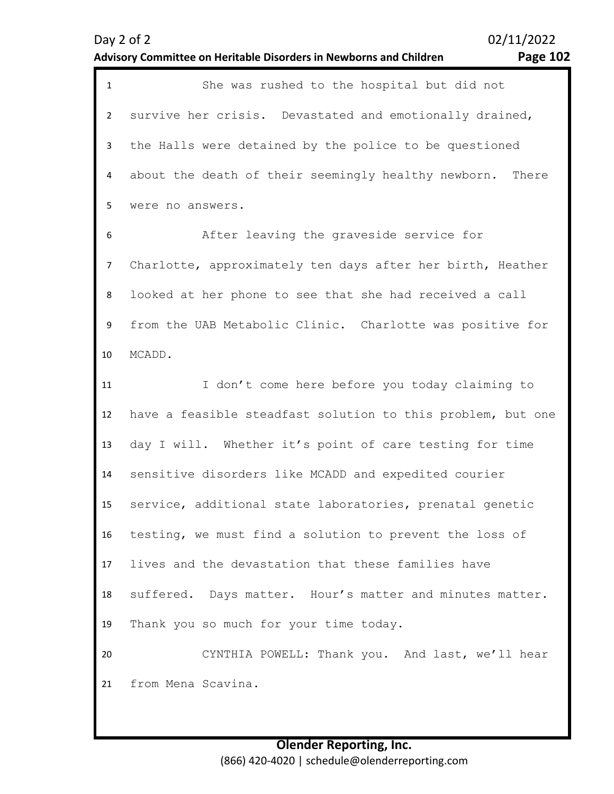1 She was rushed to the hospital but did not  $\overline{\phantom{a}}$ 3 4 5 survive her crisis. Devastated and emotionally drained, the Halls were detained by the police to be questioned about the death of their seemingly healthy newborn. There were no answers.

6 7 8 9 10 After leaving the graveside service for Charlotte, approximately ten days after her birth, Heather looked at her phone to see that she had received a call from the UAB Metabolic Clinic. Charlotte was positive for MCADD.

11 12 13 14 15 16 17 18 19 20 21 I don't come here before you today claiming to have a feasible steadfast solution to this problem, but one day I will. Whether it's point of care testing for time sensitive disorders like MCADD and expedited courier service, additional state laboratories, prenatal genetic testing, we must find a solution to prevent the loss of lives and the devastation that these families have suffered. Days matter. Hour's matter and minutes matter. Thank you so much for your time today. CYNTHIA POWELL: Thank you. And last, we'll hear from Mena Scavina.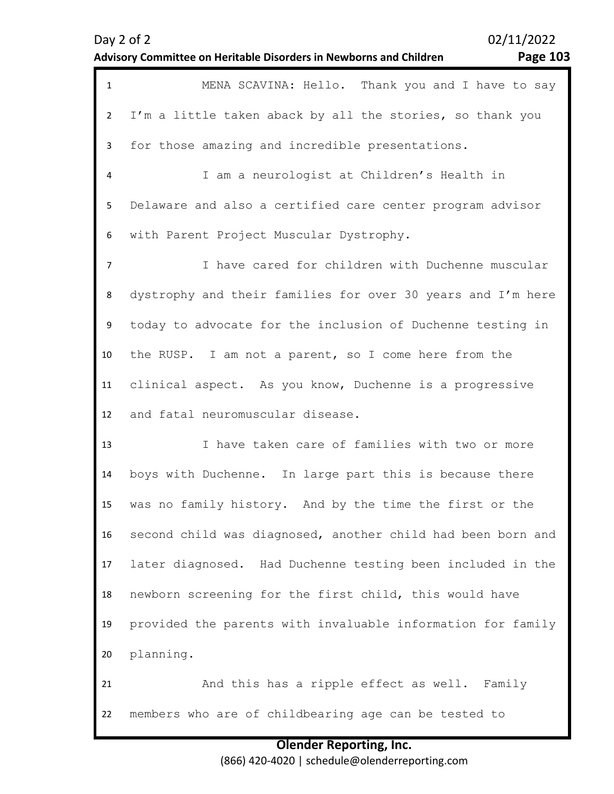| $\mathbf{1}$   | MENA SCAVINA: Hello. Thank you and I have to say            |
|----------------|-------------------------------------------------------------|
| $2^{\circ}$    | I'm a little taken aback by all the stories, so thank you   |
| $\mathbf{3}$   | for those amazing and incredible presentations.             |
| 4              | I am a neurologist at Children's Health in                  |
| 5              | Delaware and also a certified care center program advisor   |
| 6              | with Parent Project Muscular Dystrophy.                     |
| $\overline{7}$ | I have cared for children with Duchenne muscular            |
| 8              | dystrophy and their families for over 30 years and I'm here |
| 9              | today to advocate for the inclusion of Duchenne testing in  |
| 10             | the RUSP. I am not a parent, so I come here from the        |
| 11             | clinical aspect. As you know, Duchenne is a progressive     |
| 12             | and fatal neuromuscular disease.                            |
| 13             | I have taken care of families with two or more              |
| 14             | boys with Duchenne. In large part this is because there     |
| 15             | was no family history. And by the time the first or the     |
| 16             | second child was diagnosed, another child had been born and |
| 17             | later diagnosed. Had Duchenne testing been included in the  |
| 18             | newborn screening for the first child, this would have      |
| 19             | provided the parents with invaluable information for family |
| 20             | planning.                                                   |
| 21             | And this has a ripple effect as well. Family                |
| 22             | members who are of childbearing age can be tested to        |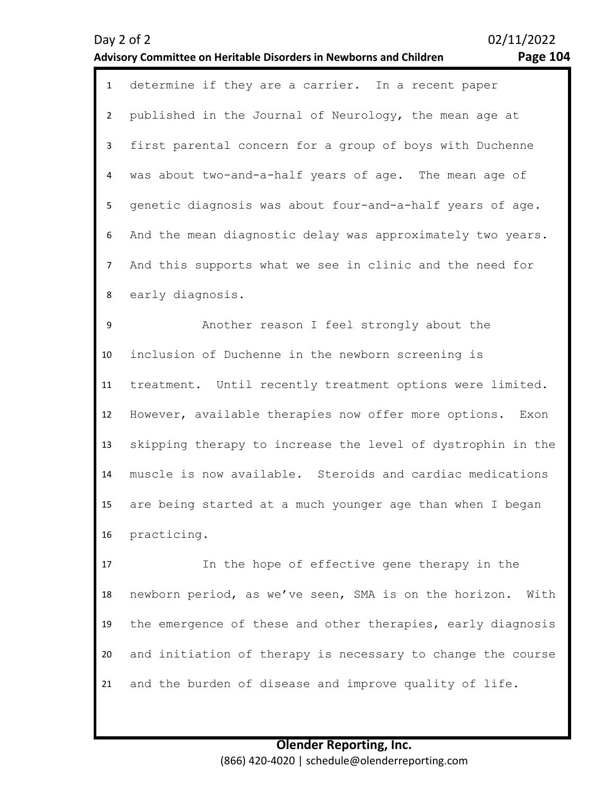### **Advisory Committee on Heritable Disorders in Newborns and Children Page 104**

1 determine if they are a carrier. In a recent paper  $\overline{\phantom{a}}$ 3 4 5 6 7 8 published in the Journal of Neurology, the mean age at first parental concern for a group of boys with Duchenne was about two-and-a-half years of age. The mean age of genetic diagnosis was about four-and-a-half years of age. And the mean diagnostic delay was approximately two years. And this supports what we see in clinic and the need for early diagnosis.

9 10 11 12 13 14 15 16 Another reason I feel strongly about the inclusion of Duchenne in the newborn screening is treatment. Until recently treatment options were limited. However, available therapies now offer more options. Exon skipping therapy to increase the level of dystrophin in the muscle is now available. Steroids and cardiac medications are being started at a much younger age than when I began practicing.

17 18 19 20 21 In the hope of effective gene therapy in the newborn period, as we've seen, SMA is on the horizon. With the emergence of these and other therapies, early diagnosis and initiation of therapy is necessary to change the course and the burden of disease and improve quality of life.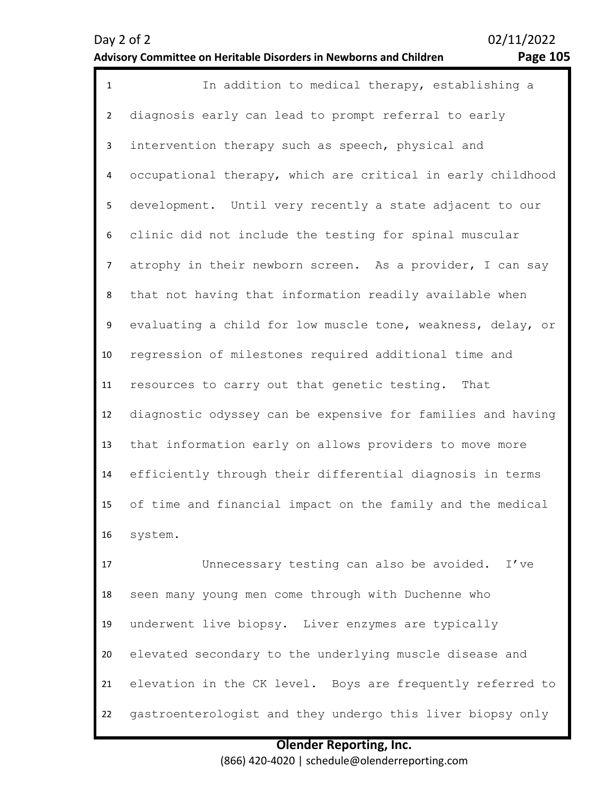19

20

21

22

Day 2 of 2 02/11/2022

### **Advisory Committee on Heritable Disorders in Newborns and Children Page 105**

| $\mathbf{1}$   | In addition to medical therapy, establishing a              |
|----------------|-------------------------------------------------------------|
| $\overline{2}$ | diagnosis early can lead to prompt referral to early        |
| 3              | intervention therapy such as speech, physical and           |
| 4              | occupational therapy, which are critical in early childhood |
| 5              | development. Until very recently a state adjacent to our    |
| 6              | clinic did not include the testing for spinal muscular      |
| $\overline{7}$ | atrophy in their newborn screen. As a provider, I can say   |
| 8              | that not having that information readily available when     |
| 9              | evaluating a child for low muscle tone, weakness, delay, or |
| 10             | regression of milestones required additional time and       |
| 11             | resources to carry out that genetic testing. That           |
| 12             | diagnostic odyssey can be expensive for families and having |
| 13             | that information early on allows providers to move more     |
| 14             | efficiently through their differential diagnosis in terms   |
| 15             | of time and financial impact on the family and the medical  |
| 16             | system.                                                     |
| 17             | Unnecessary testing can also be avoided.<br>I've            |
| 18             | seen many young men come through with Duchenne who          |

**Olender Reporting, Inc.** (866) 420-4020 | schedule@olenderreporting.com

elevation in the CK level. Boys are frequently referred to

gastroenterologist and they undergo this liver biopsy only

underwent live biopsy. Liver enzymes are typically

elevated secondary to the underlying muscle disease and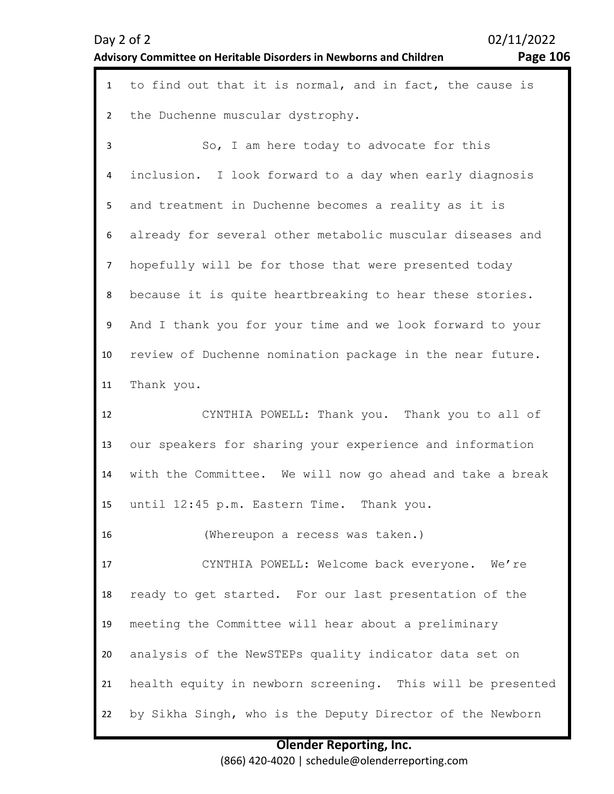| Day $2$ of $2$                                                     | 02/11/2022 |
|--------------------------------------------------------------------|------------|
| Advisory Committee on Heritable Disorders in Newborns and Children | Page 106   |

| $\mathbf{1}$    | to find out that it is normal, and in fact, the cause is   |
|-----------------|------------------------------------------------------------|
| $\overline{2}$  | the Duchenne muscular dystrophy.                           |
| 3               | So, I am here today to advocate for this                   |
| 4               | inclusion. I look forward to a day when early diagnosis    |
| 5               | and treatment in Duchenne becomes a reality as it is       |
| 6               | already for several other metabolic muscular diseases and  |
| $\overline{7}$  | hopefully will be for those that were presented today      |
| 8               | because it is quite heartbreaking to hear these stories.   |
| 9               | And I thank you for your time and we look forward to your  |
| 10 <sup>°</sup> | review of Duchenne nomination package in the near future.  |
| 11              | Thank you.                                                 |
| 12              | CYNTHIA POWELL: Thank you. Thank you to all of             |
| 13              | our speakers for sharing your experience and information   |
| 14              | with the Committee. We will now go ahead and take a break  |
| 15              | until 12:45 p.m. Eastern Time. Thank you.                  |
| 16              | (Whereupon a recess was taken.)                            |
| 17              | CYNTHIA POWELL: Welcome back everyone. We're               |
| 18              | ready to get started. For our last presentation of the     |
| 19              | meeting the Committee will hear about a preliminary        |
| 20              | analysis of the NewSTEPs quality indicator data set on     |
| 21              | health equity in newborn screening. This will be presented |
| 22              | by Sikha Singh, who is the Deputy Director of the Newborn  |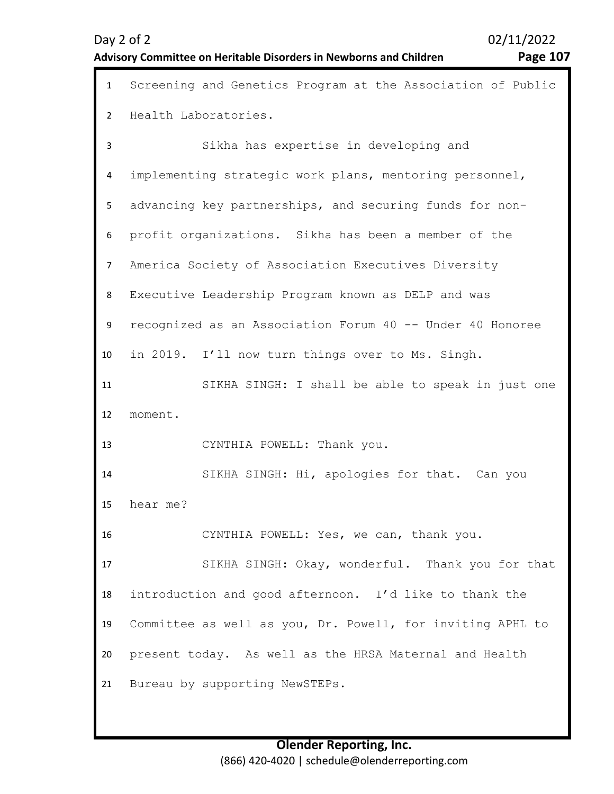| $\mathbf{1}$   | Screening and Genetics Program at the Association of Public |
|----------------|-------------------------------------------------------------|
| $\overline{2}$ | Health Laboratories.                                        |
| 3              | Sikha has expertise in developing and                       |
| 4              | implementing strategic work plans, mentoring personnel,     |
| 5              | advancing key partnerships, and securing funds for non-     |
| 6              | profit organizations. Sikha has been a member of the        |
| $\overline{7}$ | America Society of Association Executives Diversity         |
| 8              | Executive Leadership Program known as DELP and was          |
| 9              | recognized as an Association Forum 40 -- Under 40 Honoree   |
| 10             | in 2019. I'll now turn things over to Ms. Singh.            |
| 11             | SIKHA SINGH: I shall be able to speak in just one           |
| 12             | moment.                                                     |
| 13             | CYNTHIA POWELL: Thank you.                                  |
| 14             | SIKHA SINGH: Hi, apologies for that. Can you                |
| 15             | hear me?                                                    |
| 16             | CYNTHIA POWELL: Yes, we can, thank you.                     |
| 17             | SIKHA SINGH: Okay, wonderful. Thank you for that            |
| 18             | introduction and good afternoon. I'd like to thank the      |
| 19             | Committee as well as you, Dr. Powell, for inviting APHL to  |
| 20             | present today. As well as the HRSA Maternal and Health      |
| 21             | Bureau by supporting NewSTEPs.                              |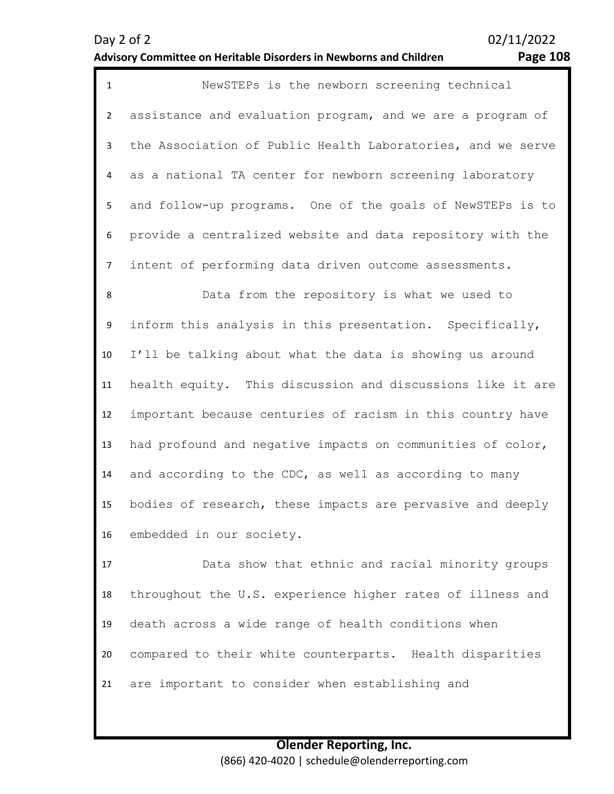### **Advisory Committee on Heritable Disorders in Newborns and Children Page 108**

1 NewSTEPs is the newborn screening technical  $\overline{\phantom{a}}$ 3 4 5 6 7 assistance and evaluation program, and we are a program of the Association of Public Health Laboratories, and we serve as a national TA center for newborn screening laboratory and follow-up programs. One of the goals of NewSTEPs is to provide a centralized website and data repository with the intent of performing data driven outcome assessments.

8 9 10 11 12 13 14 15 16 Data from the repository is what we used to inform this analysis in this presentation. Specifically, I'll be talking about what the data is showing us around health equity. This discussion and discussions like it are important because centuries of racism in this country have had profound and negative impacts on communities of color, and according to the CDC, as well as according to many bodies of research, these impacts are pervasive and deeply embedded in our society.

17 18 19 20 21 Data show that ethnic and racial minority groups throughout the U.S. experience higher rates of illness and death across a wide range of health conditions when compared to their white counterparts. Health disparities are important to consider when establishing and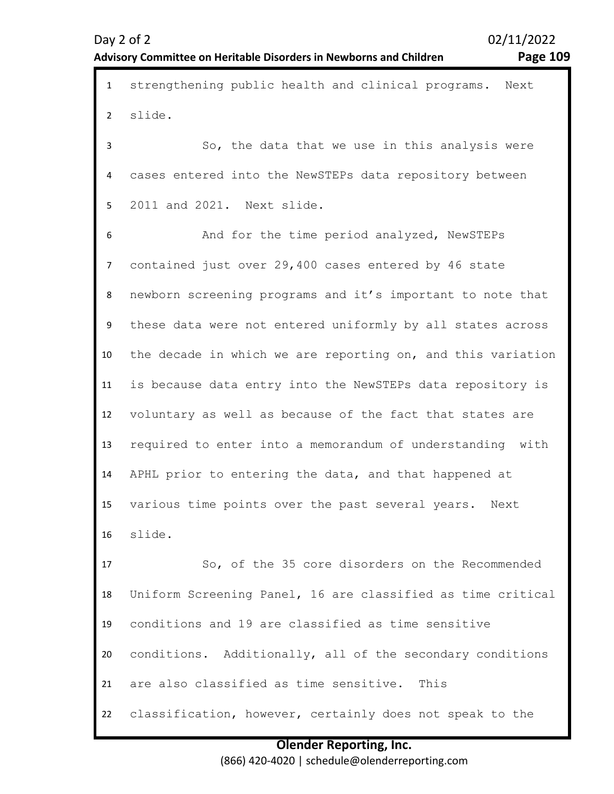| $\mathbf{1}$   | strengthening public health and clinical programs. Next     |
|----------------|-------------------------------------------------------------|
| $\overline{2}$ | slide.                                                      |
| 3              | So, the data that we use in this analysis were              |
| 4              | cases entered into the NewSTEPs data repository between     |
| 5              | 2011 and 2021. Next slide.                                  |
| 6              | And for the time period analyzed, NewSTEPs                  |
| $\overline{7}$ | contained just over 29,400 cases entered by 46 state        |
| 8              | newborn screening programs and it's important to note that  |
| 9              | these data were not entered uniformly by all states across  |
| 10             | the decade in which we are reporting on, and this variation |
| 11             | is because data entry into the NewSTEPs data repository is  |
| 12             | voluntary as well as because of the fact that states are    |
| 13             | required to enter into a memorandum of understanding with   |
| 14             | APHL prior to entering the data, and that happened at       |
| 15             | various time points over the past several years.<br>Next    |
| 16             | slide.                                                      |
| 17             | So, of the 35 core disorders on the Recommended             |
| 18             | Uniform Screening Panel, 16 are classified as time critical |
| 19             | conditions and 19 are classified as time sensitive          |
| 20             | conditions. Additionally, all of the secondary conditions   |
| 21             | are also classified as time sensitive. This                 |
| 22             | classification, however, certainly does not speak to the    |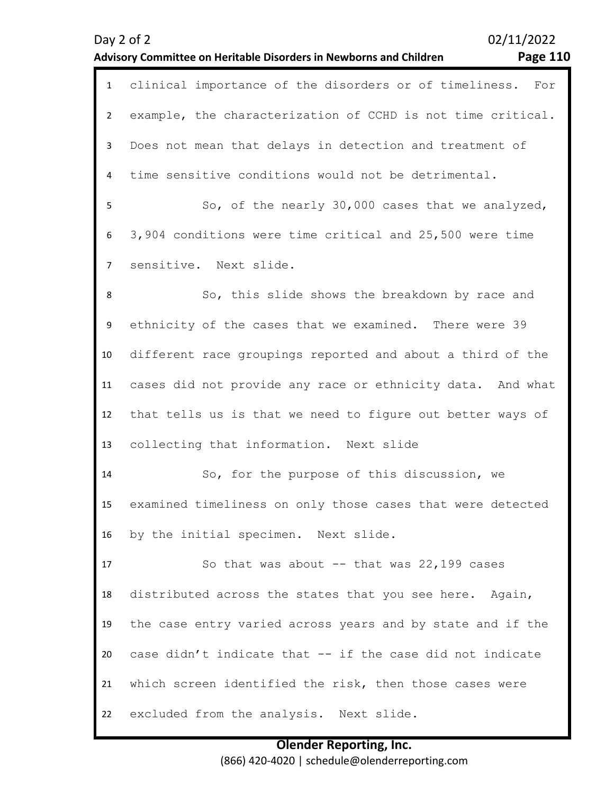| $\mathbf{1}$   | clinical importance of the disorders or of timeliness.<br>For |
|----------------|---------------------------------------------------------------|
| $2^{\circ}$    | example, the characterization of CCHD is not time critical.   |
| 3              | Does not mean that delays in detection and treatment of       |
| 4              | time sensitive conditions would not be detrimental.           |
| 5              | So, of the nearly 30,000 cases that we analyzed,              |
| 6              | 3,904 conditions were time critical and 25,500 were time      |
| $\overline{7}$ | sensitive. Next slide.                                        |
| 8              | So, this slide shows the breakdown by race and                |
| 9              | ethnicity of the cases that we examined. There were 39        |
| 10             | different race groupings reported and about a third of the    |
| 11             | cases did not provide any race or ethnicity data. And what    |
| 12             | that tells us is that we need to figure out better ways of    |
| 13             | collecting that information. Next slide                       |
| 14             | So, for the purpose of this discussion, we                    |
| 15             | examined timeliness on only those cases that were detected    |
| 16             | by the initial specimen. Next slide.                          |
| 17             | So that was about -- that was 22,199 cases                    |
| 18             | distributed across the states that you see here. Again,       |
| 19             | the case entry varied across years and by state and if the    |
| 20             | case didn't indicate that -- if the case did not indicate     |
| 21             | which screen identified the risk, then those cases were       |
| 22             | excluded from the analysis. Next slide.                       |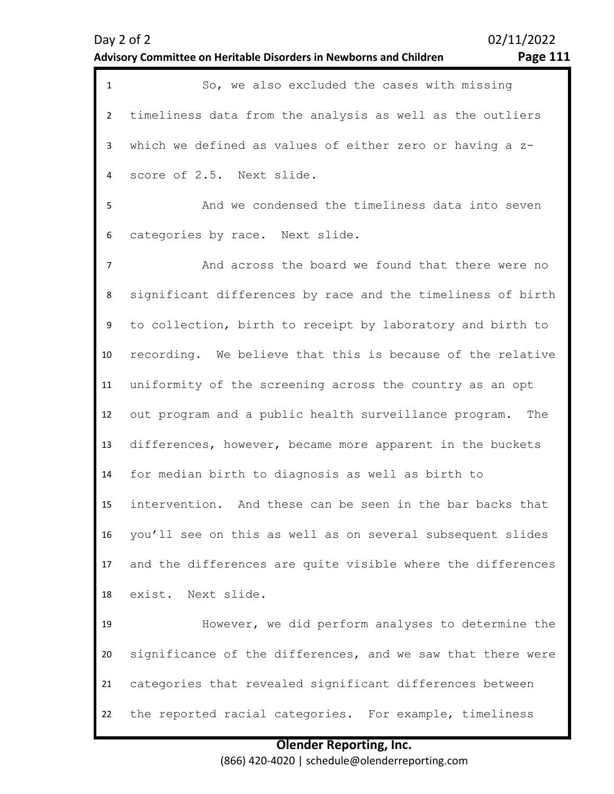| $\mathbf{1}$   | So, we also excluded the cases with missing                  |
|----------------|--------------------------------------------------------------|
| $\overline{2}$ | timeliness data from the analysis as well as the outliers    |
| 3              | which we defined as values of either zero or having a z-     |
| 4              | score of 2.5. Next slide.                                    |
| 5              | And we condensed the timeliness data into seven              |
| 6              | categories by race. Next slide.                              |
| $\overline{7}$ | And across the board we found that there were no             |
| 8              | significant differences by race and the timeliness of birth  |
| 9              | to collection, birth to receipt by laboratory and birth to   |
| 10             | recording. We believe that this is because of the relative   |
| 11             | uniformity of the screening across the country as an opt     |
| 12             | out program and a public health surveillance program.<br>The |
| 13             | differences, however, became more apparent in the buckets    |
| 14             | for median birth to diagnosis as well as birth to            |
| 15             | intervention. And these can be seen in the bar backs that    |
| 16             | you'll see on this as well as on several subsequent slides   |
| 17             | and the differences are quite visible where the differences  |
| 18             | exist. Next slide.                                           |
| 19             | However, we did perform analyses to determine the            |
| 20             | significance of the differences, and we saw that there were  |
| 21             | categories that revealed significant differences between     |
| 22             | the reported racial categories. For example, timeliness      |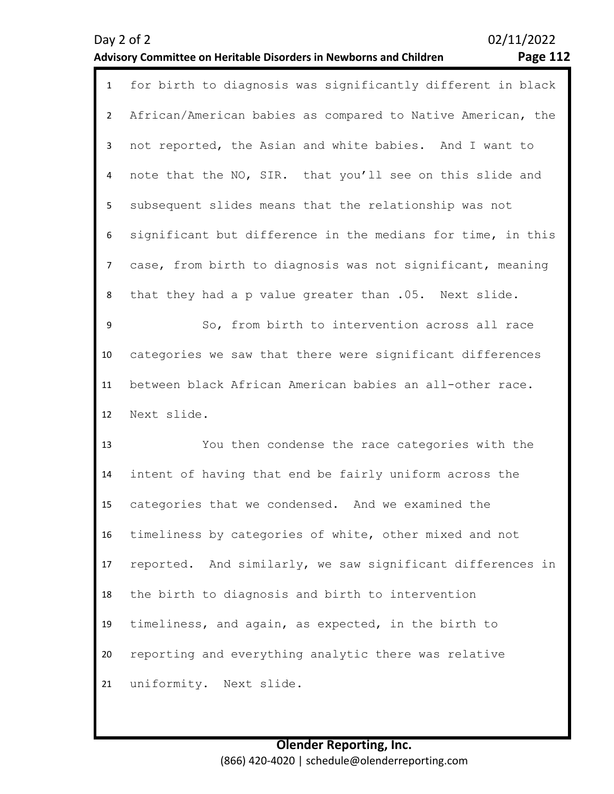| Page $112$ |  |
|------------|--|
|            |  |

| $\mathbf{1}$   | for birth to diagnosis was significantly different in black |
|----------------|-------------------------------------------------------------|
| $\overline{2}$ | African/American babies as compared to Native American, the |
| 3              | not reported, the Asian and white babies. And I want to     |
| 4              | note that the NO, SIR. that you'll see on this slide and    |
| 5              | subsequent slides means that the relationship was not       |
| 6              | significant but difference in the medians for time, in this |
| $\overline{7}$ | case, from birth to diagnosis was not significant, meaning  |
| 8              | that they had a p value greater than .05. Next slide.       |
| 9              | So, from birth to intervention across all race              |
| 10             | categories we saw that there were significant differences   |
| 11             | between black African American babies an all-other race.    |
| 12             | Next slide.                                                 |
| 13             | You then condense the race categories with the              |
| 14             | intent of having that end be fairly uniform across the      |
| 15             | categories that we condensed. And we examined the           |
| 16             | timeliness by categories of white, other mixed and not      |
| 17             | reported. And similarly, we saw significant differences in  |
| 18             | the birth to diagnosis and birth to intervention            |
| 19             | timeliness, and again, as expected, in the birth to         |
| 20             | reporting and everything analytic there was relative        |
| 21             | uniformity. Next slide.                                     |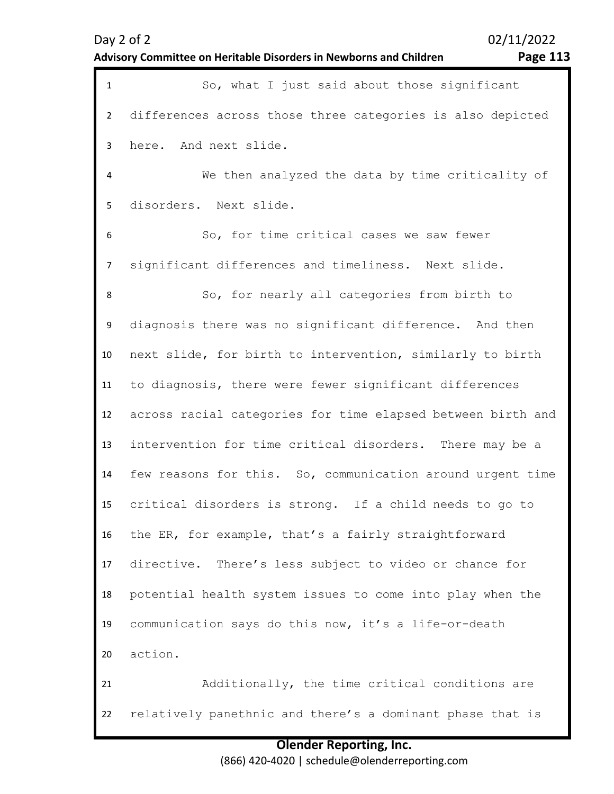|  | Advisory Committee on Heritable Disorders in Newborns and Children |
|--|--------------------------------------------------------------------|
|  |                                                                    |

| $\mathbf{1}$   | So, what I just said about those significant                |
|----------------|-------------------------------------------------------------|
| $\overline{2}$ | differences across those three categories is also depicted  |
| $\mathbf{3}$   | here. And next slide.                                       |
| 4              | We then analyzed the data by time criticality of            |
| 5              | disorders. Next slide.                                      |
| 6              | So, for time critical cases we saw fewer                    |
| $\overline{7}$ | significant differences and timeliness. Next slide.         |
| 8              | So, for nearly all categories from birth to                 |
| 9              | diagnosis there was no significant difference. And then     |
| 10             | next slide, for birth to intervention, similarly to birth   |
| 11             | to diagnosis, there were fewer significant differences      |
| 12             | across racial categories for time elapsed between birth and |
| 13             | intervention for time critical disorders. There may be a    |
| 14             | few reasons for this. So, communication around urgent time  |
| 15             | critical disorders is strong. If a child needs to go to     |
| 16             | the ER, for example, that's a fairly straightforward        |
| 17             | directive. There's less subject to video or chance for      |
| 18             | potential health system issues to come into play when the   |
| 19             | communication says do this now, it's a life-or-death        |
| 20             | action.                                                     |
| 21             | Additionally, the time critical conditions are              |
| 22             | relatively panethnic and there's a dominant phase that is   |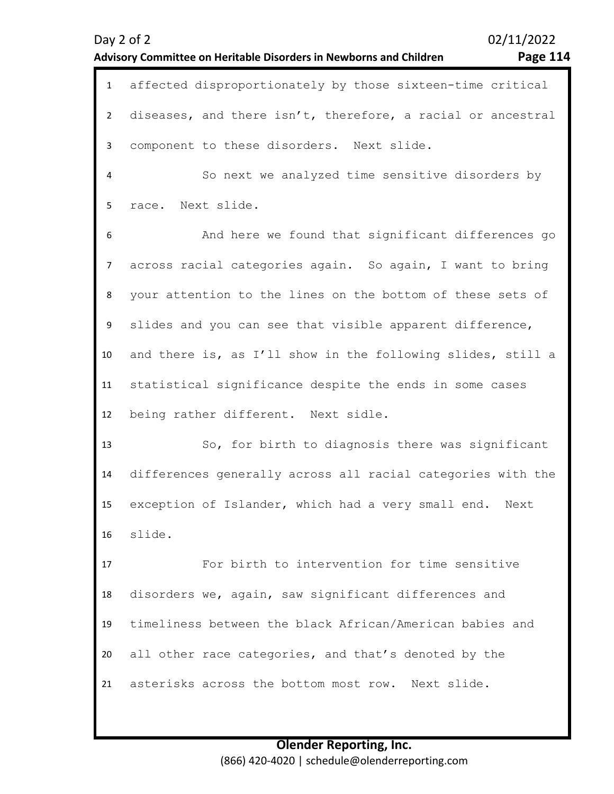| $\mathbf{1}$   | affected disproportionately by those sixteen-time critical  |
|----------------|-------------------------------------------------------------|
| $2^{\circ}$    | diseases, and there isn't, therefore, a racial or ancestral |
| $\mathbf{3}$   | component to these disorders. Next slide.                   |
| $\overline{4}$ | So next we analyzed time sensitive disorders by             |
| 5              | race. Next slide.                                           |
| 6              | And here we found that significant differences go           |
| $\overline{7}$ | across racial categories again. So again, I want to bring   |
| 8              | your attention to the lines on the bottom of these sets of  |
| 9              | slides and you can see that visible apparent difference,    |
| 10             | and there is, as I'll show in the following slides, still a |
| 11             | statistical significance despite the ends in some cases     |
| 12             | being rather different. Next sidle.                         |
| 13             | So, for birth to diagnosis there was significant            |
| 14             | differences generally across all racial categories with the |
| 15             | exception of Islander, which had a very small end. Next     |
| 16             | slide.                                                      |
| 17             | For birth to intervention for time sensitive                |
| 18             | disorders we, again, saw significant differences and        |
| 19             | timeliness between the black African/American babies and    |
| 20             | all other race categories, and that's denoted by the        |
| 21             | asterisks across the bottom most row. Next slide.           |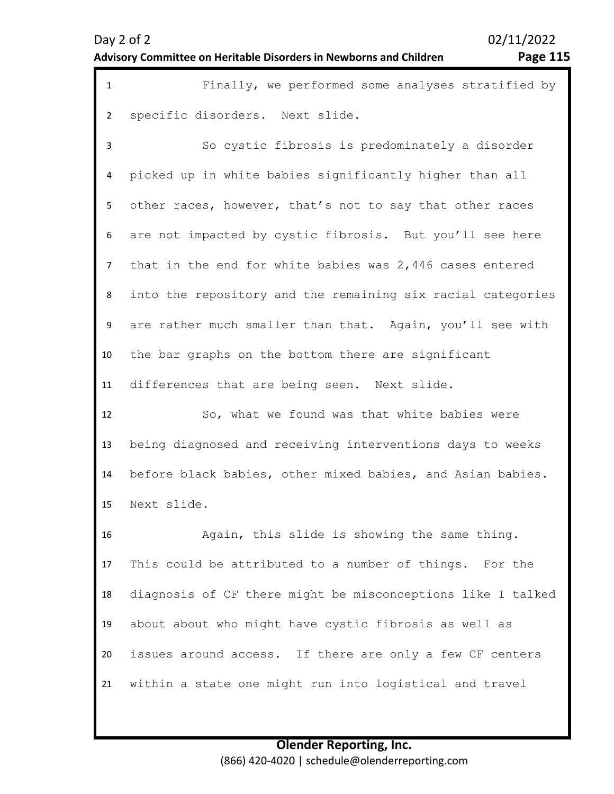| $\mathbf{1}$   | Finally, we performed some analyses stratified by           |
|----------------|-------------------------------------------------------------|
| $\overline{2}$ | specific disorders. Next slide.                             |
| 3              | So cystic fibrosis is predominately a disorder              |
| 4              | picked up in white babies significantly higher than all     |
| 5              | other races, however, that's not to say that other races    |
| 6              | are not impacted by cystic fibrosis. But you'll see here    |
| 7              | that in the end for white babies was $2,446$ cases entered  |
| 8              | into the repository and the remaining six racial categories |
| 9              | are rather much smaller than that. Again, you'll see with   |
| 10             | the bar graphs on the bottom there are significant          |
| 11             | differences that are being seen. Next slide.                |
| 12             | So, what we found was that white babies were                |
| 13             | being diagnosed and receiving interventions days to weeks   |
| 14             | before black babies, other mixed babies, and Asian babies.  |
| 15             | Next slide.                                                 |
| 16             | Again, this slide is showing the same thing.                |
| 17             | This could be attributed to a number of things. For the     |
| 18             | diagnosis of CF there might be misconceptions like I talked |
| 19             | about about who might have cystic fibrosis as well as       |
| 20             | issues around access. If there are only a few CF centers    |
| 21             | within a state one might run into logistical and travel     |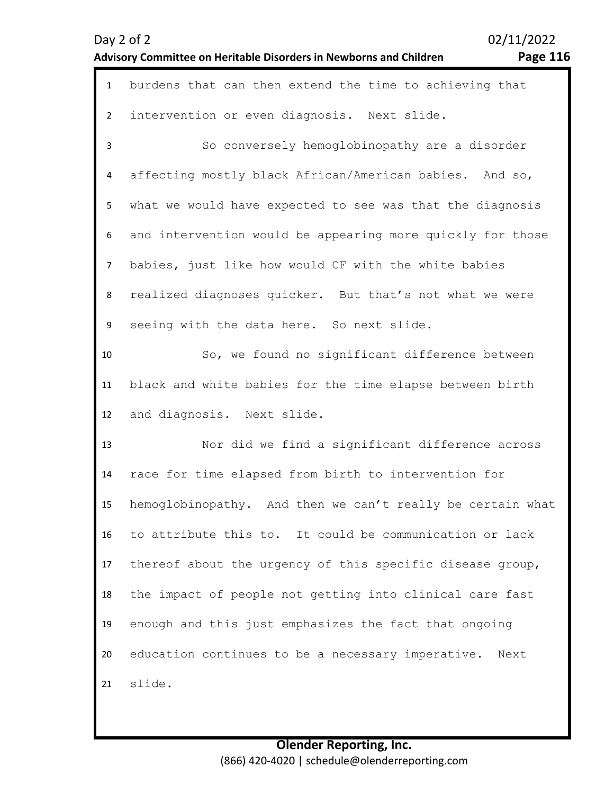|  | 02/11/2022 |
|--|------------|
|  |            |

| $\mathbf{1}$   | burdens that can then extend the time to achieving that    |
|----------------|------------------------------------------------------------|
| $\overline{2}$ | intervention or even diagnosis. Next slide.                |
| 3              | So conversely hemoglobinopathy are a disorder              |
| 4              | affecting mostly black African/American babies. And so,    |
| 5              | what we would have expected to see was that the diagnosis  |
| 6              | and intervention would be appearing more quickly for those |
| $\overline{7}$ | babies, just like how would CF with the white babies       |
| 8              | realized diagnoses quicker. But that's not what we were    |
| 9              | seeing with the data here. So next slide.                  |
| 10             | So, we found no significant difference between             |
| 11             | black and white babies for the time elapse between birth   |
| 12             | and diagnosis. Next slide.                                 |
| 13             | Nor did we find a significant difference across            |
| 14             | race for time elapsed from birth to intervention for       |
| 15             | hemoglobinopathy. And then we can't really be certain what |
| 16             | to attribute this to. It could be communication or lack    |
| 17             | thereof about the urgency of this specific disease group,  |
| 18             | the impact of people not getting into clinical care fast   |
| 19             | enough and this just emphasizes the fact that ongoing      |
| 20             | education continues to be a necessary imperative. Next     |
| 21             | slide.                                                     |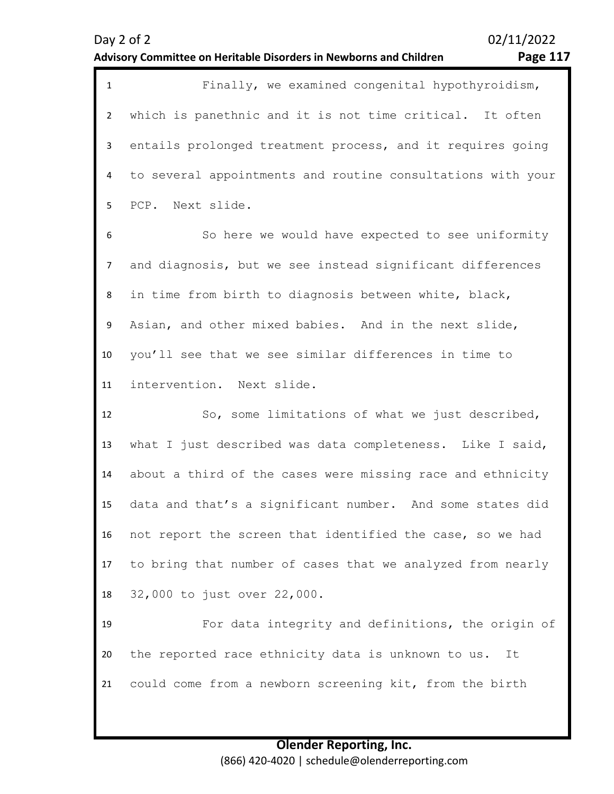| $\mathbf{1}$   | Finally, we examined congenital hypothyroidism,             |
|----------------|-------------------------------------------------------------|
| $\overline{2}$ | which is panethnic and it is not time critical. It often    |
| $\mathbf{3}$   | entails prolonged treatment process, and it requires going  |
| 4              | to several appointments and routine consultations with your |
| 5              | PCP. Next slide.                                            |
| 6              | So here we would have expected to see uniformity            |
| $\overline{7}$ | and diagnosis, but we see instead significant differences   |
| 8              | in time from birth to diagnosis between white, black,       |
| 9              | Asian, and other mixed babies. And in the next slide,       |
| 10             | you'll see that we see similar differences in time to       |
| 11             | intervention. Next slide.                                   |
| 12             | So, some limitations of what we just described,             |
| 13             | what I just described was data completeness. Like I said,   |
| 14             | about a third of the cases were missing race and ethnicity  |
| 15             | data and that's a significant number. And some states did   |
| 16             | not report the screen that identified the case, so we had   |
| 17             | to bring that number of cases that we analyzed from nearly  |
| 18             | 32,000 to just over 22,000.                                 |
| 19             | For data integrity and definitions, the origin of           |
| 20             | the reported race ethnicity data is unknown to us. It       |
| 21             | could come from a newborn screening kit, from the birth     |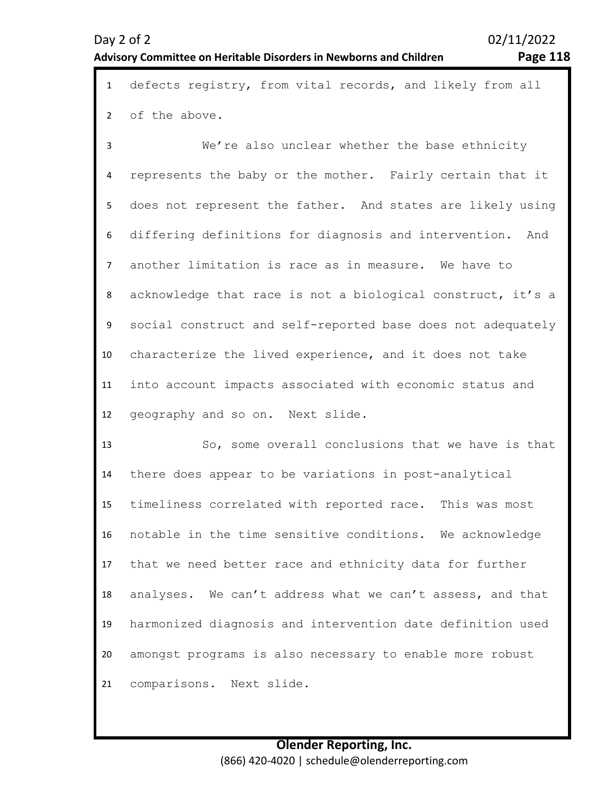1 defects registry, from vital records, and likely from all 2 of the above.

3 4 5 6 7 8 9 10 11 12 We're also unclear whether the base ethnicity represents the baby or the mother. Fairly certain that it does not represent the father. And states are likely using differing definitions for diagnosis and intervention. And another limitation is race as in measure. We have to acknowledge that race is not a biological construct, it's a social construct and self-reported base does not adequately characterize the lived experience, and it does not take into account impacts associated with economic status and geography and so on. Next slide.

13 14 15 16 17 18 19 20 21 So, some overall conclusions that we have is that there does appear to be variations in post-analytical timeliness correlated with reported race. This was most notable in the time sensitive conditions. We acknowledge that we need better race and ethnicity data for further analyses. We can't address what we can't assess, and that harmonized diagnosis and intervention date definition used amongst programs is also necessary to enable more robust comparisons. Next slide.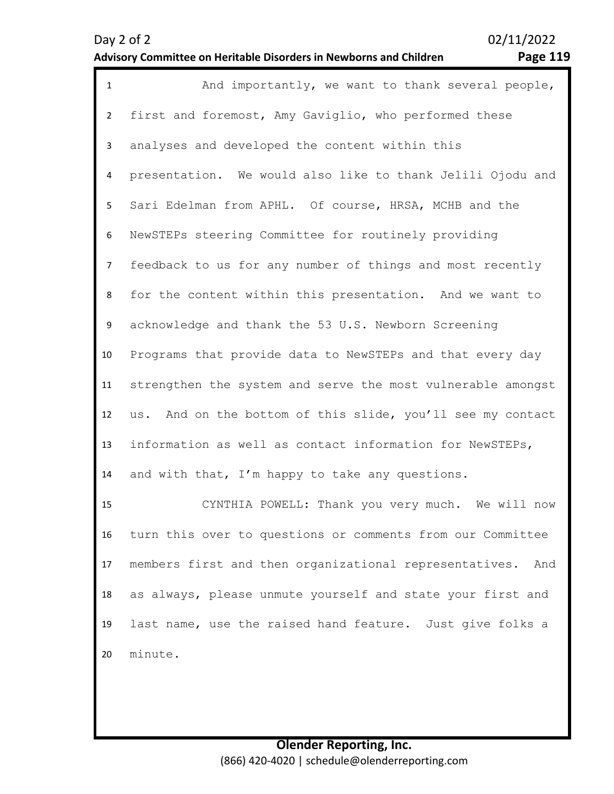| $\mathbf{1}$   | And importantly, we want to thank several people,             |
|----------------|---------------------------------------------------------------|
| $\overline{2}$ | first and foremost, Amy Gaviglio, who performed these         |
| 3              | analyses and developed the content within this                |
| 4              | presentation. We would also like to thank Jelili Ojodu and    |
| 5              | Sari Edelman from APHL. Of course, HRSA, MCHB and the         |
| 6              | NewSTEPs steering Committee for routinely providing           |
| $\overline{7}$ | feedback to us for any number of things and most recently     |
| 8              | for the content within this presentation. And we want to      |
| 9              | acknowledge and thank the 53 U.S. Newborn Screening           |
| 10             | Programs that provide data to NewSTEPs and that every day     |
| 11             | strengthen the system and serve the most vulnerable amongst   |
| 12             | us. And on the bottom of this slide, you'll see my contact    |
| 13             | information as well as contact information for NewSTEPs,      |
| 14             | and with that, I'm happy to take any questions.               |
| 15             | CYNTHIA POWELL: Thank you very much. We will now              |
| 16             | turn this over to questions or comments from our Committee    |
| 17             | members first and then organizational representatives.<br>And |
| 18             | as always, please unmute yourself and state your first and    |
| 19             | last name, use the raised hand feature. Just give folks a     |
| 20             | minute.                                                       |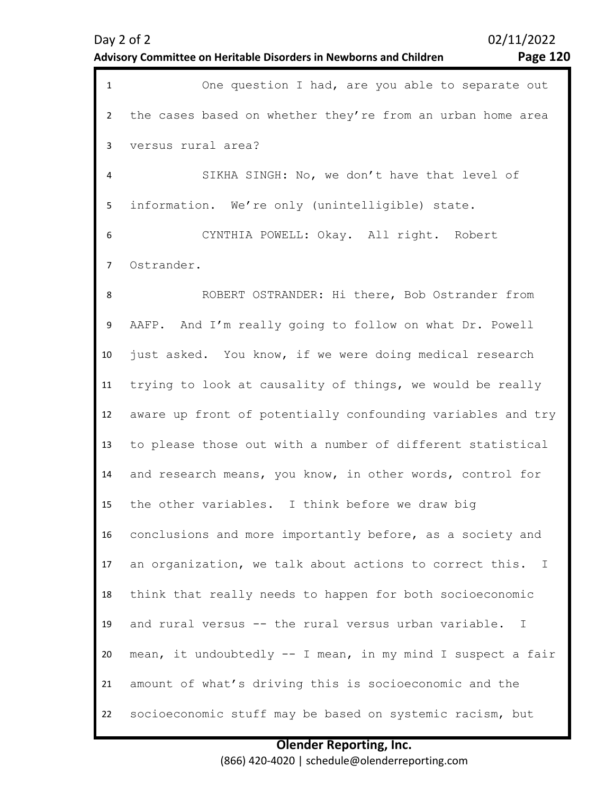**Page 120** 

| $\mathbf{1}$   | One question I had, are you able to separate out                        |
|----------------|-------------------------------------------------------------------------|
| $\overline{2}$ | the cases based on whether they're from an urban home area              |
| 3              | versus rural area?                                                      |
| 4              | SIKHA SINGH: No, we don't have that level of                            |
| 5              | information. We're only (unintelligible) state.                         |
| 6              | CYNTHIA POWELL: Okay. All right. Robert                                 |
| $\overline{7}$ | Ostrander.                                                              |
| 8              | ROBERT OSTRANDER: Hi there, Bob Ostrander from                          |
| 9              | AAFP. And I'm really going to follow on what Dr. Powell                 |
| 10             | just asked. You know, if we were doing medical research                 |
| 11             | trying to look at causality of things, we would be really               |
| 12             | aware up front of potentially confounding variables and try             |
| 13             | to please those out with a number of different statistical              |
| 14             | and research means, you know, in other words, control for               |
| 15             | the other variables. I think before we draw big                         |
| 16             | conclusions and more importantly before, as a society and               |
| 17             | an organization, we talk about actions to correct this.<br>$\mathbf{I}$ |
| 18             | think that really needs to happen for both socioeconomic                |
| 19             | and rural versus -- the rural versus urban variable.<br>$\mathbf I$     |
| 20             | mean, it undoubtedly -- I mean, in my mind I suspect a fair             |
| 21             | amount of what's driving this is socioeconomic and the                  |
| 22             | socioeconomic stuff may be based on systemic racism, but                |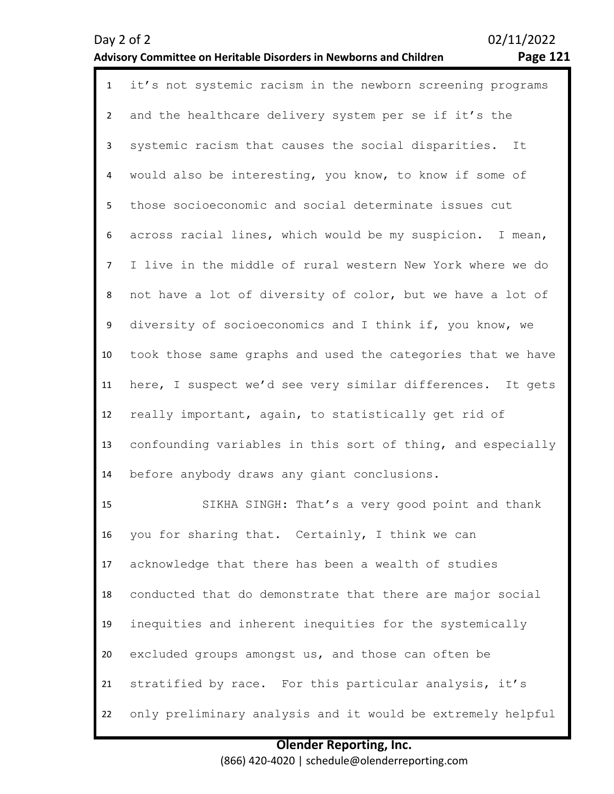#### **Advisory Committee on Heritable Disorders in Newborns and Children Page 121**

| $\mathbf{1}$   | it's not systemic racism in the newborn screening programs  |
|----------------|-------------------------------------------------------------|
| $2^{\circ}$    | and the healthcare delivery system per se if it's the       |
| $\mathbf{3}$   | systemic racism that causes the social disparities. It      |
| $\overline{4}$ | would also be interesting, you know, to know if some of     |
| 5              | those socioeconomic and social determinate issues cut       |
| 6              | across racial lines, which would be my suspicion. I mean,   |
| $\overline{7}$ | I live in the middle of rural western New York where we do  |
| 8              | not have a lot of diversity of color, but we have a lot of  |
| 9              | diversity of socioeconomics and I think if, you know, we    |
| 10             | took those same graphs and used the categories that we have |
| 11             | here, I suspect we'd see very similar differences. It gets  |
| 12             | really important, again, to statistically get rid of        |
| 13             | confounding variables in this sort of thing, and especially |
| 14             | before anybody draws any giant conclusions.                 |
| 15             | SIKHA SINGH: That's a very good point and thank             |
| 16             | you for sharing that. Certainly, I think we can             |
| 17             | acknowledge that there has been a wealth of studies         |
| 18             | conducted that do demonstrate that there are major social   |

19 inequities and inherent inequities for the systemically

20 excluded groups amongst us, and those can often be

21 stratified by race. For this particular analysis, it's

22 only preliminary analysis and it would be extremely helpful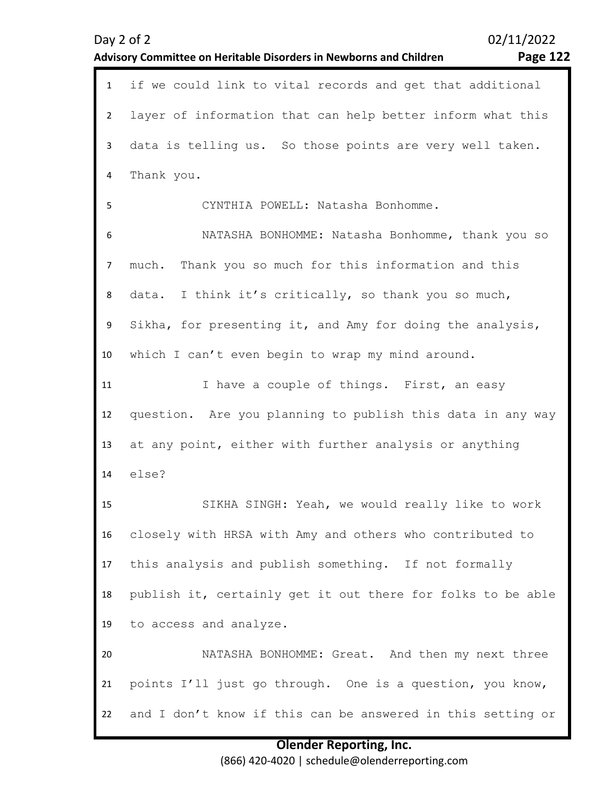|              | 02/11/2022<br>Day 2 of 2                                                              |
|--------------|---------------------------------------------------------------------------------------|
|              | <b>Page 122</b><br>Advisory Committee on Heritable Disorders in Newborns and Children |
| $\mathbf{1}$ | if we could link to vital records and get that additional                             |
| 2            | layer of information that can help better inform what this                            |
| 3            | data is telling us. So those points are very well taken.                              |
| 4            | Thank you.                                                                            |
| 5            | CYNTHIA POWELL: Natasha Bonhomme.                                                     |
| 6            | NATASHA BONHOMME: Natasha Bonhomme, thank you so                                      |
| 7            | Thank you so much for this information and this<br>much.                              |
| 8            | data. I think it's critically, so thank you so much,                                  |
| 9            | Sikha, for presenting it, and Amy for doing the analysis,                             |
| 10           | which I can't even begin to wrap my mind around.                                      |
| 11           | I have a couple of things. First, an easy                                             |
| 12           | question. Are you planning to publish this data in any way                            |
| 13           | at any point, either with further analysis or anything                                |
| 14           | else?                                                                                 |
| 15           | SIKHA SINGH: Yeah, we would really like to work                                       |
| 16           | closely with HRSA with Amy and others who contributed to                              |
| 17           | this analysis and publish something. If not formally                                  |
| 18           | publish it, certainly get it out there for folks to be able                           |
| 19           | to access and analyze.                                                                |
| 20           | NATASHA BONHOMME: Great. And then my next three                                       |
| 21           | points I'll just go through. One is a question, you know,                             |
| 22           | and I don't know if this can be answered in this setting or                           |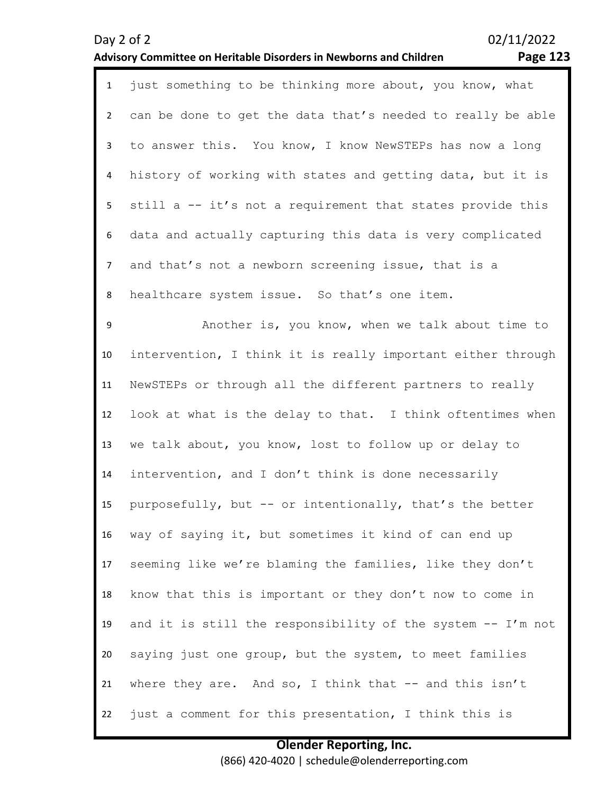#### **Advisory Committee on Heritable Disorders in Newborns and Children Page 123**

| $\mathbf{1}$   | just something to be thinking more about, you know, what    |
|----------------|-------------------------------------------------------------|
| $2^{\circ}$    | can be done to get the data that's needed to really be able |
| $\mathbf{3}$   | to answer this. You know, I know NewSTEPs has now a long    |
| 4              | history of working with states and getting data, but it is  |
| 5 <sub>1</sub> | still a -- it's not a requirement that states provide this  |
| 6              | data and actually capturing this data is very complicated   |
| $\overline{7}$ | and that's not a newborn screening issue, that is a         |
| 8              | healthcare system issue. So that's one item.                |
| 9              | Another is, you know, when we talk about time to            |
| 10             | intervention, I think it is really important either through |
| 11             | NewSTEPs or through all the different partners to really    |
| 12             | look at what is the delay to that. I think oftentimes when  |
| 13             | we talk about, you know, lost to follow up or delay to      |
| 14             | intervention, and I don't think is done necessarily         |
| 15             | purposefully, but -- or intentionally, that's the better    |
| 16             | way of saying it, but sometimes it kind of can end up       |
| 17             | seeming like we're blaming the families, like they don't    |
| 18             | know that this is important or they don't now to come in    |
| 19             | and it is still the responsibility of the system -- I'm not |
| 20             | saying just one group, but the system, to meet families     |

21 where they are. And so, I think that  $--$  and this isn't

22 just a comment for this presentation, I think this is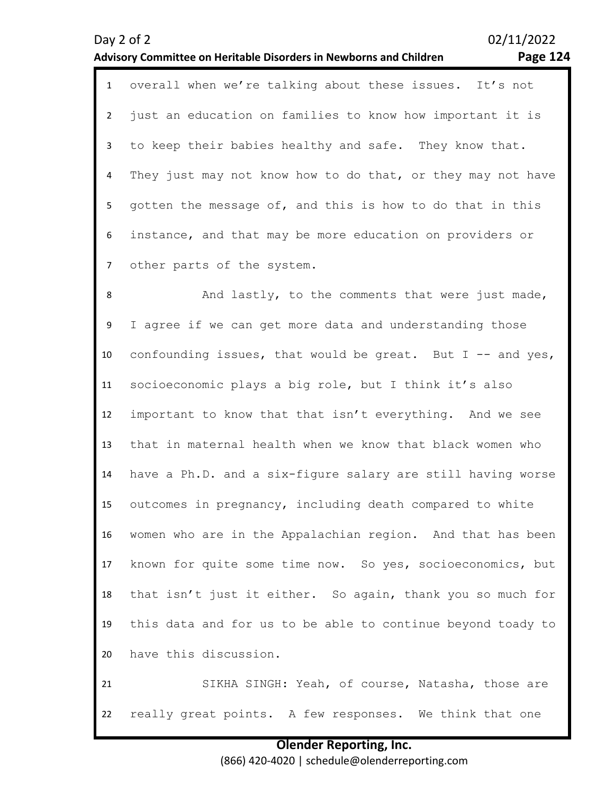#### **Olender Reporting, Inc.** (866) 420-4020 | schedule@olenderreporting.com

|                | <b>Page 124</b><br>Advisory Committee on Heritable Disorders in Newborns and Children |
|----------------|---------------------------------------------------------------------------------------|
| $\mathbf{1}$   | overall when we're talking about these issues. It's not                               |
| $\overline{2}$ | just an education on families to know how important it is                             |
| 3              | to keep their babies healthy and safe. They know that.                                |
| 4              | They just may not know how to do that, or they may not have                           |
| 5.             | gotten the message of, and this is how to do that in this                             |
| 6              | instance, and that may be more education on providers or                              |

7 other parts of the system.

8 9 10 11 12 13 14 15 16 17 18 19 20 And lastly, to the comments that were just made, I agree if we can get more data and understanding those confounding issues, that would be great. But  $I$  -- and yes, socioeconomic plays a big role, but I think it's also important to know that that isn't everything. And we see that in maternal health when we know that black women who have a Ph.D. and a six-figure salary are still having worse outcomes in pregnancy, including death compared to white women who are in the Appalachian region. And that has been known for quite some time now. So yes, socioeconomics, but that isn't just it either. So again, thank you so much for this data and for us to be able to continue beyond toady to have this discussion.

21 22 SIKHA SINGH: Yeah, of course, Natasha, those are really great points. A few responses. We think that one

# Day 2 of 2 02/11/2022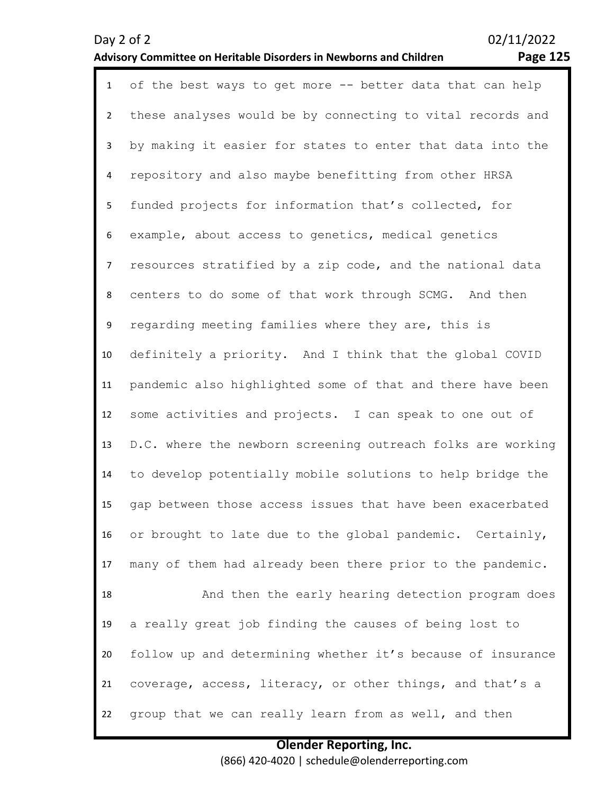## **Advisory Committee on Heritable Disorders in Newborns and Children Page 125**

| $\mathbf{1}$   | of the best ways to get more -- better data that can help   |
|----------------|-------------------------------------------------------------|
| $2^{\circ}$    | these analyses would be by connecting to vital records and  |
| 3              | by making it easier for states to enter that data into the  |
| 4              | repository and also maybe benefitting from other HRSA       |
| 5              | funded projects for information that's collected, for       |
| 6              | example, about access to genetics, medical genetics         |
| $\overline{7}$ | resources stratified by a zip code, and the national data   |
| 8              | centers to do some of that work through SCMG. And then      |
| 9              | regarding meeting families where they are, this is          |
| 10             | definitely a priority. And I think that the global COVID    |
| 11             | pandemic also highlighted some of that and there have been  |
| 12             | some activities and projects. I can speak to one out of     |
| 13             | D.C. where the newborn screening outreach folks are working |
| 14             | to develop potentially mobile solutions to help bridge the  |
| 15             | gap between those access issues that have been exacerbated  |
| 16             | or brought to late due to the global pandemic. Certainly,   |
| 17             | many of them had already been there prior to the pandemic.  |
| 18             | And then the early hearing detection program does           |
| 19             | a really great job finding the causes of being lost to      |
| 20             | follow up and determining whether it's because of insurance |
| 21             | coverage, access, literacy, or other things, and that's a   |
| 22             | group that we can really learn from as well, and then       |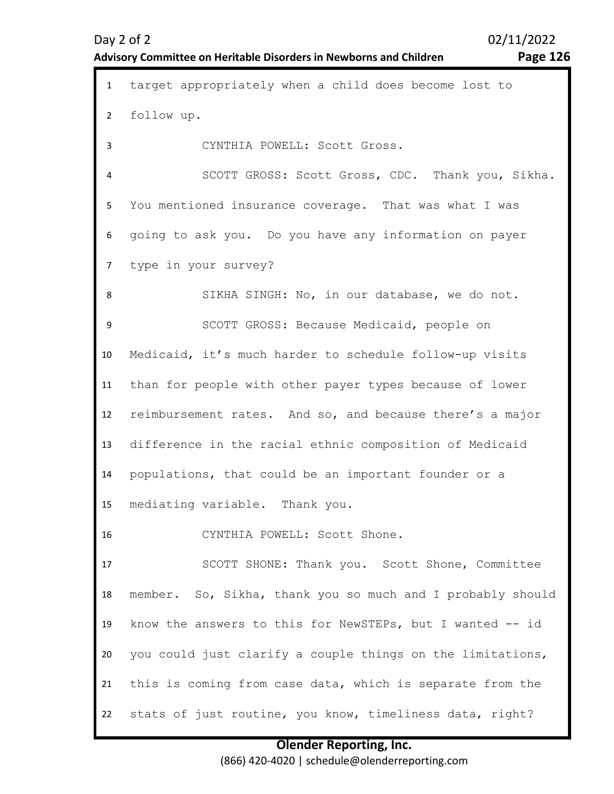## **Advisory Committee on Heritable Disorders in Newborns and Children Page 126**

| $\mathbf{1}$   | target appropriately when a child does become lost to      |
|----------------|------------------------------------------------------------|
| $\overline{2}$ | follow up.                                                 |
| 3              | CYNTHIA POWELL: Scott Gross.                               |
| 4              | SCOTT GROSS: Scott Gross, CDC. Thank you, Sikha.           |
| 5              | You mentioned insurance coverage. That was what I was      |
| 6              | going to ask you. Do you have any information on payer     |
| $\overline{7}$ | type in your survey?                                       |
| 8              | SIKHA SINGH: No, in our database, we do not.               |
| 9              | SCOTT GROSS: Because Medicaid, people on                   |
| 10             | Medicaid, it's much harder to schedule follow-up visits    |
| 11             | than for people with other payer types because of lower    |
| 12             | reimbursement rates. And so, and because there's a major   |
| 13             | difference in the racial ethnic composition of Medicaid    |
| 14             | populations, that could be an important founder or a       |
| 15             | mediating variable. Thank you.                             |
| 16             | CYNTHIA POWELL: Scott Shone.                               |
| 17             | SCOTT SHONE: Thank you. Scott Shone, Committee             |
| 18             | member. So, Sikha, thank you so much and I probably should |
| 19             | know the answers to this for NewSTEPs, but I wanted -- id  |
| 20             | you could just clarify a couple things on the limitations, |
| 21             | this is coming from case data, which is separate from the  |
| 22             | stats of just routine, you know, timeliness data, right?   |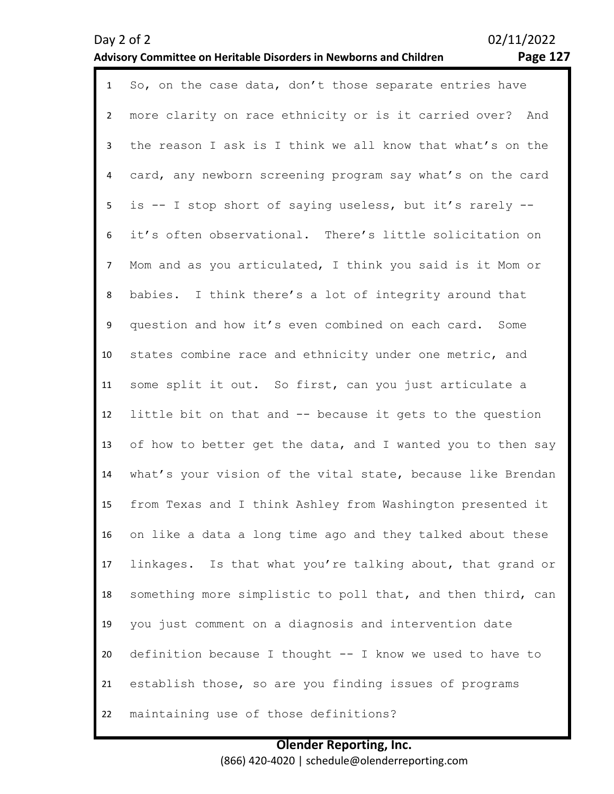## **Advisory Committee on Heritable Disorders in Newborns and Children Page 127**

| $\mathbf{1}$   | So, on the case data, don't those separate entries have     |
|----------------|-------------------------------------------------------------|
| $\overline{2}$ | more clarity on race ethnicity or is it carried over? And   |
| 3              | the reason I ask is I think we all know that what's on the  |
| 4              | card, any newborn screening program say what's on the card  |
| 5              | is -- I stop short of saying useless, but it's rarely --    |
| 6              | it's often observational. There's little solicitation on    |
| $\overline{7}$ | Mom and as you articulated, I think you said is it Mom or   |
| 8              | babies. I think there's a lot of integrity around that      |
| 9              | question and how it's even combined on each card. Some      |
| 10             | states combine race and ethnicity under one metric, and     |
| 11             | some split it out. So first, can you just articulate a      |
| 12             | little bit on that and -- because it gets to the question   |
| 13             | of how to better get the data, and I wanted you to then say |
| 14             | what's your vision of the vital state, because like Brendan |
| 15             | from Texas and I think Ashley from Washington presented it  |
| 16             | on like a data a long time ago and they talked about these  |
| 17             | linkages. Is that what you're talking about, that grand or  |
| 18             | something more simplistic to poll that, and then third, can |
| 19             | you just comment on a diagnosis and intervention date       |
| 20             | definition because I thought -- I know we used to have to   |
| 21             | establish those, so are you finding issues of programs      |
| 22             | maintaining use of those definitions?                       |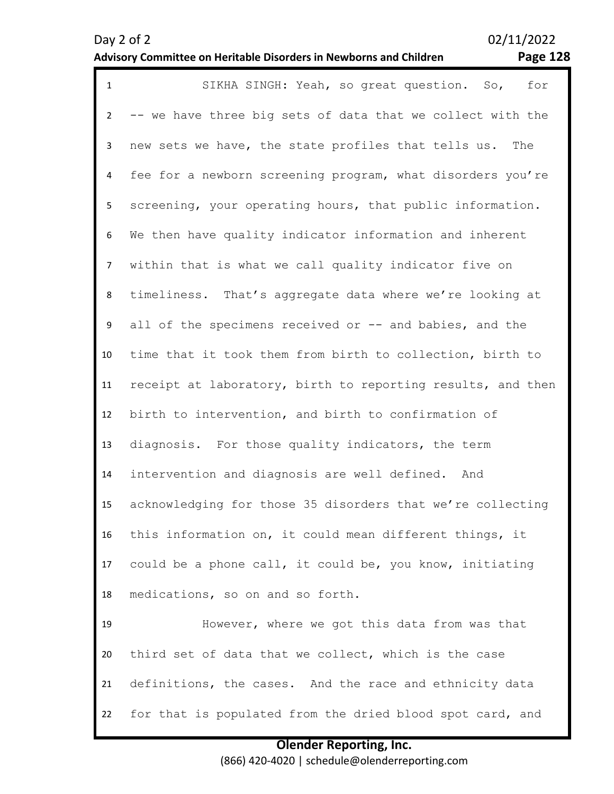## **Advisory Committee on Heritable Disorders in Newborns and Children Page 128**

| $\mathbf{1}$   | SIKHA SINGH: Yeah, so great question. So,<br>for            |
|----------------|-------------------------------------------------------------|
| $\overline{2}$ | -- we have three big sets of data that we collect with the  |
| 3              | new sets we have, the state profiles that tells us. The     |
| 4              | fee for a newborn screening program, what disorders you're  |
| 5 <sub>1</sub> | screening, your operating hours, that public information.   |
| 6              | We then have quality indicator information and inherent     |
| $\overline{7}$ | within that is what we call quality indicator five on       |
| 8              | timeliness. That's aggregate data where we're looking at    |
| 9              | all of the specimens received or -- and babies, and the     |
| 10             | time that it took them from birth to collection, birth to   |
| 11             | receipt at laboratory, birth to reporting results, and then |
| 12             | birth to intervention, and birth to confirmation of         |
| 13             | diagnosis. For those quality indicators, the term           |
| 14             | intervention and diagnosis are well defined. And            |
| 15             | acknowledging for those 35 disorders that we're collecting  |
| 16             | this information on, it could mean different things, it     |
| 17             | could be a phone call, it could be, you know, initiating    |
| 18             | medications, so on and so forth.                            |
| 19             | However, where we got this data from was that               |
| 20             | third set of data that we collect, which is the case        |
| 21             | definitions, the cases. And the race and ethnicity data     |
| 22             | for that is populated from the dried blood spot card, and   |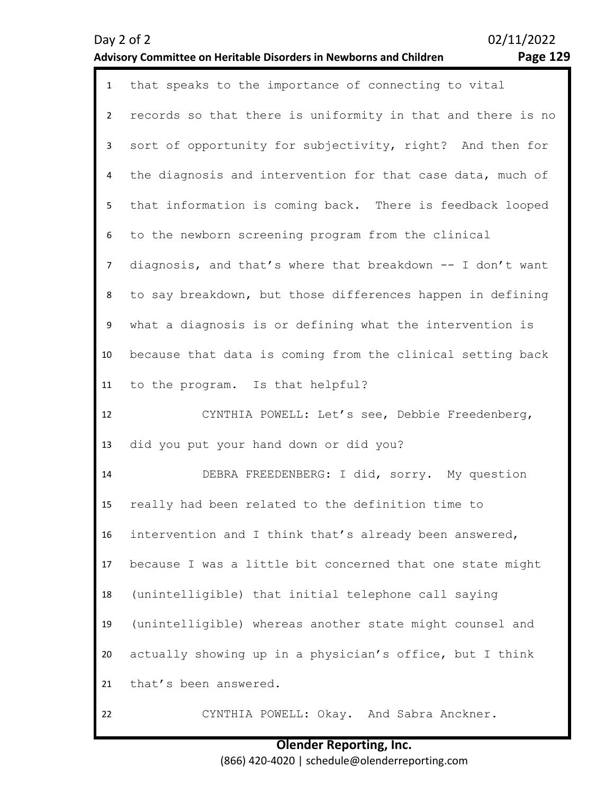## **Advisory Committee on Heritable Disorders in Newborns and Children Page 129**

| $\mathbf{1}$   | that speaks to the importance of connecting to vital        |
|----------------|-------------------------------------------------------------|
| $2^{\circ}$    | records so that there is uniformity in that and there is no |
| 3              | sort of opportunity for subjectivity, right? And then for   |
| 4              | the diagnosis and intervention for that case data, much of  |
| 5              | that information is coming back. There is feedback looped   |
| 6              | to the newborn screening program from the clinical          |
| $\overline{7}$ | diagnosis, and that's where that breakdown -- I don't want  |
| 8              | to say breakdown, but those differences happen in defining  |
| 9              | what a diagnosis is or defining what the intervention is    |
| 10             | because that data is coming from the clinical setting back  |
| 11             | to the program. Is that helpful?                            |
|                |                                                             |
| 12             | CYNTHIA POWELL: Let's see, Debbie Freedenberg,              |
| 13             | did you put your hand down or did you?                      |
| 14             | DEBRA FREEDENBERG: I did, sorry. My question                |
| 15             | really had been related to the definition time to           |
| 16             | intervention and I think that's already been answered,      |
| 17             | because I was a little bit concerned that one state might   |
| 18             | (unintelligible) that initial telephone call saying         |
| 19             | (unintelligible) whereas another state might counsel and    |
| 20             | actually showing up in a physician's office, but I think    |
| 21             | that's been answered.                                       |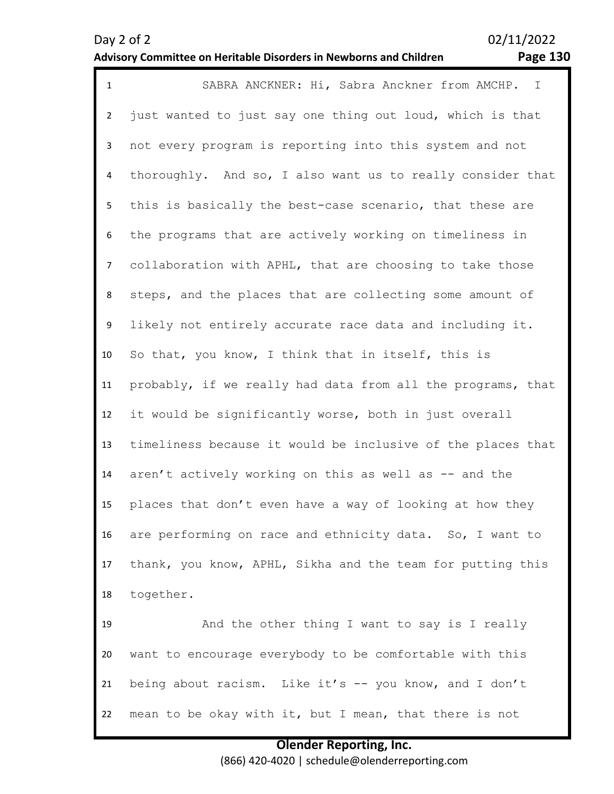## **Advisory Committee on Heritable Disorders in Newborns and Children Page 130**

| $\mathbf{1}$   | SABRA ANCKNER: Hi, Sabra Anckner from AMCHP. I              |  |  |  |  |  |  |  |
|----------------|-------------------------------------------------------------|--|--|--|--|--|--|--|
| $\overline{2}$ | just wanted to just say one thing out loud, which is that   |  |  |  |  |  |  |  |
| $\mathbf{3}$   | not every program is reporting into this system and not     |  |  |  |  |  |  |  |
| 4              | thoroughly. And so, I also want us to really consider that  |  |  |  |  |  |  |  |
| 5              | this is basically the best-case scenario, that these are    |  |  |  |  |  |  |  |
| 6              | the programs that are actively working on timeliness in     |  |  |  |  |  |  |  |
| $\overline{7}$ | collaboration with APHL, that are choosing to take those    |  |  |  |  |  |  |  |
| 8              | steps, and the places that are collecting some amount of    |  |  |  |  |  |  |  |
| 9              | likely not entirely accurate race data and including it.    |  |  |  |  |  |  |  |
| 10             | So that, you know, I think that in itself, this is          |  |  |  |  |  |  |  |
| 11             | probably, if we really had data from all the programs, that |  |  |  |  |  |  |  |
| 12             | it would be significantly worse, both in just overall       |  |  |  |  |  |  |  |
| 13             | timeliness because it would be inclusive of the places that |  |  |  |  |  |  |  |
| 14             | aren't actively working on this as well as -- and the       |  |  |  |  |  |  |  |
| 15             | places that don't even have a way of looking at how they    |  |  |  |  |  |  |  |
| 16             | are performing on race and ethnicity data. So, I want to    |  |  |  |  |  |  |  |
| 17             | thank, you know, APHL, Sikha and the team for putting this  |  |  |  |  |  |  |  |
| 18             | together.                                                   |  |  |  |  |  |  |  |
| 19             | And the other thing I want to say is I really               |  |  |  |  |  |  |  |
| 20             | want to encourage everybody to be comfortable with this     |  |  |  |  |  |  |  |
| 21             | being about racism. Like it's -- you know, and I don't      |  |  |  |  |  |  |  |
| 22             | mean to be okay with it, but I mean, that there is not      |  |  |  |  |  |  |  |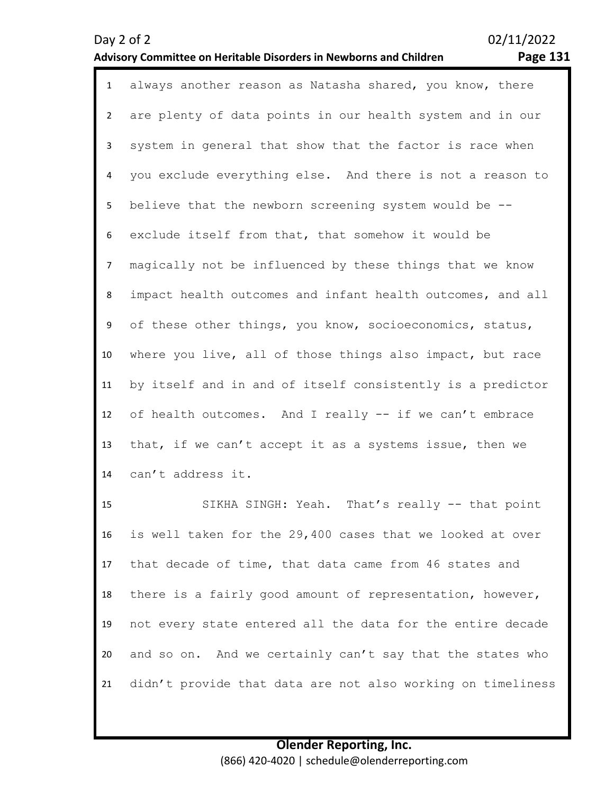#### **Advisory Committee on Heritable Disorders in Newborns and Children Page 131**

Day 2 of 2 02/11/2022

1 always another reason as Natasha shared, you know, there 2 3 4 5 6 7 8 9 10 11 12 13 14 are plenty of data points in our health system and in our system in general that show that the factor is race when you exclude everything else. And there is not a reason to believe that the newborn screening system would be - exclude itself from that, that somehow it would be magically not be influenced by these things that we know impact health outcomes and infant health outcomes, and all of these other things, you know, socioeconomics, status, where you live, all of those things also impact, but race by itself and in and of itself consistently is a predictor of health outcomes. And I really -- if we can't embrace that, if we can't accept it as a systems issue, then we can't address it.

15 16 17 18 19 20 21 SIKHA SINGH: Yeah. That's really -- that point is well taken for the 29,400 cases that we looked at over that decade of time, that data came from 46 states and there is a fairly good amount of representation, however, not every state entered all the data for the entire decade and so on. And we certainly can't say that the states who didn't provide that data are not also working on timeliness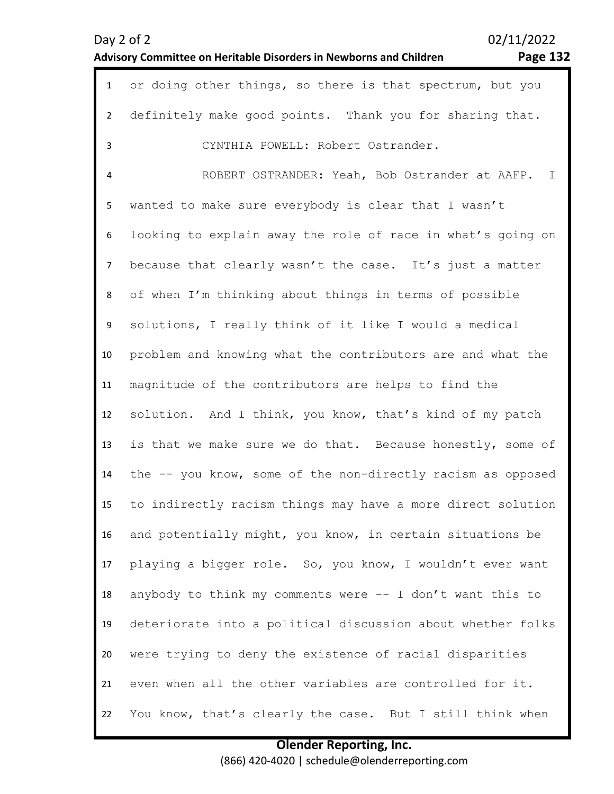02/11/2022

## **Advisory Committee on Heritable Disorders in Newborns and Children Page 132**

| $\mathbf{1}$   | or doing other things, so there is that spectrum, but you   |  |  |  |  |  |  |
|----------------|-------------------------------------------------------------|--|--|--|--|--|--|
| $2^{\circ}$    | definitely make good points. Thank you for sharing that.    |  |  |  |  |  |  |
| 3              | CYNTHIA POWELL: Robert Ostrander.                           |  |  |  |  |  |  |
| 4              | ROBERT OSTRANDER: Yeah, Bob Ostrander at AAFP. I            |  |  |  |  |  |  |
| 5              | wanted to make sure everybody is clear that I wasn't        |  |  |  |  |  |  |
| 6              | looking to explain away the role of race in what's going on |  |  |  |  |  |  |
| $\overline{7}$ | because that clearly wasn't the case. It's just a matter    |  |  |  |  |  |  |
| 8              | of when I'm thinking about things in terms of possible      |  |  |  |  |  |  |
| 9              | solutions, I really think of it like I would a medical      |  |  |  |  |  |  |
| 10             | problem and knowing what the contributors are and what the  |  |  |  |  |  |  |
| 11             | magnitude of the contributors are helps to find the         |  |  |  |  |  |  |
| 12             | solution. And I think, you know, that's kind of my patch    |  |  |  |  |  |  |
| 13             | is that we make sure we do that. Because honestly, some of  |  |  |  |  |  |  |
| 14             | the -- you know, some of the non-directly racism as opposed |  |  |  |  |  |  |
| 15             | to indirectly racism things may have a more direct solution |  |  |  |  |  |  |
| 16             | and potentially might, you know, in certain situations be   |  |  |  |  |  |  |
| 17             | playing a bigger role. So, you know, I wouldn't ever want   |  |  |  |  |  |  |
| 18             | anybody to think my comments were -- I don't want this to   |  |  |  |  |  |  |
| 19             | deteriorate into a political discussion about whether folks |  |  |  |  |  |  |
| 20             | were trying to deny the existence of racial disparities     |  |  |  |  |  |  |
| 21             | even when all the other variables are controlled for it.    |  |  |  |  |  |  |
| 22             | You know, that's clearly the case. But I still think when   |  |  |  |  |  |  |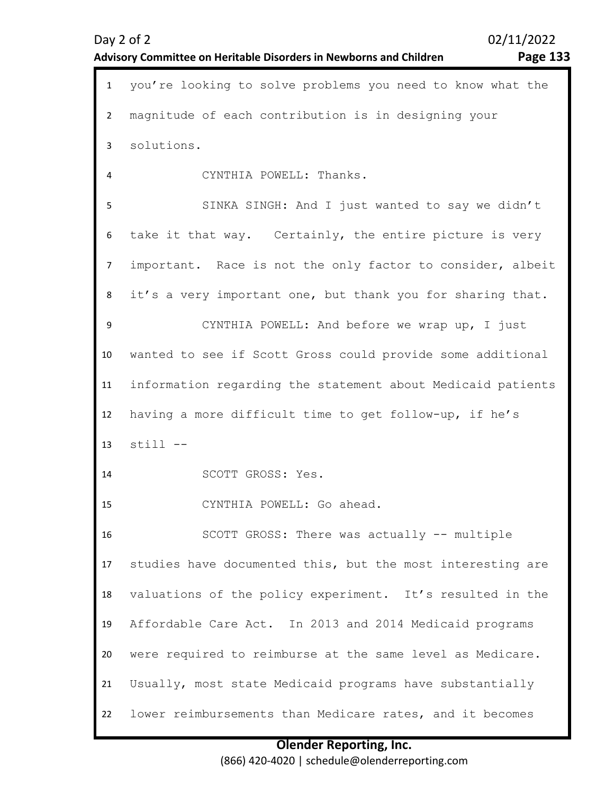| $\mathbf{1}$   | you're looking to solve problems you need to know what the  |  |  |  |  |  |  |
|----------------|-------------------------------------------------------------|--|--|--|--|--|--|
| $\overline{2}$ | magnitude of each contribution is in designing your         |  |  |  |  |  |  |
| 3              | solutions.                                                  |  |  |  |  |  |  |
| 4              | CYNTHIA POWELL: Thanks.                                     |  |  |  |  |  |  |
| 5              | SINKA SINGH: And I just wanted to say we didn't             |  |  |  |  |  |  |
| 6              | take it that way. Certainly, the entire picture is very     |  |  |  |  |  |  |
| $\overline{7}$ | important. Race is not the only factor to consider, albeit  |  |  |  |  |  |  |
| 8              | it's a very important one, but thank you for sharing that.  |  |  |  |  |  |  |
| 9              | CYNTHIA POWELL: And before we wrap up, I just               |  |  |  |  |  |  |
| 10             | wanted to see if Scott Gross could provide some additional  |  |  |  |  |  |  |
| 11             | information regarding the statement about Medicaid patients |  |  |  |  |  |  |
| 12             | having a more difficult time to get follow-up, if he's      |  |  |  |  |  |  |
| 13             | $still --$                                                  |  |  |  |  |  |  |
| 14             | SCOTT GROSS: Yes.                                           |  |  |  |  |  |  |
| 15             | CYNTHIA POWELL: Go ahead.                                   |  |  |  |  |  |  |
| 16             | SCOTT GROSS: There was actually -- multiple                 |  |  |  |  |  |  |
| 17             | studies have documented this, but the most interesting are  |  |  |  |  |  |  |
| 18             | valuations of the policy experiment. It's resulted in the   |  |  |  |  |  |  |
| 19             | Affordable Care Act. In 2013 and 2014 Medicaid programs     |  |  |  |  |  |  |
| 20             | were required to reimburse at the same level as Medicare.   |  |  |  |  |  |  |
| 21             | Usually, most state Medicaid programs have substantially    |  |  |  |  |  |  |
| 22             | lower reimbursements than Medicare rates, and it becomes    |  |  |  |  |  |  |

### **Olender Reporting, Inc.** (866) 420-4020 | schedule@olenderreporting.com

Day 2 of 2 02/11/2022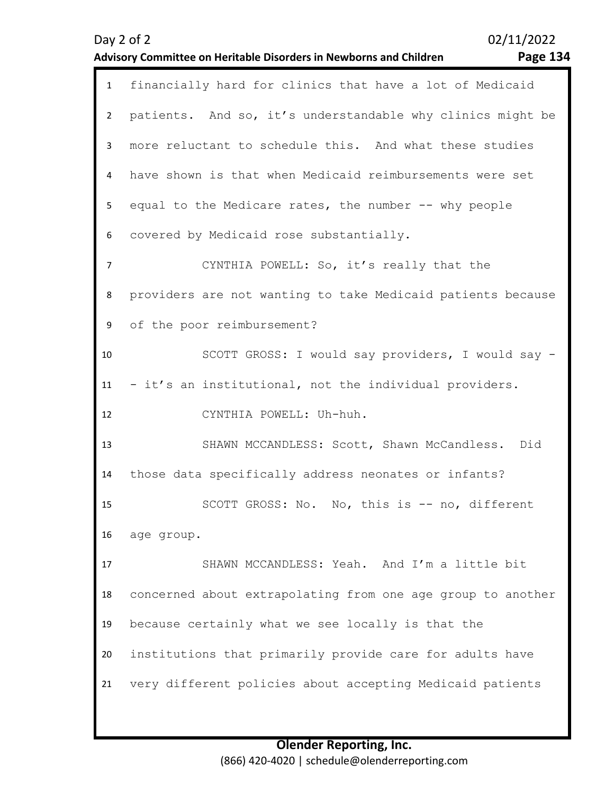|                | 02/11/2022<br>Day 2 of 2<br><b>Page 134</b><br>Advisory Committee on Heritable Disorders in Newborns and Children |
|----------------|-------------------------------------------------------------------------------------------------------------------|
| $\mathbf{1}$   | financially hard for clinics that have a lot of Medicaid                                                          |
| $\overline{2}$ | patients. And so, it's understandable why clinics might be                                                        |
| 3              | more reluctant to schedule this. And what these studies                                                           |
| 4              | have shown is that when Medicaid reimbursements were set                                                          |
| 5              | equal to the Medicare rates, the number -- why people                                                             |
| 6              | covered by Medicaid rose substantially.                                                                           |
| 7              | CYNTHIA POWELL: So, it's really that the                                                                          |
| 8              | providers are not wanting to take Medicaid patients because                                                       |
| 9              | of the poor reimbursement?                                                                                        |
| 10             | SCOTT GROSS: I would say providers, I would say -                                                                 |
| 11             | - it's an institutional, not the individual providers.                                                            |
| 12             | CYNTHIA POWELL: Uh-huh.                                                                                           |
| 13             | SHAWN MCCANDLESS: Scott, Shawn McCandless.<br>Did                                                                 |
| 14             | those data specifically address neonates or infants?                                                              |
| 15             | SCOTT GROSS: No. No, this is -- no, different                                                                     |
| 16             | age group.                                                                                                        |
| 17             | SHAWN MCCANDLESS: Yeah. And I'm a little bit                                                                      |
| 18             | concerned about extrapolating from one age group to another                                                       |
| 19             | because certainly what we see locally is that the                                                                 |
| 20             | institutions that primarily provide care for adults have                                                          |
| 21             | very different policies about accepting Medicaid patients                                                         |
|                |                                                                                                                   |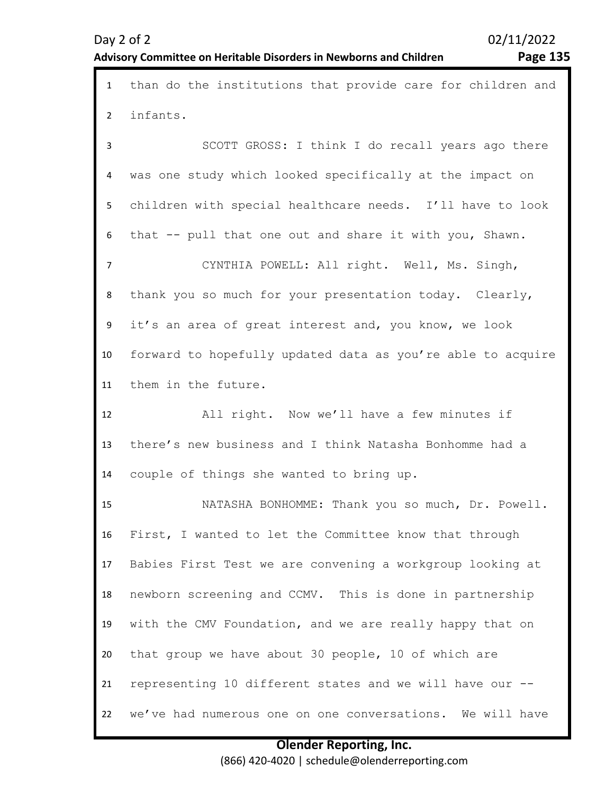| $\mathbf{1}$   | than do the institutions that provide care for children and |  |  |  |  |  |  |  |
|----------------|-------------------------------------------------------------|--|--|--|--|--|--|--|
| $\overline{2}$ | infants.                                                    |  |  |  |  |  |  |  |
| 3              | SCOTT GROSS: I think I do recall years ago there            |  |  |  |  |  |  |  |
| 4              | was one study which looked specifically at the impact on    |  |  |  |  |  |  |  |
| 5              | children with special healthcare needs. I'll have to look   |  |  |  |  |  |  |  |
| 6              | that -- pull that one out and share it with you, Shawn.     |  |  |  |  |  |  |  |
| $\overline{7}$ | CYNTHIA POWELL: All right. Well, Ms. Singh,                 |  |  |  |  |  |  |  |
| 8              | thank you so much for your presentation today. Clearly,     |  |  |  |  |  |  |  |
| 9              | it's an area of great interest and, you know, we look       |  |  |  |  |  |  |  |
| 10             | forward to hopefully updated data as you're able to acquire |  |  |  |  |  |  |  |
| 11             | them in the future.                                         |  |  |  |  |  |  |  |
|                |                                                             |  |  |  |  |  |  |  |
| 12             | All right. Now we'll have a few minutes if                  |  |  |  |  |  |  |  |
| 13             | there's new business and I think Natasha Bonhomme had a     |  |  |  |  |  |  |  |
| 14             | couple of things she wanted to bring up.                    |  |  |  |  |  |  |  |
| 15             | NATASHA BONHOMME: Thank you so much, Dr. Powell.            |  |  |  |  |  |  |  |
| 16             | First, I wanted to let the Committee know that through      |  |  |  |  |  |  |  |
| 17             | Babies First Test we are convening a workgroup looking at   |  |  |  |  |  |  |  |
| 18             | newborn screening and CCMV. This is done in partnership     |  |  |  |  |  |  |  |
| 19             | with the CMV Foundation, and we are really happy that on    |  |  |  |  |  |  |  |
| 20             | that group we have about 30 people, 10 of which are         |  |  |  |  |  |  |  |
| 21             | representing 10 different states and we will have our --    |  |  |  |  |  |  |  |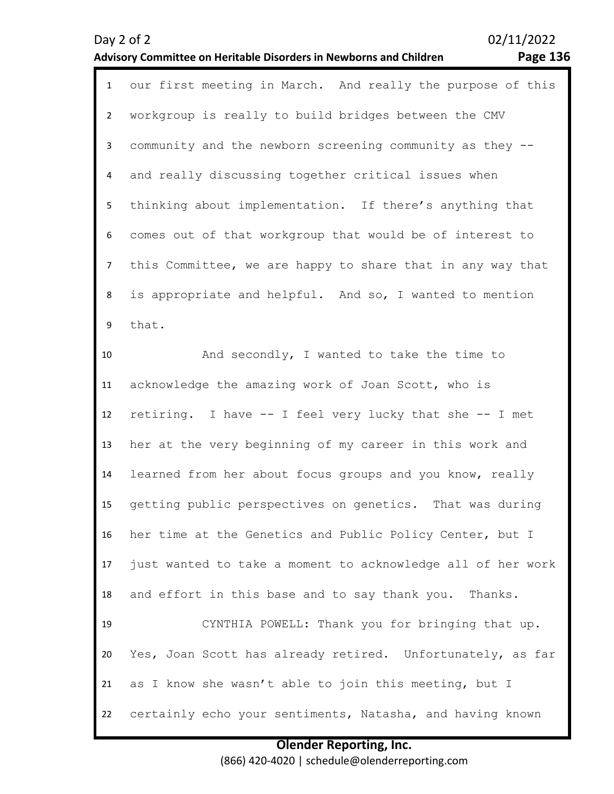### **Advisory Committee on Heritable Disorders in Newborns and Children Page 136**

| $\mathbf{1}$   | our first meeting in March. And really the purpose of this  |  |  |  |  |  |  |  |
|----------------|-------------------------------------------------------------|--|--|--|--|--|--|--|
| $\overline{2}$ | workgroup is really to build bridges between the CMV        |  |  |  |  |  |  |  |
| 3              | community and the newborn screening community as they --    |  |  |  |  |  |  |  |
| 4              | and really discussing together critical issues when         |  |  |  |  |  |  |  |
| 5              | thinking about implementation. If there's anything that     |  |  |  |  |  |  |  |
| 6              | comes out of that workgroup that would be of interest to    |  |  |  |  |  |  |  |
| $\overline{7}$ | this Committee, we are happy to share that in any way that  |  |  |  |  |  |  |  |
| 8              | is appropriate and helpful. And so, I wanted to mention     |  |  |  |  |  |  |  |
| 9              | that.                                                       |  |  |  |  |  |  |  |
| 10             | And secondly, I wanted to take the time to                  |  |  |  |  |  |  |  |
| 11             | acknowledge the amazing work of Joan Scott, who is          |  |  |  |  |  |  |  |
| 12             | retiring. I have -- I feel very lucky that she -- I met     |  |  |  |  |  |  |  |
| 13             | her at the very beginning of my career in this work and     |  |  |  |  |  |  |  |
| 14             | learned from her about focus groups and you know, really    |  |  |  |  |  |  |  |
| 15             | getting public perspectives on genetics. That was during    |  |  |  |  |  |  |  |
| 16             | her time at the Genetics and Public Policy Center, but I    |  |  |  |  |  |  |  |
| 17             | just wanted to take a moment to acknowledge all of her work |  |  |  |  |  |  |  |
| 18             | and effort in this base and to say thank you. Thanks.       |  |  |  |  |  |  |  |
| 19             | CYNTHIA POWELL: Thank you for bringing that up.             |  |  |  |  |  |  |  |
| 20             | Yes, Joan Scott has already retired. Unfortunately, as far  |  |  |  |  |  |  |  |
| 21             | as I know she wasn't able to join this meeting, but I       |  |  |  |  |  |  |  |
| 22             | certainly echo your sentiments, Natasha, and having known   |  |  |  |  |  |  |  |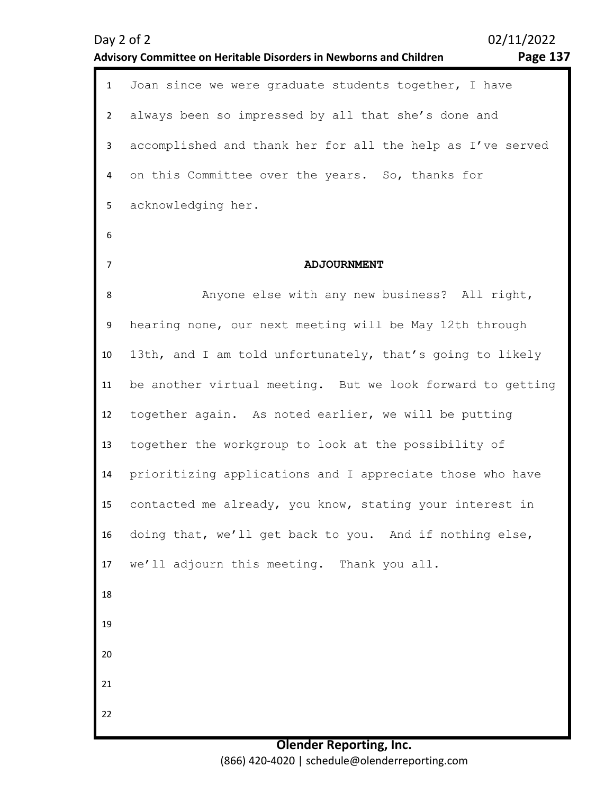|                | Advisory Committee on Heritable Disorders in Newborns and Children<br><b>rage 13</b> |  |  |  |  |  |
|----------------|--------------------------------------------------------------------------------------|--|--|--|--|--|
| $\mathbf{1}$   | Joan since we were graduate students together, I have                                |  |  |  |  |  |
| $2^{\circ}$    | always been so impressed by all that she's done and                                  |  |  |  |  |  |
| $\mathbf{3}$   | accomplished and thank her for all the help as I've served                           |  |  |  |  |  |
| 4              | on this Committee over the years. So, thanks for                                     |  |  |  |  |  |
| 5              | acknowledging her.                                                                   |  |  |  |  |  |
| 6              |                                                                                      |  |  |  |  |  |
| $\overline{7}$ | <b>ADJOURNMENT</b>                                                                   |  |  |  |  |  |
| 8              | Anyone else with any new business? All right,                                        |  |  |  |  |  |
| 9              | hearing none, our next meeting will be May 12th through                              |  |  |  |  |  |
| 10             | 13th, and I am told unfortunately, that's going to likely                            |  |  |  |  |  |
| 11             | be another virtual meeting. But we look forward to getting                           |  |  |  |  |  |
| 12             | together again. As noted earlier, we will be putting                                 |  |  |  |  |  |
| 13             | together the workgroup to look at the possibility of                                 |  |  |  |  |  |
| 14             | prioritizing applications and I appreciate those who have                            |  |  |  |  |  |
| 15             | contacted me already, you know, stating your interest in                             |  |  |  |  |  |
| 16             | doing that, we'll get back to you. And if nothing else,                              |  |  |  |  |  |
| 17             | we'll adjourn this meeting. Thank you all.                                           |  |  |  |  |  |
| 18             |                                                                                      |  |  |  |  |  |
| 19             |                                                                                      |  |  |  |  |  |
| 20             |                                                                                      |  |  |  |  |  |
| 21             |                                                                                      |  |  |  |  |  |
| 22             |                                                                                      |  |  |  |  |  |